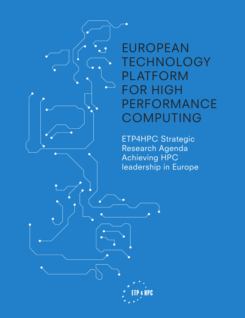European Technology **PLATFORM** for High Performance **COMPUTING** 

ETP4HPC Strategic Research Agenda Achieving HPC leadership in Europe

**HDC**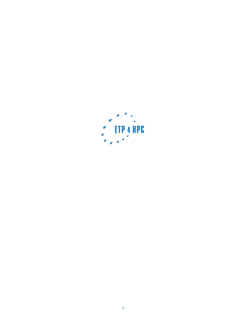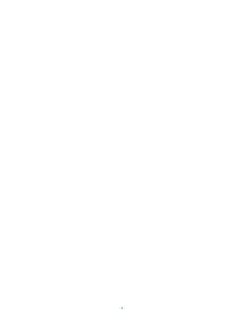$\cdot$  4  $\cdot$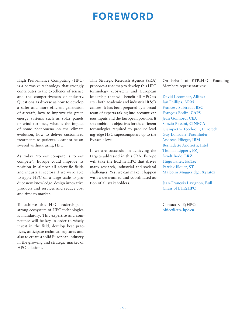# FOREWORD

High Performance Computing (HPC) is a pervasive technology that strongly contributes to the excellence of science and the competitiveness of industry. Questions as diverse as how to develop a safer and more efficient generation of aircraft, how to improve the green energy systems such as solar panels or wind turbines, what is the impact of some phenomena on the climate evolution, how to deliver customized treatments to patients… cannot be answered without using HPC.

As today "to out compute is to out compete", Europe could improve its position in almost all scientific fields and industrial sectors if we were able to apply HPC on a large scale to produce new knowledge, design innovative products and services and reduce cost and time to market.

To achieve this HPC leadership, a strong ecosystem of HPC technologies is mandatory. This expertise and competence will be key in order to wisely invest in the field, develop best practices, anticipate technical ruptures and also to create a solid European industry in the growing and strategic market of HPC solutions.

This Strategic Research Agenda (SRA) proposes a roadmap to develop this HPC technology ecosystem and European leadership that will benefit all HPC users - both academic and industrial R&D centres. It has been prepared by a broad team of experts taking into account various inputs and the European position. It sets ambitious objectives for the different technologies required to produce leading-edge HPC supercomputers up to the Exascale level.

If we are successful in achieving the targets addressed in this SRA, Europe will take the lead in HPC that drives many research, industrial and societal challenges. Yes, we can make it happen with a determined and coordinated action of all stakeholders.

On behalf of ETP4HPC Founding Members representatives:

David Lecomber, **Allinea** Ian Phillips, **ARM** Francesc Subirada, **BSC** François Bodin, **CAPS** Jean Gonnord, **CEA** Sanzio Bassini, **CINECA** Giampietro Tecchiolli, **Eurotech** Guy Lonsdale, **Fraunhofer** Andreas Pflieger, **IBM** Bernadette Andrietti, **Intel** Thomas Lippert, **FZJ** Arndt Bode, **LRZ** Hugo Falter, **ParTec** Patrick Blouet, **ST** Malcolm Muggeridge, **Xyratex**

Jean-François Lavignon, **Bull Chair of ETP4HPC**

Contact ETP4HPC: **office@etp4hpc.eu**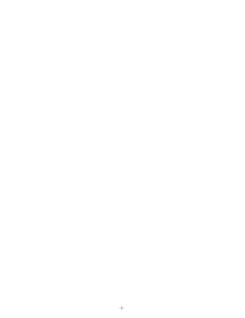$\cdot$  6  $\cdot$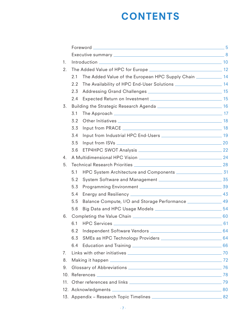# **CONTENTS**

| 1.              |                                                                                                                          |                                                                  |    |  |  |  |
|-----------------|--------------------------------------------------------------------------------------------------------------------------|------------------------------------------------------------------|----|--|--|--|
| 2.              |                                                                                                                          |                                                                  |    |  |  |  |
|                 | 2.1                                                                                                                      | The Added Value of the European HPC Supply Chain ____________ 14 |    |  |  |  |
|                 | 2.2                                                                                                                      |                                                                  |    |  |  |  |
|                 | 2.3                                                                                                                      |                                                                  |    |  |  |  |
|                 | 2.4                                                                                                                      |                                                                  |    |  |  |  |
| 3.              |                                                                                                                          |                                                                  |    |  |  |  |
|                 | 3.1                                                                                                                      |                                                                  |    |  |  |  |
|                 | 3.2                                                                                                                      |                                                                  |    |  |  |  |
|                 | 3.3                                                                                                                      |                                                                  |    |  |  |  |
|                 | 3.4                                                                                                                      |                                                                  |    |  |  |  |
|                 | 3.5                                                                                                                      | Input from ISVs 20                                               |    |  |  |  |
|                 | 3.6                                                                                                                      |                                                                  |    |  |  |  |
| 4.              | A Multidimensional HPC Vision 24                                                                                         |                                                                  |    |  |  |  |
| 5.              |                                                                                                                          |                                                                  |    |  |  |  |
|                 | 5.1                                                                                                                      |                                                                  |    |  |  |  |
|                 | 5.2                                                                                                                      |                                                                  |    |  |  |  |
|                 | 5.3                                                                                                                      |                                                                  |    |  |  |  |
|                 | 5.4                                                                                                                      |                                                                  |    |  |  |  |
|                 | 5.5                                                                                                                      | Balance Compute, I/O and Storage Performance ________________ 49 |    |  |  |  |
|                 | 5.6                                                                                                                      |                                                                  |    |  |  |  |
| 6.              |                                                                                                                          |                                                                  |    |  |  |  |
|                 | HPC Services 61 and 1990 and 1990 and 1990 and 1990 and 1990 and 1990 and 1990 and 1990 and 1990 and 1990 and 1<br>6.1   |                                                                  |    |  |  |  |
|                 | 6.2                                                                                                                      |                                                                  |    |  |  |  |
|                 | 6.3                                                                                                                      |                                                                  |    |  |  |  |
|                 | 6.4                                                                                                                      |                                                                  | 66 |  |  |  |
| 7.              |                                                                                                                          |                                                                  |    |  |  |  |
| 8.              |                                                                                                                          |                                                                  | 72 |  |  |  |
| 9.              |                                                                                                                          |                                                                  |    |  |  |  |
| 10 <sub>1</sub> |                                                                                                                          |                                                                  |    |  |  |  |
| 11.             |                                                                                                                          |                                                                  |    |  |  |  |
|                 |                                                                                                                          |                                                                  |    |  |  |  |
|                 | 13. Appendix - Research Topic Timelines <b>Commission Contract Contract Contract Contract Contract Contract Contract</b> |                                                                  |    |  |  |  |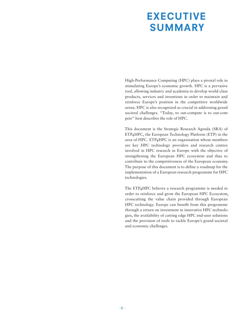# **EXECUTIVE SUMMARY**

High-Performance Computing (HPC) plays a pivotal role in stimulating Europe's economic growth. HPC is a pervasive tool, allowing industry and academia to develop world-class products, services and inventions in order to maintain and reinforce Europe's position in the competitive worldwide arena. HPC is also recognized as crucial in addressing grand societal challenges. "Today, to out-compute is to out-compete" best describes the role of HPC.

This document is the Strategic Research Agenda (SRA) of ETP4HPC, the European Technology Platform (ETP) in the area of HPC. ETP4HPC is an organisation whose members are key HPC technology providers and research centres involved in HPC research in Europe with the objective of strengthening the European HPC ecosystem and thus to contribute to the competitiveness of the European economy. The purpose of this document is to define a roadmap for the implementation of a European research programme for HPC technologies.

The ETP4HPC believes a research programme is needed in order to reinforce and grow the European HPC Ecosystem, crosscutting the value chain provided through European HPC technology. Europe can benefit from this programme through a return on investment in innovative HPC technologies, the availability of cutting edge HPC end-user solutions and the provision of tools to tackle Europe's grand societal and economic challenges.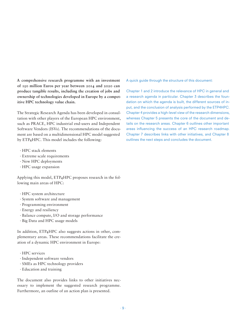**A comprehensive research programme with an investment of 150 million Euros per year between 2014 and 2020 can produce tangible results, including the creation of jobs and ownership of technologies developed in Europe by a competitive HPC technology value chain.**

The Strategic Research Agenda has been developed in consultation with other players of the European HPC environment, such as PRACE, HPC industrial end-users and Independent Software Vendors (ISVs). The recommendations of the document are based on a multidimensional HPC model suggested by ETP4HPC. This model includes the following:

- · HPC stack elements
- · Extreme scale requirements
- · New HPC deployments
- · HPC usage expansion

Applying this model, ETP4HPC proposes research in the following main areas of HPC:

- · HPC system architecture
- · System software and management
- · Programming environment
- · Energy and resiliency
- · Balance compute, I/O and storage performance
- · Big Data and HPC usage models

In addition, ETP4HPC also suggests actions in other, complementary areas. These recommendations facilitate the creation of a dynamic HPC environment in Europe:

- · HPC services
- · Independent software vendors
- · SMEs as HPC technology providers
- · Education and training

The document also provides links to other initiatives necessary to implement the suggested research programme. Furthermore, an outline of an action plan is presented.

A quick guide through the structure of this document:

Chapter 1 and 2 introduce the relevance of HPC in general and a research agenda in particular. Chapter 3 describes the foundation on which the agenda is built, the different sources of input, and the conclusion of analysis performed by the ETP4HPC. Chapter 4 provides a high-level view of the research dimensions, whereas Chapter 5 presents the core of the document and details on the research areas. Chapter 6 outlines other important areas influencing the success of an HPC research roadmap. Chapter 7 describes links with other initiatives, and Chapter 8 outlines the next steps and concludes the document.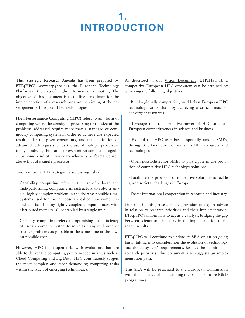# 1. INTRODUCTION

**This Strategic Research Agenda** has been prepared by **ETP4HPC**<sup>1</sup> (www.etp4hpc.eu), the European Technology Platform in the area of High-Performance Computing. The objective of this document is to outline a roadmap for the implementation of a research programme aiming at the development of European HPC technologies.

**High-Performance Computing (HPC)** refers to any form of computing where the density of processing or the size of the problems addressed require more than a standard or commodity computing system in order to achieve the expected result under the given constraints, and the application of advanced techniques such as the use of multiple processors (tens, hundreds, thousands or even more) connected together by some kind of network to achieve a performance well above that of a single processor.

Two traditional HPC categories are distinguished:

**Capability computing** refers to the use of a large and high-performing computing infrastructure to solve a single, highly complex problem in the shortest possible time. Systems used for this purpose are called supercomputers and consist of many tightly coupled compute nodes with distributed memory, all controlled by a single unit.

**Capacity computing** refers to optimising the efficiency of using a compute system to solve as many mid-sized or smaller problems as possible at the same time at the lowest possible cost.

However, HPC is an open field with evolutions that are able to deliver the computing power needed in areas such as Cloud Computing and Big Data. HPC continuously targets the most complex and most demanding computing tasks within the reach of emerging technologies.

As described in our Vision Document [ETP4HPC-1], a competitive European HPC ecosystem can be attained by achieving the following objectives:

· Build a globally competitive, world-class European HPC technology value chain by achieving a critical mass of convergent resources

· Leverage the transformative power of HPC to boost European competitiveness in science and business

· Expand the HPC user base, especially among SMEs, through the facilitation of access to HPC resources and technologies

· Open possibilities for SMEs to participate in the provision of competitive HPC technology solutions.

· Facilitate the provision of innovative solutions to tackle grand societal challenges in Europe

· Foster international cooperation in research and industry.

Our role in this process is the provision of expert advice in relation to research priorities and their implementation. ETP4HPC's ambition is to act as a catalyst, bridging the gap between science and industry in the implementation of research results.

ETP4HPC will continue to update its SRA on an on-going basis, taking into consideration the evolution of technology and the ecosystem's requirements. Besides the definition of research priorities, this document also suggests an implementation path.

This SRA will be presented to the European Commission with the objective of its becoming the basis for future R&D programmes.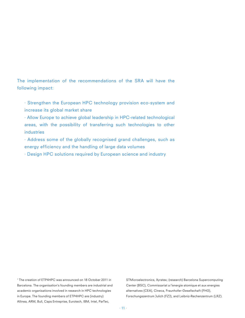The implementation of the recommendations of the SRA will have the following impact:

- · Strengthen the European HPC technology provision eco-system and increase its global market share
- · Allow Europe to achieve global leadership in HPC-related technological areas, with the possibility of transferring such technologies to other industries
- · Address some of the globally recognised grand challenges, such as energy efficiency and the handling of large data volumes
- · Design HPC solutions required by European science and industry

1 The creation of ETP4HPC was announced on 18 October 2011 in Barcelona. The organisation's founding members are industrial and academic organisations involved in research in HPC technologies in Europe. The founding members of ETP4HPC are (industry) Allinea, ARM, Bull, Caps Entreprise, Eurotech, IBM, Intel, ParTec,

STMicroelectronics, Xyratex; (research) Barcelona Supercomputing Center (BSC), Commissariat a l'energie atomique et aux energies alternatives (CEA), Cineca, Fraunhofer-Gesellschaft (FHG), Forschungszentrum Julich (FZJ), and Leibniz-Rechenzentrum (LRZ).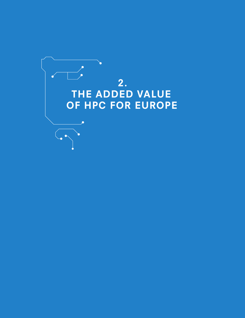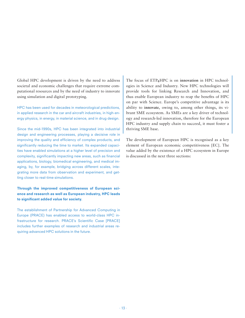Global HPC development is driven by the need to address societal and economic challenges that require extreme computational resources and by the need of industry to innovate using simulation and digital prototyping.

HPC has been used for decades in meteorological predictions, in applied research in the car and aircraft industries, in high-energy physics, in energy, in material science, and in drug design.

Since the mid-1990s, HPC has been integrated into industrial design and engineering processes, playing a decisive role in improving the quality and efficiency of complex products, and significantly reducing the time to market. Its expanded capacities have enabled simulations at a higher level of precision and complexity, significantly impacting new areas, such as financial applications, biology, biomedical engineering, and medical imaging, by, for example, bridging across different scales, integrating more data from observation and experiment, and getting closer to real-time simulations.

# Through the improved competitiveness of European science and research as well as European industry, HPC leads to significant added value for society.

The establishment of Partnership for Advanced Computing in Europe (PRACE) has enabled access to world-class HPC infrastructure for research. PRACE's Scientific Case [PRACE] includes further examples of research and industrial areas requiring advanced HPC solutions in the future.

The focus of ETP4HPC is on **innovation** in HPC technologies in Science and Industry. New HPC technologies will provide tools for linking Research and Innovation, and thus enable European industry to reap the benefits of HPC on par with Science. Europe's competitive advantage is its ability to **innovate**, owing to, among other things, its vibrant SME ecosystem. As SMEs are a key driver of technology and research-led innovation, therefore for the European HPC industry and supply chain to succeed, it must foster a thriving SME base.

The development of European HPC is recognised as a key element of European economic competitiveness [EC]. The value added by the existence of a HPC ecosystem in Europe is discussed in the next three sections: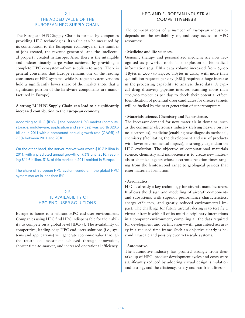# 2.1 THE ADDED VALUE OF THE European HPC Supply Chain

The European HPC Supply Chain is formed by companies providing HPC technologies. Its value can be measured by its contribution to the European economy, i.e., the number of jobs created, the revenue generated, and the intellectual property created in Europe. Also, there is the intangible and indeterminately large value achieved by providing a complete HPC ecosystem—from suppliers to users. There is general consensus that Europe remains one of the leading consumers of HPC systems, while European system vendors hold a significantly lower share of the market (note that a significant portion of the hardware components are manufactured in Europe).

# **A strong EU HPC Supply Chain can lead to a significantly increased contribution to the European economy.**

According to IDC [IDC-1] the broader HPC market (compute, storage, middleware, application and services) was worth \$20.3 billion in 2011 with a compound annual growth rate (CAGR) of 7.6% between 2011 and 2016.

On the other hand, the server market was worth \$10.3 billion in 2011, with a predicted annual growth of 7.3% until 2016, reaching \$14.6 billion. 31% of this market in 2011 resided in Europe.

The share of European HPC system vendors in the global HPC system market is less than 5%.

# 2.2 The Availability of HPC End-User Solutions

Europe is home to a vibrant HPC end-user environment. Companies using HPC find HPC indispensable for their ability to compete on a global level [IDC-3]. The availability of competitive, leading-edge HPC end-users solutions (i.e., systems and applications) will generate economic value through the return on investment achieved through innovation, shorter time-to-market, and increased operational efficiency.

# HPC and European industrial Competitiveness

The competitiveness of a number of European industries depends on the availability of, and easy access to HPC resources:

#### · **Medicine and life sciences.**

Genomic therapy and personalized medicine are now recognised as powerful tools. The explosion of biomedical information (e.g. EBI's data volume increased from 6,000 TBytes in 2009 to 11,000 TBytes in 2010, with more than 4.6 million requests per day [EBI]) requires a huge increase in the processing capability to analyse these data. A typical drug discovery pipeline involves scanning more than 100,000 molecules per day to check their potential effect. Identification of potential drug candidates for disease targets will be fuelled by the next generation of supercomputers.

#### · **Materials science, Chemistry and Nanoscience.**

The incessant demand for new materials in domains, such as the consumer electronics industry (relying heavily on nano-electronics), medicine (enabling new diagnosis methods), chemistry (facilitating the development and use of products with lower environmental impact), is strongly dependant on HPC evolution. The objective of computational materials science, chemistry and nanoscience is to create new materials or chemical agents whose electronic reaction times ranging from the femtosecond range to geological periods that enter materials formation.

#### · **Aeronautics.**

HPC is already a key technology for aircraft manufacturers. It allows the design and modelling of aircraft components and subsystems with superior performance characteristics, energy efficiency, and greatly reduced environmental impact. The challenge for future aircraft desing is to test fly a virtual aircraft with all of its multi-disciplinary interactions in a computer environment, compiling all the data required for development and certification—with guaranteed accuracy in a reduced time frame. Such an objective clearly is beyond Exascale and possibly even zeta-scale systems.

#### · **Automotive.**

The automotive industry has profited strongly from their take-up of HPC: product development cycles and costs were significantly reduced by adopting virtual design, simulation and testing, and the efficiency, safety and eco-friendliness of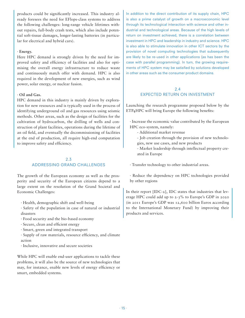products could be significantly increased. This industry already foresees the need for EFlops-class systems to address the following challenges: long-range vehicle lifetimes without repairs, full-body crash tests, which also include potential soft-tissue damages, longer-lasting batteries (in particular for electrical and hybrid cars).

#### · **Energy.**

Here HPC demand is strongly driven by the need for improved safety and efficiency of facilities and also for optimising the overall energy infrastructure to reduce waste and continuously match offer with demand. HPC is also required in the development of new energies, such as wind power, solar energy, or nuclear fusion.

#### · **Oil and Gas.**

HPC demand in this industry is mainly driven by exploration for new resources and is typically used in the process of identifying underground oil and gas resources using seismic methods. Other areas, such as the design of facilities for the cultivation of hydrocarbon, the drilling of wells and construction of plant facilities, operations during the lifetime of an oil field, and eventually the decommissioning of facilities at the end of production, all require high-end computation to improve safety and efficiency.

# 2.3 Addressing Grand Challenges

The growth of the European economy as well as the prosperity and security of the European citizens depend to a large extent on the resolution of the Grand Societal and Economic Challenges:

· Health, demographic shift and well-being

- · Safety of the population in case of natural or industrial disasters
- · Food security and the bio-based economy
- · Secure, clean and efficient energy
- · Smart, green and integrated transport
- · Supply of raw materials, resource efficiency, and climate action
- · Inclusive, innovative and secure societies

While HPC will enable end-user applications to tackle these problems, it will also be the source of new technologies that may, for instance, enable new levels of energy efficiency or smart, embedded systems.

In addition to the direct contribution of its supply chain, HPC is also a prime catalyst of growth on a macroeconomic level through its technological interaction with science and other industrial and technological areas. Because of the high levels of return on investment achieved, there is a correlation between investment in HPC and leadership in industry and science. HPC is also able to stimulate innovation in other ICT sectors by the provision of novel computing technologies that subsequently are likely to be re-used in other applications (as has been the case with parallel programming). In turn, the growing requirements of HPC system may be satisfied by solutions developed in other areas such as the consumer product domains.

# 2.4 Expected Return on Investment

Launching the research programme proposed below by the ETP4HPC will bring Europe the following benefits:

· Increase the economic value contributed by the European HPC eco-system, namely:

- Additional market revenue
- Job creation through the provision of new technologies, new use cases, and new products
- Market leadership through intellectual property created in Europe

· Transfer technology to other industrial areas.

· Reduce the dependency on HPC technologies provided by other regions

In their report [IDC-2], IDC states that industries that leverage HPC could add up to 2-3% to Europe's GDP in 2020 (in 2011 Europe's GDP was 12,600 billion Euros according to the International Monetary Fund) by improving their products and services.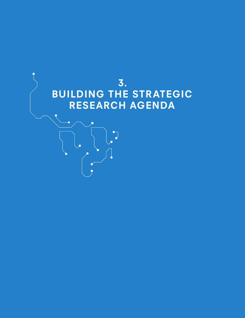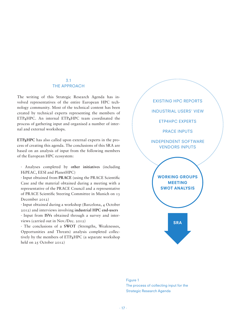# 3.1 THE APPROACH

The writing of this Strategic Research Agenda has involved representatives of the entire European HPC technology community. Most of the technical content has been created by technical experts representing the members of ETP4HPC. An internal ETP4HPC team coordinated the process of gathering input and organised a number of internal and external workshops.

**ETP4HPC** has also called upon external experts in the process of creating this agenda. The conclusions of this SRA are based on an analysis of input from the following members of the European HPC ecosystem:

· Analyses completed by **other initiatives** (including HiPEAC, EESI and PlanetHPC)

· Input obtained from **PRACE** (using the PRACE Scientific Case and the material obtained during a meeting with a representative of the PRACE Council and a representative of PRACE Scientific Steering Committee in Munich on 13 December 2012)

· Input obtained during a workshop (Barcelona, 4 October 2012) and interviews involving **industrial HPC end-users**

· Input from **ISVs** obtained through a survey and interviews (carried out in Nov./Dec. 2012)

· The conclusions of a **SWOT** (Strengths, Weaknesses, Opportunities and Threats) analysis completed collectively by the members of ETP4HPC (a separate workshop held on 25 October 2012)



Figure 1 The process of collecting input for the Strategic Research Agenda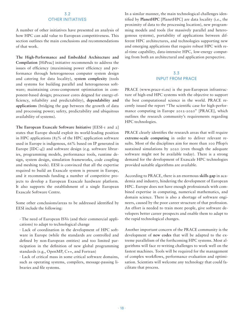## 3.2 Other Initiatives

A number of other initiatives have presented an analysis of how HPC can add value to European competitiveness. This section outlines the main conclusions and recommendations of that work.

**The High-Performance and Embedded Architecture and Compilation** [HiPeac] initiative recommends to address the issues of efficiency (maximising power efficiency and performance through heterogeneous computer system design and catering for data locality), **system complexity** (tools and systems for building parallel and heterogeneous software; maintaining cross-component optimisation in component-based design; processor cores deigned for energy-efficiency, reliability and predictability), **dependability and applications** (bridging the gap between the growth of data and processing power; safety, predictability and ubiquitous availability of systems).

**The European Exascale Software Initiative** [EESI-1 and 2] states that Europe should exploit its world-leading position in HPC applications (83% of the HPC application software used in Europe is indigenous, 66% based on IP generated in Europe [IDC-4]) and software design (e.g. software libraries, programming models, performance tools, runtime design, system design, simulation frameworks, code coupling and meshing tools). EESI is convinced that all the expertise required to build an Exascale system is present in Europe, and it recommends funding a number of competitive projects to develop a European Exascale hardware platform. It also supports the establishment of a single European Exascale Software Centre.

Some other conclusions/areas to be addressed identified by EESI include the following:

· The need of European ISVs (and their commercial applications) to adapt to technological change

· Lack of coordination in the development of HPC software in Europe (while the standards are controlled and defined by non-European entities) and too limited participation in the definition of new global programming standards (e.g., OpenMP, C++, and Fortran)

· Lack of critical mass in some critical software domains, such as operating systems, compilers, message-passing libraries and file systems.

In a similar manner, the main technological challenges identified by **PlanetHPC** [PlanetHPC] are data locality (i.e., the proximity of data to the processing location), new programming models and tools (for massively parallel and heterogonous systems), portability of applications between different HPC architectures, and technologies supporting new and emerging applications that require robust HPC with real-time capability, data-intensive HPC, low-energy computing from both an architectural and application perspective.

## 3.3 Input from PRACE

PRACE (www.prace-ri.eu) is the pan-European infrastructure of high-end HPC systems with the objective to support the best computational science in the world. PRACE recently issued the report "The scientific case for high-performance computing in Europe 2012-2020" [PRACE], which outlines the research community's requirements regarding HPC technologies.

PRACE clearly identifies the research areas that will require **extreme-scale computing** in order to deliver relevant results. Most of the disciplines aim for more than 100 Pflop/s sustained simulations by 2020 (even though the adequate software might not be available today). There is a strong demand for the development of Exascale HPC technologies provided suitable algorithms are available.

According to PRACE, there is an enormous **skills gap** in academia and industry, hindering the development of European HPC. Europe does not have enough professionals with combined expertise in computing, numerical mathematics, and domain science. There is also a shortage of software engineers, caused by the poor career structure of that profession. An effort is needed to train more people, give software developers better career prospects and enable them to adapt to the rapid technological changes.

Another important concern of the PRACE community is the development of **new codes** that will be adapted to the extreme parallelism of the forthcoming HPC systems. Most algorithms will face re-writing challenges to work well on the fastest machines. Tools will be required for the management of complex workflows, performance evaluation and optimisation. Scientists will welcome any technology that could facilitate that process.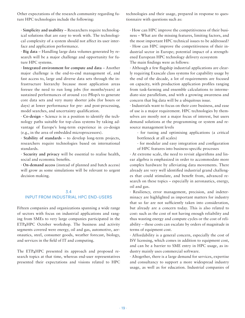Other expectations of the research community regarding future HPC technologies include the following:

· **Simplicity and usability** – Researchers require technological solutions that are easy to work with. The technological complexity of a system should not affect its user interface and application performance.

· **Big data** – Handling large data volumes generated by research will be a major challenge and opportunity for future HPC systems.

· **Integrated environment for compute and data** – Another major challenge is the end-to-end management of, and fast access to, large and diverse data sets through the infrastructure hierarchy because most application areas foresee the need to run long jobs (for months/years) at sustained performances of around 100 Pflop/s to generate core data sets and very many shorter jobs (for hours or days) at lower performance for pre- and post-processing, model searches, and uncertainty qualification.

· **Co-design** – Science is in a position to identify the technology paths suitable for top-class systems by taking advantage of Europe's long-term experience in co-design (e.g., in the area of embedded microprocessors).

· **Stability of standards** – to develop long-term projects, researchers require technologies based on international standards.

· **Security and privacy** will be essential to realise health, social and economic benefits.

· **On-demand access** (instead of planned and batch access) will grow as some simulations will be relevant to urgent decision making.

# 3.4 Input from Industrial HPC End-Users

Fifteen companies and organizations spanning a wide range of sectors with focus on industrial applications and ranging from SMEs to very large companies participated in the ETP4HPC October workshop. The business and activity segments covered were energy, oil and gas, automotive, aeronautics, steel, consumer goods, weather forecast, biology, and services in the field of IT and computing.

The ETP4HPC presented its approach and proposed research topics at that time, whereas end-user representatives presented their expectations and visions related to HPC technologies and their usage, prepared in response to questionnaire with questions such as:

· How can HPC improve the competitiveness of their business – What are the missing features, limiting factors, and the most important HPC technical issues to be addressed? · How can HPC improve the competitiveness of their industrial sector in Europe; potential impact of a strengthened European HPC technology delivery ecosystem The main findings were as follows:

· Although a few flagship industrial applications are clearly requiring Exascale class systems for capability usage by the end of the decade, a lot of requirements are focused on capacity, with production application profiles ranging from task-farming and ensemble calculations to intermediate-size parallelism, and with a growing awareness and concern that big data will be a ubiquitous issue.

· Industrials want to focus on their core business, and ease of use is a major requirement. HPC technologies by themselves are mostly not a major focus of interest, but users demand solutions at the programming or system and resource management levels

- for tuning and optimising applications (a critical bottleneck at all scales)
- for modular and easy integration and configuration of HPC features into business-specific processes

· At extreme scale, the need to revisit algorithms and linear algebra is emphasized in order to accommodate more complex hardware by alleviating data movements. There already are very well identified industrial grand challenges that could stimulate, and benefit from, advanced research on these topics – especially in aeronautics, energy, oil and gas.

· Resiliency, error management, precision, and indeterminacy are highlighted as important matters for industry that so far are not sufficiently taken into consideration, but already are a concern today. This is also related to cost: such as the cost of not having enough reliability and thus wasting energy and compute cycles or the cost of reliability – these costs can escalate by orders of magnitude in terms of equipment cost.

· Affordability is a general concern, especially the cost of ISV licensing, which comes in addition to equipment cost, and can be a barrier to SME entry in HPC usage, as industry mainly uses commercial software.

· Altogether, there is a large demand for services, expertise and consultancy to support a more widespread industry usage, as well as for education. Industrial companies of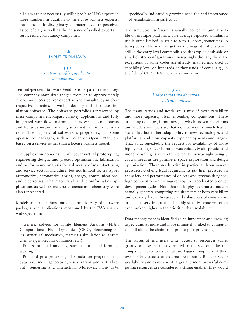all sizes are not necessarily willing to hire HPC experts in large numbers in addition to their core business experts, but some multi-disciplinary characteristics are perceived as beneficial, as well as the presence of skilled experts in service and consultancy companies.

# 3.5 Input from ISV's

#### 3.5.1 *Company profiles, application domains and uses*

Ten Independent Software Vendors took part in the survey. The company staff sizes ranged from 12 to approximately 1000; most ISVs deliver expertise and consultancy in their respective domains, as well as develop and distribute simulation software. The software portfolios represented by these companies encompass turnkey applications and fully integrated workflow environments as well as components and libraries meant for integration with customized solutions. The majority of software is proprietary, but some open-source packages, such as Scilab or OpenFOAM, are based on a service rather than a license business model.

The application domains mainly cover virtual prototyping, engineering design, and process optimisation, fabrication and performance analysis for a diversity of manufacturing and service sectors including, but not limited to, transport (automotive, aeronautics, train), energy, communications, and electronics. Pharmaceutical and bioinformatics applications as well as materials science and chemistry were also represented.

Models and algorithms found in the diversity of software packages and applications mentioned by the ISVs span a wide spectrum:

· Generic solvers for Finite Element Analysis (FEA), Computational Fluid Dynamics (CFD), electromagnetics, structural mechanics, materials simulation (quantum chemistry, molecular dynamics, etc.)

· Process-oriented modules, such as for metal forming, welding

· Pre- and post-processing of simulation programs and data, i.e., mesh generation, visualization and virtual-reality rendering and interaction. Moreover, many ISVs specifically indicated a growing need for and importance of visualisation in particular

The simulation software is usually ported to and available on multiple platforms. The average reported simulation use is often limited in scale to 8 to 16 cores, sometimes up to 64 cores. The main target for the majority of customers still is the entry-level commoditized desktop or desk-side or small-cluster configurations. Increasingly though, there are exceptions as some codes are already enabled and used at capability level on hundreds or thousands of cores (e.g., in the field of CFD, FEA, materials simulation).

## 3.5.2 *Usage trends and demands, potential impact*

The usage trends and needs are a mix of more capability and more capacity, often ensemble, computations. There are many domains, if not most, in which proven algorithms and models will persist, that do not require much higher scalability but rather adaptability to new technologies and platforms, and more capacity-type deployments and usages. That said, repeatedly, the request for availability of more highly-scaling solver libraries was voiced. Multi-physics and model coupling is very often cited as increasingly being a crucial need, as are parameter space exploration and design optimisation. These needs arise in particular from market pressures: evolving legal requirements put high pressure on the safety and performance of objects and systems designed; high competition on the market requires accelerated product development cycles. Note that multi-physics simulations can actually generate computing requirements at both capability and capacity levels. Accuracy and robustness of simulations are also a very frequent and highly sensitive concern, often even ranked higher in the priorities than scalability.

Data management is identified as an important and growing aspect, and as more and more intimately linked to computation all along the chain from pre- to post-processing.

The status of end users w.r.t. access to resources varies greatly, and seems mostly related to the size of industrial companies (large ones can afford bigger computers of their own or buy access to external resources). But the wider availability and easier use of larger and more powerful computing resources are considered a strong enabler: they would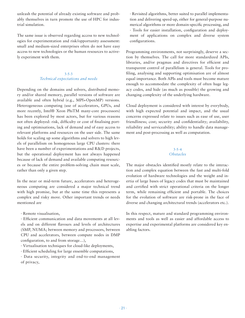unleash the potential of already existing software and probably themselves in turn promote the use of HPC for industrial simulation.

The same issue is observed regarding access to new technologies for experimentation and risk/opportunity assessment: small and medium-sized enterprises often do not have easy access to new technologies or the human resources to actively experiment with them.

## 3.5.3 *Technical expectations and needs*

Depending on the domains and solvers, distributed memory and/or shared memory, parallel versions of software are available and often hybrid (e.g., MPI+OpenMP) versions. Heterogeneous computing (use of accelerators, GPUs, and more recently, Intel® Xeon PhiTM many-core processors) has been explored by most actors, but for various reasons not often deployed: risk, difficulty or cost of finalising porting and optimisations, lack of demand and of easy access to relevant platforms and resources on the user side. The same holds for scaling up some algorithms and solvers to high levels of parallelism on homogenous large CPU clusters: there have been a number of experimentations and R&D projects, but the operational deployment has not always happened because of lack of demand and available computing resources or because the entire problem-solving chain must scale, rather than only a given step.

In the near or mid-term future, accelerators and heterogeneous computing are considered a major technical trend with high promise, but at the same time this represents a complex and risky move. Other important trends or needs mentioned are

· Remote visualisation,

· Efficient communication and data movements at all levels and on different flavours and levels of architectures (SMP, NUMA; between memory and processors, between CPU and accelerators, between compute nodes in DMP configuration, to and from storage…),

· Virtualisation techniques for cloud-like deployments,

· Efficient scheduling for large ensemble computations,

· Data security, integrity and end-to-end management of privacy,

· Revisited algorithms, better suited to parallel implementation and delivering speed-up, either for general-purpose numerical algorithms or more domain-specific processing, and · Tools for easier installation, configuration and deployment of applications on complex and diverse system configurations.

Programming environments, not surprisingly, deserve a section by themselves. The call for more standardized APIs, libraries, and/or pragmas and directives for efficient and transparent control of parallelism is general. Tools for profiling, analysing and supporting optimisation are of almost equal importance. Both APIs and tools must become mature enough to accommodate the complexity of often huge legacy codes, and hide (as much as possible) the growing and changing complexity of the underlying hardware.

Cloud deployment is considered with interest by everybody, with high expected potential and impact, and the usual concerns expressed relate to issues such as ease of use, user friendliness; cost; security and confidentiality; availability, reliability and serviceability; ability to handle data management and post-processing as well as computation.

#### 3.5.4 *Obstacles*

The major obstacles identified mostly relate to the interaction and complex equation between the fast and multi-fold evolution of hardware technologies and the weight and inertia of large bases of legacy codes that must be maintained and certified with strict operational criteria on the longer term, while remaining efficient and portable. The choices for the evolution of software are risk-prone in the face of diverse and changing architectural trends (accelerators etc.).

In this respect, mature and standard programming environments and tools as well as easier and affordable access to expertise and experimental platforms are considered key enabling factors.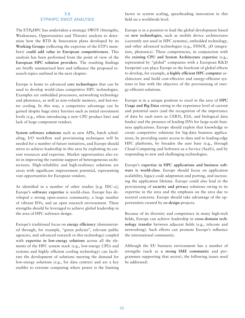## 3.6 ETP4HPC SWOT Analysis

The ETP4HPC has undertaken a strategic SWOT (Strengths, Weaknesses, Opportunities and Threats) analysis to determine how the RTD & Innovation plans developed by its **Working Groups** (reflecting the expertise of the ETP's members) **could add value to European competitiveness**. This analysis has been performed from the point of view of the **European HPC solution providers**. The resulting findings are briefly summarized here and influence the proposed research topics outlined in the next chapter:

Europe is home to advanced **core technologies** that can be used to develop world-class competitive HPC technologies. Examples are embedded processors, networking technology and photonics, as well as non-volatile memory, and hot-water cooling. In this way, a competitive advantage can be gained despite huge entry barriers such as initial investment levels (e.g., when introducing a new CPU product line) and lack of large component vendors.

**System software solutions** such as new APIs, batch scheduling, I/O workflow and provisioning techniques will be needed for a number of future initiatives, and Europe should strive to achieve leadership in this area by exploiting its current resources and expertise. Market opportunities also exist in improving the runtime support of heterogeneous architectures. High-reliability and high-resiliency solutions are areas with significant improvement potential, representing vast opportunities for European vendors.

As identified in a number of other studies [e.g. IDC-2], Europe's **software expertise** is world-class. Europe has developed a strong open-source community, a large number of vibrant ISVs, and an open research environment. These strengths should be leveraged to achieve global leadership in the area of HPC software design.

Europe's traditional focus on **energy efficiency** (demonstrated through, for example, "green policies", relevant public agencies, and advanced research in this technology) coupled with **expertise in low-energy solutions** across all the elements of the HPC system stack (e.g., low-energy CPUs and systems and highly efficient cooling technology) can facilitate the development of solutions meeting the demand for low-energy solutions (e.g., for data centres) and are a key enabler to extreme computing where power is the limiting factor in system scaling, spearheading innovation in this field on a worldwide level.

Europe is in a position to lead the global development based on **new technologies**, such as mobile device architectures (currently not used in HPC systems), embedded technology, and other advanced technologies (e.g., FDSOI, 3D integration, photonics). These competencies, in conjunction with the **existing CPU and System Architecture expertise** (e.g., represented by "global" companies with a European R&D footprint) can place Europe in the forefront of global efforts to develop, for example, **a highly efficient HPC computer** architecture and build cost-effective and energy-efficient systems in line with the objective of the provisioning of energy-efficient solutions.

Europe is in a unique position to excel in the area of **HPC Usage and Big Data** owing to the experience level of current and potential users (and the recognition of the importance of data by such users as CERN, ESA, and biological data banks) and the presence of leading ISVs for large-scale business applications. Europe should exploit that knowledge to create competitive solutions for big-data business applications, by providing easier access to data and to leading-edge HPC platforms, by broaden the user base (e.g., through Cloud Computing and Software as a Service (SaaS)), and by responding to new and challenging technologies.

Europe's **expertise in HPC applications and business software is world-class**. Europe should focus on application scalability, legacy-code adaptation and porting, and increasing the application lifetime. Europe could also lead in the provisioning of **security and privacy** solutions owing to its expertise in the area and the emphasis on the area due to societal concerns. Europe should take advantage of the opportunities created by **co-design** projects.

Because of its diversity and competence in many high-tech fields, Europe can achieve leadership in **cross-domain technology transfer** between adjacent fields (e.g., telecom and networking). Such efforts can promote Europe's influence the international community.

Although the EU business environment has a number of strengths (such as **a strong SME community** and programmes supporting that sector), the following issues need be addressed: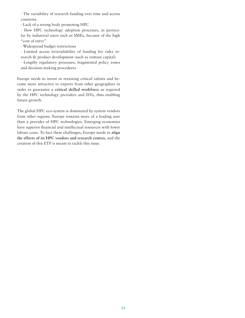· The variability of research funding over time and across countries

· Lack of a strong body promoting HPC

· Slow HPC technology adoption processes, in particular by industrial users such as SMEs, because of the high "cost of entry"

· Widespread budget restrictions

· Limited access to/availability of funding for risky research & product development (such as venture capital)

· Lengthy regulatory processes, fragmented policy zones and decision-making procedures

Europe needs to invest in retaining critical talents and become more attractive to experts from other geographies in order to guarantee a **critical skilled workforce** as required by the HPC technology providers and ISVs, thus enabling future growth.

The global HPC eco-system is dominated by system vendors from other regions. Europe remains more of a leading user than a provider of HPC technologies. Emerging economies have superior financial and intellectual resources with lower labour costs. To face these challenges, Europe needs to **align the efforts of its HPC vendors and research centres**, and the creation of this ETP is meant to tackle this issue.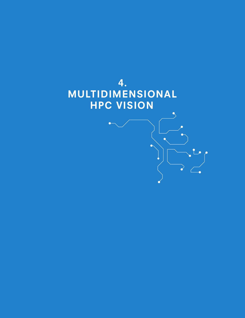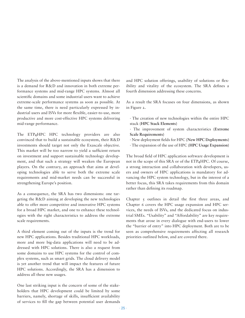The analysis of the above-mentioned inputs shows that there is a demand for R&D and innovation in both extreme performance systems and mid-range HPC systems. Almost all scientific domains and some industrial users want to achieve extreme-scale performance systems as soon as possible. At the same time, there is need particularly expressed by industrial users and ISVs for more flexible, easier-to-use, more productive and more cost-effective HPC systems delivering mid-range performance.

The ETP4HPC HPC technology providers are also convinced that to build a sustainable ecosystem, their R&D investments should target not only the Exascale objective. This market will be too narrow to yield a sufficient return on investment and support sustainable technology development, and that such a strategy will weaken the European players. On the contrary, an approach that aims at developing technologies able to serve both the extreme scale requirements and mid-market needs can be successful in strengthening Europe's position.

As a consequence, the SRA has two dimensions: one targeting the R&D aiming at developing the new technologies able to offer more competitive and innovative HPC systems for a broad HPC market, and one to enhance these technologies with the right characteristics to address the extreme scale requirements.

A third element coming out of the inputs is the trend for new HPC applications. Besides traditional HPC workloads, more and more big-data applications will need to be addressed with HPC solutions. There is also a request from some domains to use HPC systems for the control of complex systems, such as smart grids. The cloud delivery model is yet another trend that will impact the features of future HPC solutions. Accordingly, the SRA has a dimension to address all these new usages.

One last striking input is the concern of some of the stakeholders that HPC development could be limited by some barriers, namely, shortage of skills, insufficient availability of services to fill the gap between potential user demands and HPC solution offerings, usability of solutions or flexibility and vitality of the ecosystem. The SRA defines a fourth dimension addressing these concerns.

As a result the SRA focuses on four dimensions, as shown in Figure 2.

- · The creation of new technologies within the entire HPC stack **(HPC Stack Elements)**
- · The improvement of system characteristics **(Extreme Scale Requirements)**
- · New deployment fields for HPC **(New HPC Deployments)**
- · The expansion of the use of HPC **(HPC Usage Expansion)**

The broad field of HPC application software development is not in the scope of this SRA or of the ETP4HPC. Of course, a strong interaction and collaboration with developers, users and owners of HPC applications is mandatory for advancing the HPC system technology, but in the interest of a better focus, this SRA takes requirements from this domain rather than defining its roadmap.

Chapter 5 outlines in detail the first three areas, and Chapter 6 covers the HPC usage expansion and HPC services, the needs of ISVs, and the dedicated focus on industrial SMEs. "Usability" and "Affordability" are key requirements that arose in every dialogue with end-users to lower the "barrier of entry" into HPC deployment. Both are to be seen as comprehensive requirements affecting all research priorities outlined below, and are covered there.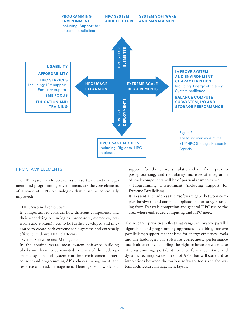

# HPC stack elements

The HPC system architecture, system software and management, and programming environments are the core elements of a stack of HPC technologies that must be continually improved:

#### · HPC System Architecture

It is important to consider how different components and their underlying technologies (processors, memories, networks and storage) need to be further developed and integrated to create both extreme scale systems and extremely efficient, mid-size HPC platforms.

#### · System Software and Management

In the coming years, most system software building blocks will have to be revisited in terms of the node operating system and system run-time environment, interconnect and programming APIs, cluster management, and resource and task management. Heterogeneous workload support for the entire simulation chain from pre- to post-processing, and modularity and ease of integration of stack components will be of particular importance.

· Programming Environment (including support for Extreme Parallelism)

It is essential to address the "software gap" between complex hardware and complex applications for targets ranging from Exascale computing and general HPC use to the area where embedded computing and HPC meet.

The research priorities reflect that range: innovative parallel algorithms and programming approaches; enabling massive parallelism; support mechanisms for energy efficiency; tools and methodologies for software correctness, performance and fault tolerance enabling the right balance between ease of programming, portability and performance, static and dynamic techniques; definition of APIs that will standardise interactions between the various software tools and the system/architecture management layers.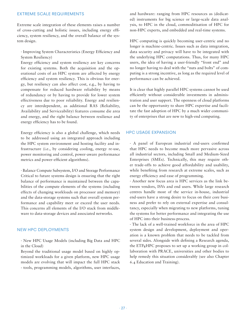# Extreme scale requirements

Extreme scale integration of these elements raises a number of cross-cutting and holistic issues, including energy efficiency, system resiliency, and the overall balance of the system design.

· Improving System Characteristics (Energy Efficiency and System Resiliency)

Energy efficiency and system resiliency are key concerns for existing systems. Both the acquisition and the operational costs of an HPC system are affected by energy efficiency and system resiliency. This is obvious for energy, but resiliency can also affect cost, e.g., by having to compensate for reduced hardware reliability by means of redundancy or by having to provide for lower system effectiveness due to poor reliability. Energy and resiliency are interdependent, as additional RAS (Reliability, Availability and Serviceability) features consume die area and energy, and the right balance between resilience and energy efficiency has to be found.

Energy efficiency is also a global challenge, which needs to be addressed using an integrated approach including the HPC system environment and hosting facility and infrastructure (i.e., by considering cooling, energy re-use, power monitoring and control, power-aware performance metrics and power-efficient algorithms).

· Balance Compute Subsystem, I/O and Storage Performance Critical to future systems design is ensuring that the right balance of performance is maintained between the capabilities of the compute elements of the systems (including effects of changing workloads on processor and memory) and the data-storage systems such that overall system performance and capability meet or exceed the user needs. This concerns all elements of the I/O stack from middleware to data-storage devices and associated networks.

#### New HPC deployments

· New HPC Usage Models (including Big Data and HPC in the Cloud)

Beyond the traditional usage model based on highly optimized workloads for a given platform, new HPC usage models are evolving that will impact the full HPC stack - tools, programming models, algorithms, user interfaces, and hardware: ranging from HPC resources as (dedicated) instruments for big science or large-scale data analysis, to HPC in the cloud, commoditisation of HPC for non-HPC experts, and embedded and real-time systems.

HPC computing is quickly becoming user-centric and no longer is machine-centric. Issues such as data integration, data security and privacy will have to be integrated with the underlying HPC computations. Thus, for many HPC users, the idea of having a user-friendly "front end" and no longer having to deal with the "nuts and bolts" of computing is a strong incentive, as long as the required level of performance can be achieved.

It is clear that highly parallel HPC systems cannot be used efficiently without considerable investments in administration and user support. The openness of cloud platforms can be the opportunity to share HPC expertise and facilitate the fast adoption of HPC by a much wider community of enterprises that are new to high-end computing.

#### HPC Usage expansion

· A panel of European industrial end-users confirmed that HPC needs to become much more pervasive across all industrial sectors, including Small and Medium-Sized Enterprises (SMEs). Technically, this may require other trade-offs to achieve good affordability and usability, while benefiting from research at extreme scales, such as energy efficiency and ease of programming.

· Another new focus area is HPC services as the link between vendors, ISVs and end users. While large research centres handle most of the service in-house, industrial end-users have a strong desire to focus on their core business and prefer to rely on external expertise and consultancy, especially when migrating to new platforms, tuning the systems for better performance and integrating the use of HPC into their business-process.

· The lack of a well-trained workforce in the area of HPC system design and development, deployment and operation is a known problem that needs to be tackled from several sides. Alongside with defining a Research agenda, the ETP4HPC proposes to set up a working group in collaboration with PRACE, universities and other bodies to help remedy this situation considerably (see also Chapter 6.4 Education and Training).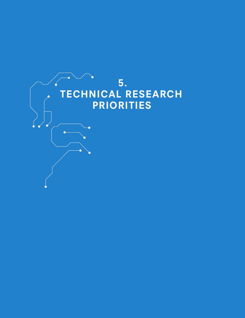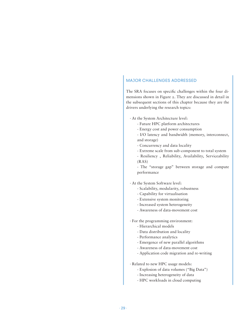# Major challenges addressed

The SRA focuses on specific challenges within the four dimensions shown in Figure 2. They are discussed in detail in the subsequent sections of this chapter because they are the drivers underlying the research topics:

- · At the System Architecture level:
	- Future HPC platform architectures
	- Energy cost and power consumption
	- I/O latency and bandwidth (memory, interconnect, and storage)
	- Concurrency and data locality
	- Extreme scale from sub-component to total system
	- Resiliency , Reliability, Availability, Serviceability (RAS)

- The "storage gap" between storage and compute performance

#### · At the System Software level:

- Scalability, modularity, robustness
- Capability for virtualisation
- Extensive system monitoring
- Increased system heterogeneity
- Awareness of data-movement cost

· For the programming environment:

- Hierarchical models
- Data distribution and locality
- Performance analytics
- Emergence of new parallel algorithms
- Awareness of data-movement cost
- Application code migration and re-writing

· Related to new HPC usage models:

- Explosion of data volumes ("Big Data")
- Increasing heterogeneity of data
- HPC workloads in cloud computing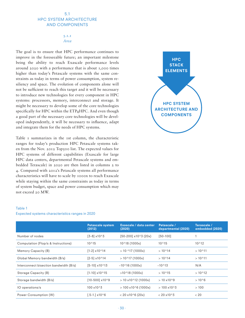# 5.1 HPC System Architecture and Components

#### 5.1.1 *Area*

The goal is to ensure that HPC performance continues to improve in the foreseeable future; an important milestone being the ability to reach Exascale performance levels around 2020 with a performance that is about 1,000 times higher than today's Petascale systems with the same constraints as today in terms of power consumption, system resiliency and space. The evolution of components alone will not be sufficient to reach this target and it will be necessary to introduce new technologies for every component in HPC systems: processors, memory, interconnect and storage. It might be necessary to develop some of the core technologies specifically for HPC within the ETP4HPC. And even though a good part of the necessary core technologies will be developed independently, it will be necessary to influence, adapt and integrate them for the needs of HPC systems.

Table 1 summarizes in the 1st column, the characteristic ranges for today's production HPC Petascale systems taken from the Nov. 2012 Top500 list. The expected values for HPC systems of different capabilities (Exascale for large HPC data centers, departmental Petascale systems and embedded Terascale) in 2020 are then listed in columns 2 to 4. Compared with 2012's Petascale systems all performance characteristics will have to scale by 1000x to reach Exascale while staying within the same constraints as today in terms of system budget, space and power consumption which may not exceed 20 MW.

#### Table 1

#### Expected systems characteristics ranges in 2020

|                                        | <b>Petascale system</b><br>(2012) | Exascale / data center<br>(2020)   | Petascale /<br>departmental (2020) | Terascale /<br>embedded (2020) |
|----------------------------------------|-----------------------------------|------------------------------------|------------------------------------|--------------------------------|
| Number of nodes                        | $[3-8] \times 10^{8}$             | $[50-200] \times 10^{3}$ (20x)     | $[50-100]$                         |                                |
| Computation (Flop/s & Instructions)    | $10^{4}15$                        | 10^18 (1000x)                      | $10^{15}$                          | $10^{4}12$                     |
| Memory Capacity (B)                    | $[1-2] \times 10^{14}$            | $> 10$ ^17 (1000x)                 | $>10^{\circ}14$                    | $>10^{11}$                     |
| Global Memory bandwidth (B/s)          | $[2-5] \times 10^{14}$            | $>10^{17}$ (1000x)                 | $>10^{\circ}14$                    | $>10^{11}$                     |
| Interconnect bisection bandwidth (B/s) | [5-10] x10^13                     | $~10^{16}$ (1000x)                 | $~10^{13}$                         | N/A                            |
| Storage Capacity (B)                   | $[1-10] \times 10^{15}$           | $>10^{18}$ (1000x)                 | $>10^{15}$                         | $>10^{11}$                     |
| Storage bandwidth (B/s)                | $[10 - 500] x10^{9}$              | $> 10 \times 10^{\circ}12$ (1000x) | $>10x10^{0}9$                      | $>10^{6}$                      |
| IO operations/s                        | 100 x10^3                         | $> 100 \times 10^{6}$ (1000x)      | $> 100 \times 10^{3}$              | >100                           |
| Power Consumption (W)                  | $[.5-1.] \times 10^{6}$           | $< 20 \times 10^{6}$ (20x)         | $< 20 x10^{3}$                     | < 20                           |

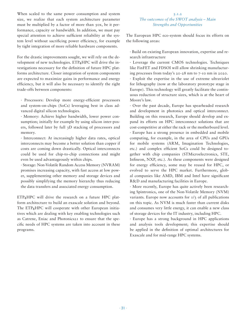When scaled to the same power consumption and system size, we realize that each system architecture parameter must be multiplied by a factor of more than 50x, be it performance, capacity or bandwidth. In addition, we must pay special attention to achieve sufficient reliability at the system level without sacrificing power efficiency, for example by tight integration of more reliable hardware components.

For the drastic improvements sought, we will rely on the development of new technologies. ETP4HPC will drive the investigations necessary for the definition of future HPC platforms architecture. Closer integration of system components are expected to maximize gains in performance and energy efficiency, but it will also be necessary to identify the right trade-offs between components:

· Processors: Develop more energy-efficient processors and system-on-chips (SoCs) leveraging best in class advanced digital silicon technologies.

· Memory: Achieve higher bandwidth, lower power consumption; initially for example by using silicon inter-posers, followed later by full 3D stacking of processors and memory.

· Interconnect: At increasingly higher data rates, optical interconnects may become a better solution than copper if costs are coming down drastically. Optical interconnects could be used for chip-to-chip connections and might even be used advantageously within chips.

· Storage: Non-Volatile Random Access Memory (NVRAM) promises increasing capacity, with fast access at low power, supplementing other memory and storage devices and possibly simplifying the memory hierarchy thus reducing the data transfers and associated energy consumption.

ETP4HPC will drive the research on a future HPC platform architecture to build an exascale solution and beyond. The ETP4HPC will cooperate with other European initiatives which are dealing with key enabling technologies such as Catrene, Eniac and Photonics21 to ensure that the specific needs of HPC systems are taken into account in these programs.

# 5.1.2 *The outcomes of the SWOT analysis – Main Strengths and Opportunities*

The European HPC eco-system should focus its efforts on the following areas:

· Build on existing European innovation, expertise and research infrastructure

· Leverage the current CMOS technologies. Techniques like FinFET and FDSOI will allow shrinking manufacturing processes from today's 20-28 nm to 7-10 nm in 2020. · Exploit the expertise in the use of extreme ultraviolet for lithography (now at the laboratory prototype stage in Europe). This technology will greatly facilitate the continuous reduction of structure sizes, which is at the heart of Moore's law.

· Over the past decade, Europe has spearheaded research and development in photonics and optical interconnect. Building on this research, Europe should develop and expand its efforts on HPC interconnect solutions that are cost-competitive at either the rack or the motherboard level. · Europe has a strong presence in embedded and mobile computing, for example, in the area of CPUs and GPUs for mobile systems (ARM, Imagination Technologies, etc.) and complex efficient SoCs could be designed together with chip companies (STMicroelectronics, STE, Infineon, NXP, etc.). As these components were designed for energy efficiency, some may be reused for HPC, or evolved to serve the HPC market. Furthermore, global companies like AMD, IBM and Intel have significant R&D and manufacturing facilities in Europe.

· More recently, Europe has quite actively been researching Spintronics, one of the Non-Volatile Memory (NVM) variants. Europe now accounts for  $\frac{1}{3}$  of all publications on this topic. As NVM is much faster than current disks and consumes very little energy, it can enable a new class of storage devices for the IT industry, including HPC.

· Europe has a strong background in HPC applications and analysis tools development; this expertise should be applied in the definition of optimal architectures for Exascale and for mid-range HPC systems.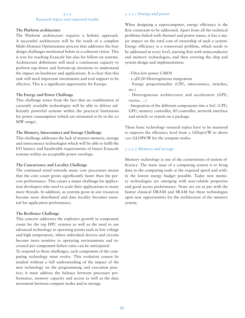# 5.1.3 *Research topics and expected results*

# **The Platform architecture**

The Platform architecture requires a holistic approach. A successful architecture will be the result of a complete Multi-Domain Optimization process that addresses the four design challenges mentioned below in a coherent vision. This is true for reaching Exascale but also for follow-on systems. Architecture definitions will need a continuous capacity to perform top-down and bottom-up iterations to understand the impact on hardware and applications. It is clear that this task will need important investments and tool support to be effective. This is a significant opportunity for Europe.

#### **The Energy and Power Challenge**

This challenge arises from the fact that no combination of currently available technologies will be able to deliver sufficiently powerful systems within the practical limitations for power consumption (which are estimated to be in the 20 MW range).

## **The Memory, Interconnect and Storage Challenge**

This challenge addresses the lack of mature memory, storage and interconnect technologies which will be able to fulfil the I/O latency and bandwidth requirements of future Exascale systems within an acceptable power envelope.

# **The Concurrency and Locality Challenge**

The continued trend towards many core processors means that the core count grows significantly faster than the percore performance. This causes a major challenge for application developers who need to scale their applications to many more threads. In addition, as systems grow in size resources become more distributed and data locality becomes essential for application performance.

# **The Resilience Challenge**

This concern addresses the explosive growth in component count for the top HPC systems as well as the need to use advanced technology at operating points such as low voltage and high temperature, where individual devices and circuits become more sensitive to operating environments and increased per-component failure rates can be anticipated.

To respond to these challenges, each component of the computing technology must evolve. This evolution cannot be studied without a full understanding of the impact of the new technology on the programming and execution practice; it must address the balance between processor performance, memory capacity and access as well as the data movement between compute nodes and to storage.

# *5.1.3.1 Energy and power*

When designing a supercomputer, energy efficiency is the first constraint to be addressed. Apart from all the technical problems linked with thermal and power issues, it has a major impact on the total cost of ownership of such a system. Energy efficiency is a transversal problem, which needs to be addressed at every level, starting first with semiconductor and memory technologies, and then covering the chip and system design and implementation.

- · Ultra-low power CMOS
- · 2.5D/3D Heterogeneous integration
- · Energy proportionality (CPU, interconnect, switches, etc.)
- · Heterogeneous architectures and accelerators (GPU, vector, …)
- · Integration of the different components into a SoC (CPU, GPU, memory controller, IO controller, network interface and switch) or system on a package.

These basic technology research topics have to be mastered to improve the efficiency level from 2 GFlop/s/W to above 100 GLOPS/W for the compute nodes.

# *5.1.3.2 Memory and storage*

Memory technology is one of the cornerstones of system efficiency. The main issue of a computing system is to bring data to the computing node at the required speed and within the lowest energy budget possible. Today new memory technologies are emerging with non-volatile properties and good access performance. None are yet at par with the fastest classical DRAM and SRAM but these technologies open new opportunities for the architecture of the memory system.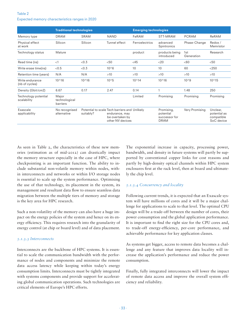| <b>Traditional technologies</b>     |                                    |             |                                                                                                        | <b>Emerging technologies</b> |                                                         |                   |                                                      |
|-------------------------------------|------------------------------------|-------------|--------------------------------------------------------------------------------------------------------|------------------------------|---------------------------------------------------------|-------------------|------------------------------------------------------|
| Memory type                         | <b>DRAM</b>                        | <b>SRAM</b> | <b>NAND</b>                                                                                            | FeRAM                        | STT-MRAM                                                | <b>PCRAM</b>      | ReRAM                                                |
| Physical effect<br>at work          | Silicon                            | Silicon     | Tunnel effect                                                                                          | Ferroelectrics               | advanced<br>Spintronics                                 | Phase-Change      | Redox/<br>Memristor                                  |
| Technology status                   | Mature                             |             |                                                                                                        | product                      | products being<br>introduced                            | 1st<br>Generation | Research                                             |
| Read time (ns)                      | <1                                 | < 0.3       | < 50                                                                                                   | <45                          | $<$ 20                                                  | <60               | < 50                                                 |
| Write erase time(ns)                | < 0.5                              | < 0.3       | $10^{6}$                                                                                               | 10                           | 10                                                      | 60                | $<$ 250                                              |
| Retention time (years)              | N/A                                | N/A         | $>10$                                                                                                  | $>10$                        | >10                                                     | >10               | >10                                                  |
| Write endurance<br>(nb of cycles)   | 10^16                              | $10^{4}16$  | $10^{5}$                                                                                               | $10^{14}$                    | $10^{4}16$                                              | $10^{0.9}$        | $10^{4}15$                                           |
| Density (Gbit/cm2)                  | 6.67                               | 0.17        | 2.47                                                                                                   | 0.14                         | $\mathbf{1}$                                            | 1.48              | 250                                                  |
| Technology potential<br>scalability | Major<br>technological<br>barriers |             |                                                                                                        | Limited                      | Promising                                               | Promising         | Promising                                            |
| Exascale<br>applicability           | No recognised<br>alternative       | suitably?   | Potential to scale Tech barriers and Unlikely<br>endurance, may<br>be overtaken by<br>other NV devices |                              | Promising,<br>potential<br>successor for<br><b>DRAM</b> | Very Promising    | Unclear,<br>potential as<br>compatible<br>SoC device |

As seen in Table 2, the characteristics of these new memories (estimation as of mid-2012) can drastically impact the memory structure especially in the case of HPC, where checkpointing is an important function. The ability to include substantial non-volatile memory within nodes, within interconnects and networks or within I/O storage nodes is essential to scale up the system performance. Optimising the use of that technology, its placement in the system, its management and resultant data flow to ensure seamless data migration between the multiple tiers of memory and storage is the key area for HPC research.

Such a non-volatility of the memory can also have a huge impact on the energy policies of the system and hence on its energy efficiency. This requires research into the granularity of energy control (at chip or board level) and of data placement.

#### *5.1.3.3 Interconnects*

Interconnects are the backbone of HPC systems. It is essential to scale the communication bandwidth with the performance of nodes and components and minimize the remote data access latency while keeping within today's energy consumption limits. Interconnects must be tightly integrated with systems components and provide support for accelerating global communication operations. Such technologies are critical elements of Europe's HPC efforts.

The exponential increase in capacity, processing power, bandwidth, and density in future systems will partly be supported by conventional copper links for cost reasons and partly by high-density optical channels within HPC system enclosures first at the rack level, then at board and ultimately the chip level.

# *5.1.3.4 Concurrency and locality*

Following current trends, it is expected that an Exascale system will have millions of cores and it will be a major challenge for applications to scale to that level. The optimal CPU design will be a trade-off between the number of cores, their power consumption and the global application performance. It is important to find the right size for the CPU cores and, to trade-off energy-efficiency, per-core performance, and achievable performance for key application classes.

As systems get bigger, access to remote data becomes a challenge and any feature that improves data locality will increase the application's performance and reduce the power consumption.

Finally, fully integrated interconnects will lower the impact of remote data access and improve the overall system efficiency and reliability.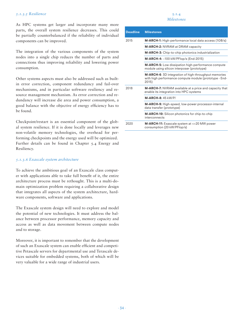## *5.1.3.5 Resilience*

As HPC systems get larger and incorporate many more parts, the overall system resilience decreases. This could be partially counterbalanced if the reliability of individual components can be improved.

The integration of the various components of the system nodes into a single chip reduces the number of parts and connections thus improving reliability and lowering power consumption.

Other systems aspects must also be addressed such as builtin error correction, component redundancy and fail-over mechanisms, and in particular software resiliency and resource management mechanism. As error correction and redundancy will increase die area and power consumption, a good balance with the objective of energy efficiency has to be found.

Checkpoint/restart is an essential component of the global system resilience. If it is done locally and leverages new non-volatile memory technologies, the overhead for performing checkpoints and the energy used will be optimized. Further details can be found in Chapter 5.4 Energy and Resiliency.

#### *5.1.3.6 Exascale system architecture*

To achieve the ambitious goal of an Exascale class computer with applications able to take full benefit of it, the entire architecture process must be rethought. This is a multi-domain optimization problem requiring a collaborative design that integrates all aspects of the system architecture, hardware components, software and applications.

The Exascale system design will need to explore and model the potential of new technologies. It must address the balance between processor performance, memory capacity and access as well as data movement between compute nodes and to storage.

Moreover, it is important to remember that the development of such an Exascale system can enable efficient and competitive Petascale servers for departmental use and Terascale devices suitable for embedded systems, both of which will be very valuable for a wide range of industrial users.

#### 5.1.4 *Milestones*

| <b>Deadline</b> | <b>Milestones</b>                                                                                                              |
|-----------------|--------------------------------------------------------------------------------------------------------------------------------|
| 2015            | <b>M-ARCH-1:</b> High-performance local data access (1GB/s)                                                                    |
|                 | M-ARCH-2: NVRAM at DRAM capacity                                                                                               |
|                 | <b>M-ARCH-3:</b> Chip-to-chip photonics industrialization                                                                      |
|                 | <b>M-ARCH-4:</b> $\sim$ 100 kW/PFlop/s (End-2015)                                                                              |
|                 | <b>M-ARCH-5:</b> Low dissipation high-performance compute<br>module using silicon interposer (prototype)                       |
|                 | <b>M-ARCH-6:</b> 3D integration of high-throughput memories<br>with high performance compute module (prototype - End-<br>2015) |
| 2018            | M-ARCH-7: NVRAM available at a price and capacity that<br>enable its integration into HPC systems                              |
|                 | <b>M-ARCH-8: 45 kW/P/</b>                                                                                                      |
|                 | <b>M-ARCH-9:</b> High-speed, low-power processor-internal<br>data transfer (prototype)                                         |
|                 | <b>M-ARCH-10:</b> Silicon photonics for chip-to-chip<br>interconnects                                                          |
| 2020            | <b>M-ARCH-11:</b> Exascale system at <=20 MW power<br>consumption (20 kW/PFlop/s)                                              |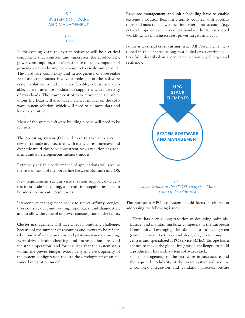# 5.2 System Software and Management

## 5.2.1 *Area*

In the coming years the system software will be a critical component that controls and supervises the productivity, power consumption, and the resilience of supercomputers of growing scale and complexity – up to Exascale and beyond. The hardware complexity and heterogeneity of foreseeable Exascale components involve a redesign of the software system solution to make it more flexible, robust, and scalable, as well as more modular to support a wider diversity of workloads. The power cost of data movement and ubiquitous Big Data will also have a critical impact on the software system solution, which will need to be more data and locality sensitive.

Most of the system software building blocks will need to be revisited:

The **operating system (OS)** will have to take into account new intra-node architectures with many cores, intensive and dynamic multi-threaded concurrent task execution environment, and a heterogeneous memory model.

Extremely scalable performance of applications will require the re-definition of the borderline between **Runtime and OS**.

New requirements such as virtualization support, data centric intra-node scheduling, and real-time capabilities need to be added to current OS solutions.

Interconnect management needs to reflect affinity, congestion control, dynamic routing, topologies, and diagnostics, and to allow the control of power consumption of the fabric.

**Cluster management** will face a real monitoring challenge, because of the number of resources and events to be reflected in on-the-fly data analysis and post-mortem data mining. Event-driven health-checking and introspection are vital for stable operation, and for ensuring that the system stays within the power budget. Modularity and heterogeneity of the system configuration require the development of an advanced integration model.

**Resource management and job scheduling** have to enable extreme allocation flexibility, tightly coupled with applications and must take new allocation criteria into account (e.g. network topologies, interconnect bandwidth, I/O associated workflow, CPU architectures, power targets and caps).

Power is a critical cross cutting issue. All Power items mentioned in this chapter belong to a global cross cutting solution fully described in a dedicated section 5.4 Energy and resiliency.



5.2.2 *The outcomes of the SWOT analysis – Main issues to be addressed*

The European HPC eco-system should focus its efforts on addressing the following issues:

· There has been a long tradition of designing, administrating, and maintaining large computers in the European Community. Leveraging the skills of a full ecosystem (computer manufacturers and designers, large computer centres and specialized HPC service SMEs), Europe has a chance to tackle the global integration challenges to build a production Exascale system software stack.

· The heterogeneity of the hardware infrastructure and the required modularity of the target system will require a complex integration and validation process, on-site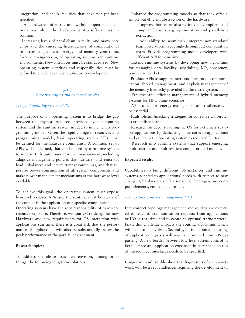integration, and check facilities that have not yet been specified.

· A hardware infrastructure without open specifications may inhibit the development of a software system solution.

· Increasing levels of parallelism in multi- and many-core chips and the emerging heterogeneity of computational resources coupled with energy and memory constraints force a re-engineering of operating systems and runtime environments. New interfaces must be standardized. New operating system identities and responsibilities must be defined to enable advanced applications development

#### 5.2.3 *Research topics and expected results*

#### *5.2.3.1 Operating system (OS)*

The purpose of an operating system is to bridge the gap between the physical resources provided by a computing system and the runtime system needed to implement a programming model. Given the rapid change in resources and programming models, basic operating system APIs must be defined for the Exascale community. A common set of APIs will be defined, that can be used by a runtime system to support fully autonomic resource management, including adaptive management policies that identify, and react to, load imbalances and intermittent resource loss, and that supervise power consumption of all system components and make power management mechanisms at the hardware level available.

To achieve this goal, the operating system must expose low-level resource APIs and the runtime must be aware of the context in the application of a specific computation.

Operating systems have the root responsibility of hardware resource exposure. Therefore, without OS re-design for new Hardware and new requirements for OS interaction with applications run time, there is a great risk that the performance of applications will also be substantially below the peak performance of the parallel environment.

#### **Research topics:**

To address the above issues we envision, among other things, the following long-term solutions:

· Enhance the programming models so that they offer a simple but efficient abstraction of the hardware.

- Improve hardware abstractions in compilers and compiler features, e.g. optimization and parallelism extraction.
- Add ability to seamlessly integrate non-standard (e.g. power-optimized, high-throughput) computation cores. Provide programming model developers with efficient API for run-time.

· Extend runtime systems by developing new algorithms for managing data locality, scheduling, I/O, coherency, power use etc. better

· Produce APIs to support inter- and intra-node communication, thread management, and explicit management of the memory hierarchy provided by the entire system.

· Effective and efficient management of hybrid memory systems for HPC usage scenarios.

· APIs to support energy management and resilience will be essential.

· Fault tolerant/masking strategies for collective OS services are indispensable.

· Research on deconstructing the OS for extremely scalable applications by dedicating some cores to applications and others to the operating system to reduce OS jitter.

· Research into runtime systems that support emerging fault-tolerant and fault-resilient computational models.

#### **Expected results**

Capabilities to build different OS instances and runtime systems adapted to applications´ needs with respect to new emerging hardware specifications, e.g. heterogeneous compute elements, embedded cores, etc.

#### *5.2.3.2 Interconnect management (IC)*

Interconnect topology management and routing are expected to react to communication requests from applications or I/O in real time and to create an optimal traffic pattern. First, this challenge impacts the routing algorithms which will need to be involved. Secondly, optimization and scaling of application requests will require more and more OS bypassing. A new border between low level system control in kernel space and application execution in user space on top of interconnect interfaces needs to be specified.

Congestion and trouble-shooting diagnostics of such a network will be a real challenge, requiring the development of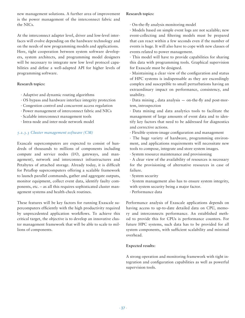new management solutions. A further area of improvement is the power management of the interconnect fabric and the NICs.

At the interconnect adapter level, driver and low-level interfaces will evolve depending on the hardware technology and on the needs of new programming models and applications. Here, tight cooperation between system software developers, system architects, and programming model designers will be necessary to integrate new low level protocol capabilities and define a well-adapted API for higher levels of programming software.

### **Research topics:**

- · Adaptive and dynamic routing algorithms
- · OS bypass and hardware interface integrity protection
- · Congestion control and concurrent access regulation
- · Power management of interconnect fabric and NICs
- · Scalable interconnect management tools
- · Intra-node and inter-node network model

# *5.2.3.3 Cluster management software (CM)*

Exascale supercomputers are expected to consist of hundreds of thousands to millions of components including compute and service nodes (I/O, gateways, and management), network and interconnect infrastructures and Petabytes of attached storage. Already today, it is difficult for Petaflop supercomputers offering a scalable framework to launch parallel commands, gather and aggregate outputs, monitor equipment, collect event data, identify faulty components, etc. – as all this requires sophisticated cluster management systems and health-check routines.

These features will be key factors for running Exascale supercomputers efficiently with the high productivity required by unprecedented application workflows. To achieve this critical target, the objective is to develop an innovative cluster management framework that will be able to scale to millions of components.

# **Research topics:**

· On-the-fly analysis monitoring model

· Models based on simple event logs are not scalable; new event-collecting and filtering models must be prepared that can react within a few seconds even if the number of events is huge. It will also have to cope with new classes of events related to power management.

· This model will have to provide capabilities for sharing this data with programming tools. Graphical supervision for Exascale must be designed.

· Maintaining a clear view of the configuration and status of HPC systems is indispensable as they are exceedingly complex and susceptible to small perturbations having an extraordinary impact on performance, consistency, and usability.

· Data mining , data analysis — on-the-fly and post-mortem, introspection

· Data mining and data analytics tools to facilitate the management of large amounts of event data and to identify key factors that need to be addressed for diagnostics and corrective actions.

- · Flexible system-image configuration and management
- · The huge variety of hardware, programming environment, and applications requirements will necessitate new tools to compose, integrate and store system images.

· System resource maintenance and provisioning

· A clear view of the availability of resources is necessary for the provisioning of alternative resources in case of failure.

- · System security
- · System management also has to ensure system integrity, with system security being a major factor.
- · Performance data

Performance analysis of Exascale applications depends on having access to up-to-date detailed data on CPU, memory and interconnects performance. An established method to provide this for CPUs is performance counters. For future HPC systems, such data has to be provided for all system components, with sufficient scalability and minimal overhead.

# **Expected results:**

A strong operation and monitoring framework with tight integration and configuration capabilities as well as powerful supervision tools.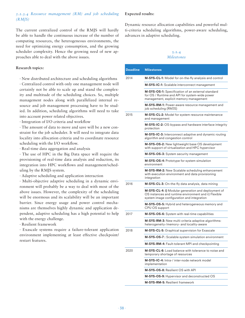# *5.2.3.4 Resource management (RM) and job scheduling (RMJS)*

The current centralized control of the RMJS will hardly be able to handle the continuous increase of the number of computing resources, the heterogeneous environments, the need for optimizing energy consumption, and the growing scheduler complexity. Hence the growing need of new approaches able to deal with the above issues.

### **Research topics:**

· New distributed architecture and scheduling algorithms

· Centralized control with only one management node will certainly not be able to scale up and stand the complexity and multitude of the scheduling choices. So, multiple management nodes along with parallelized internal resource and job management processing have to be studied. In addition, scheduling algorithms will need to take into account power related objectives.

· Integration of I/O criteria and workflow

· The amount of data to move and save will be a new constraint for the job scheduler. It will need to integrate data locality into allocation criteria and to coordinate resource scheduling with the I/O workflow.

· Real-time data aggregation and analysis

· The use of HPC in the Big Data space will require the provisioning of real-time data analysis and reduction, its integration into HPC workflows and management/scheduling by the RMJS system.

· Adaptive scheduling and application interaction

· Multi-objective adaptive scheduling in a dynamic environment will probably be a way to deal with most of the above issues. However, the complexity of the scheduling will be enormous and its scalability will be an important barrier. Since energy usage and power control mechanisms are themselves highly dynamic and application dependent, adaptive scheduling has a high potential to help with the energy challenge.

· Resilient framework

· Exascale systems require a failure-tolerant application environment implementing at least effective checkpoint/ restart features.

### **Expected results:**

Dynamic resource allocation capabilities and powerful multi-criteria scheduling algorithms, power-aware scheduling, advances in adaptive scheduling.

### 5.2.4 *Milestones*

| <b>Deadline</b> | <b>Milestones</b>                                                                                                                                          |
|-----------------|------------------------------------------------------------------------------------------------------------------------------------------------------------|
| 2014            | <b>M-SYS-CL-1:</b> Model for on-the-fly analysis and control                                                                                               |
|                 | M-SYS-IC-1: Scalable interconnect management                                                                                                               |
|                 | M-SYS-OS-1: Specification of an external standard<br>for OS / Runtime and API for system-wide power<br>management, explicit memory management              |
|                 | M-SYS-RM-1: Power-aware resource management and<br>job scheduling (RMJS)                                                                                   |
| 2015            | <b>M-SYS-CL-2:</b> Model for system resource maintenance<br>and management                                                                                 |
|                 | M-SYS-IC-2: OS-bypass and hardware interface integrity<br>protection                                                                                       |
|                 | M-SYS-IC-3: Interconnect adaptive and dynamic routing<br>algorithm and congestion control                                                                  |
|                 | M-SYS-OS-2: New lightweight base OS development<br>with support of virtualization and HPC hypervisor                                                       |
|                 | M-SYS-OS-3: System security management                                                                                                                     |
|                 | M-SYS-OS-4: Prototype for system simulation<br>environment                                                                                                 |
|                 | M-SYS-RM-2: New Scalable scheduling enhancement<br>with execution environment and data provisioning<br>integration                                         |
| 2016            | M-SYS-CL-3: On-the-fly data analysis, data mining                                                                                                          |
|                 | M-SYS-CL-4: i) Modular generation and deployment of<br>OS instances and runtime environment and ii) Flexible<br>system image configuration and integration |
|                 | M-SYS-OS-5: Hybrid and heterogeneous memory and<br>CPU OS support                                                                                          |
| 2017            | M-SYS-OS-6: System with real-time capabilities                                                                                                             |
|                 | M-SYS-RM-3: New multi-criteria adaptive algorithms:<br>heterogeneity-/memory- and locality-aware                                                           |
| 2018            | M-SYS-CL-5: Graphical supervision for Exascale                                                                                                             |
|                 | M-SYS-OS-7 : Scalable system simulation environment                                                                                                        |
|                 | M-SYS-RM-4: Fault-tolerant MPI and checkpointing                                                                                                           |
| 2020            | M-SYS-CL-6: Load balance with tolerance to noise and<br>temporary shortage of resources                                                                    |
|                 | M-SYS-IC-4: Intra-/ inter-node network model<br>implementation                                                                                             |
|                 | M-SYS-OS-8: Resilient OS with API                                                                                                                          |
|                 | <b>M-SYS-OS-9:</b> Hypervisor and deconstructed OS                                                                                                         |
|                 | M-SYS-RM-5: Resilient framework                                                                                                                            |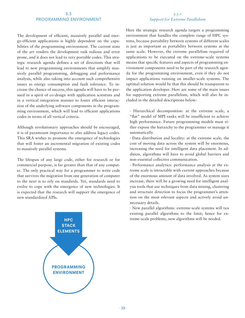### 5.3 Programming Environment

### 5.3.1 *Support for Extreme Parallelism*

The development of efficient, massively parallel and energy-efficient applications is highly dependent on the capabilities of the programming environment. The current state of the art renders the development task tedious and error prone, and it does not lead to very portable codes. This strategic research agenda defines a set of directions that will lead to new programming environments that simplify massively parallel programming, debugging and performance analysis, while also taking into account such comprehensive issues as energy consumption and fault tolerance. To increase the chance of success, this agenda will have to be pursued in a spirit of co-design with application scientists and in a vertical integration manner to foster efficient interaction of the underlying software components in the programming environment, which will lead to efficient applications codes in terms of all vertical criteria.

Although revolutionary approaches should be encouraged, it is of paramount importance to also address legacy codes. This SRA wishes to promote the emergence of technologies that will foster an incremental migration of existing codes to massively parallel systems.

The lifespan of any large code, either for research or for commercial purpose, is far greater than that of any computer. The only practical way for a programmer to write code that survives the migration from one generation of computer to the next is to rely on standards. Yet, standards need to evolve to cope with the emergence of new technologies. It is expected that the research will support the emergence of new standardized APIs.



Here the strategic research agenda targets a programming environment that handles the complete range of HPC systems, because portability between systems of different scales is just as important as portability between systems at the same scale. However, the extreme parallelism required of applications to be executed on the extreme-scale systems means that specific features and aspects of programming environment components need to be part of the research agenda for the programming environment, even if they do not impact applications running on smaller-scale systems. The optimal solution would be that this should be transparent to the application developer. Here are some of the main issues for supporting extreme parallelism, which will also be included in the detailed descriptions below:

· Hierarchical decomposition: at the extreme scale, a "flat" model of MPI ranks will be insufficient to achieve high performance. Future programming models must either expose the hierarchy to the programmer or manage it automatically.

· Data distribution and locality: at the extreme scale, the cost of moving data across the system will be enormous, increasing the need for intelligent data placement. In addition, algorithms will have to avoid global barriers and non-essential collective communication.

· Performance analytics: performance analysis at the extreme scale is intractable with current approaches because of the enormous amount of data involved. As system sizes increase, there will be a growing need for intelligent analysis tools that use techniques from data mining, clustering and structure detection to focus the programmer's attention on the most relevant aspects and actively avoid unnecessary details.

· New parallel algorithms: extreme-scale systems will tax existing parallel algorithms to the limit; hence for extreme-scale problems, new algorithms will be needed.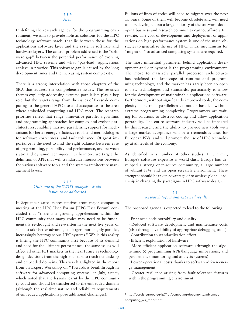### 5.3.2 *Area*

In defining the research agenda for the programming environment, we aim to provide holistic solutions for the HPC technology software stack, that lie between those for the applications software layer and the system's software and hardware layers. The central problem addressed is the "software gap" between the potential performance of evolving advanced HPC systems and what "pay-load" applications achieve in practice. This software gap is caused by the long development times and the increasing system complexity.

There is a strong interrelation with those chapters of the SRA that address the comprehensive issues. The research themes explicitly addressing extreme parallelism play a key role, but the targets range from the issues of Exascale computing to the general HPC use and acceptance to the area where embedded computing and HPC meet. The research priorities reflect that range: innovative parallel algorithms and programming approaches for complex and evolving architectures; enabling massive parallelism; support for mechanisms for better energy efficiency; tools and methodologies for software correctness, and fault tolerance. Of great importance is the need to find the right balance between ease of programming, portability and performance, and between static and dynamic techniques. Furthermore, we target the definition of APIs that will standardize interactions between the various software tools and the system/architecture management layers.

# 5.3.3 *Outcome of the SWOT analysis - Main issues to be addressed*

In September 2010, representatives from major companies meeting at the HPC User Forum [HPC User Forum] concluded that "there is a growing apprehension within the HPC community that many codes may need to be fundamentally re-thought and re-written in the next five years or so — to take better advantage of larger, more highly parallel, increasingly heterogeneous HPC systems." While this reality is hitting the HPC community first because of its demand and need for the ultimate performance, the same issues will affect all other ICT markets in the near future as technology design decisions from the high-end start to reach the desktop and embedded domains. This was highlighted in the report from an Expert Workshop on "Towards a breakthrough in software for advanced computing systems" in July, 2012<sup>2</sup>, which noted that the lessons learnt by the HPC community could and should be transferred to the embedded domain (although the real-time nature and reliability requirements of embedded applications pose additional challenges).

Billions of lines of codes will need to migrate over the next 10 years. Some of them will become obsolete and will need to be redeveloped, but a large majority of the software-developing business and research community cannot afford a full rewrite. The cost of development and deployment of applications on high-performance system is one of the main obstacles to generalize the use of HPC. Thus, mechanisms for "migration" to advanced computing systems are required.

The most influential parameter behind application development and deployment is the programming environment. The move to massively parallel processor architectures has redefined the landscape of runtime and programming technology, and the market has rarely been so open to new technologies and standards, particularly to allow for the development of maintainable applications software. Furthermore, without significantly improved tools, the complexity of extreme parallelism cannot be handled without extreme programming complexity. Programmers are waiting for solutions to abstract coding and allow application portability. The entire software industry will be impacted by this research, and the ability to provide new tools with a large market acceptance will be a tremendous asset for European ISVs, and will promote the use of HPC technology at all levels of the economy.

As identified in a number of other studies [IDC 2012], Europe's software expertise is world-class. Europe has developed a strong open-source community, a large number of vibrant ISVs and an open research environment. These strengths should be taken advantage of to achieve global leadership in changing the paradigms in HPC software design.

# 5.3.4 *Research topics and expected results*

The proposed agenda is expected to lead to the following:

- · Enhanced code portability and quality
- · Reduced software development and maintenance costs
- (also through availability of appropriate debugging tools)
- · Contribution to standardization effort
- · Efficient exploitation of hardware

· More efficient application software (through the algorithmic & programming APIs/language innovations, and performance-monitoring and analysis systems)

· Lower operational costs thanks to software-driven energy management

· Greater resilience arising from fault-tolerance features within the programming environment.

<sup>2</sup> http://cordis.europa.eu/fp7/ict/computing/documents/advanced\_ computing\_ws\_report.pdf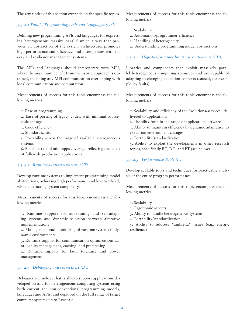The remainder of this section expands on the specific topics.

# *5.3.4.1 Parallel Programming APIs and Languages (API)*

Defining new programming APIs and languages for expressing heterogeneous massive parallelism in a way that provides an abstraction of the system architecture, promotes high performance and efficiency, and interoperates with energy and resiliency management systems.

The APIs and languages should interoperate with MPI, where the maximum benefit from the hybrid approach is obtained, including any MPI communication overlapping with local communication and computation.

Measurements of success for this topic encompass the following metrics:

1. Ease of programming

2. Ease of porting of legacy codes, with minimal sourcecode changes

- 3. Code efficiency
- 4. Standardization

5. Portability across the range of available heterogeneous systems

6. Benchmark and mini-apps coverage, reflecting the needs of full-scale production applications

### *5.3.4.2 Runtime supports/systems (RT)*

Develop runtime systems to implement programming model abstractions, achieving high performance and low overhead, while abstracting system complexity.

Measurements of success for this topic encompass the following metrics:

1. Runtime support for auto-tuning and self-adapting systems and dynamic selection between alterative implementations

2. Management and monitoring of runtime systems in dynamic environments

3. Runtime support for communication optimization: data-locality management, caching, and prefetching

4. Runtime support for fault tolerance and power management

### *5.3.4.3 Debugging and correctness (DC)*

Debugger technology that is able to support applications developed on and for heterogeneous computing systems using both current and non-conventional programming models, languages and APIs, and deployed on the full range of target computer systems up to Exascale.

Measurements of success for this topic encompass the following metrics:

- 1. Scalability
- 2. Automation/programmer efficiency
- 3. Handling of heterogeneity
- 4. Understanding programming model abstractions

*5.3.4.4 High-performance libraries/components (LIB)*

Libraries and components that exploit massively parallel heterogeneous computing resources and are capable of adapting to changing execution contexts (caused, for example, by faults).

Measurements of success for this topic encompass the following metrics:

- 1. Scalability and efficiency of the "solutions/services" delivered to applications
- 2. Usability for a broad range of application software

3. Ability to maintain efficiency by dynamic adaptation to execution environment changes

4. Portability/standardization

5. Ability to exploit the developments in other research topics, specifically RT, DC, and PT (see below).

### *5.3.4.5 Performance Tools (PT)*

Develop scalable tools and techniques for practicable analysis of the entire program performance.

Measurements of success for this topic encompass the following metrics:

- 1. Scalability
- 2. Ergonomic aspects
- 3. Ability to handle heterogeneous systems
- 4. Portability/standardization

5. Ability to address "umbrella" issues (e.g., energy, resilience)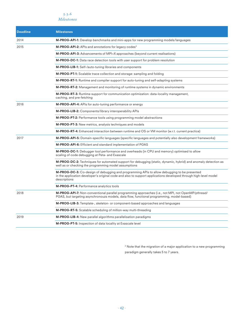# 5.3.6

*Milestones*

| <b>Deadline</b> | <b>Milestones</b>                                                                                                                                                                                                               |
|-----------------|---------------------------------------------------------------------------------------------------------------------------------------------------------------------------------------------------------------------------------|
| 2014            | M-PROG-API-1: Develop benchmarks and mini-apps for new programming models/languages                                                                                                                                             |
| 2015            | <b>M-PROG-API-2:</b> APIs and annotations for legacy codes <sup>3</sup>                                                                                                                                                         |
|                 | <b>M-PROG-API-3:</b> Advancements of MPI+X approaches (beyond current realisations)                                                                                                                                             |
|                 | <b>M-PROG-DC-1:</b> Data race detection tools with user support for problem resolution                                                                                                                                          |
|                 | <b>M-PROG-LIB-1:</b> Self-/auto-tuning libraries and components                                                                                                                                                                 |
|                 | <b>M-PROG-PT-1:</b> Scalable trace collection and storage: sampling and folding                                                                                                                                                 |
|                 | <b>M-PROG-RT-1:</b> Runtime and compiler support for auto-tuning and self-adapting systems                                                                                                                                      |
|                 | <b>M-PROG-RT-2:</b> Management and monitoring of runtime systems in dynamic environments                                                                                                                                        |
|                 | <b>M-PROG-RT-3:</b> Runtime support for communication optimization: data-locality management,<br>caching, and pre-fetching                                                                                                      |
| 2016            | <b>M-PROG-API-4:</b> APIs for auto-tuning performance or energy                                                                                                                                                                 |
|                 | M-PROG-LIB-2: Components/library interoperability APIs                                                                                                                                                                          |
|                 | <b>M-PROG-PT-2:</b> Performance tools using programming model abstractions                                                                                                                                                      |
|                 | <b>M-PROG-PT-3:</b> New metrics, analysis techniques and models                                                                                                                                                                 |
|                 | M-PROG-RT-4: Enhanced interaction between runtime and OS or VM monitor (w.r.t. current practice)                                                                                                                                |
| 2017            | M-PROG-API-5: Domain-specific languages (specific languages and potentially also development frameworks)                                                                                                                        |
|                 | M-PROG-API-6: Efficient and standard implementation of PGAS                                                                                                                                                                     |
|                 | <b>M-PROG-DC-1:</b> Debugger tool performance and overheads (in CPU and memory) optimised to allow<br>scaling of code debugging at Peta- and Exascale                                                                           |
|                 | M-PROG-DC-2: Techniques for automated support for debugging (static, dynamic, hybrid) and anomaly detection as<br>well as or checking the programming model assumptions                                                         |
|                 | M-PROG-DC-3: Co-design of debugging and programming APIs to allow debugging to be presented<br>in the application developer's original code and also to support applications developed through high-level model<br>descriptions |
|                 | <b>M-PROG-PT-4: Performance analytics tools</b>                                                                                                                                                                                 |
| 2018            | M-PROG-API-7: Non-conventional parallel programming approaches (i.e., not MPI, not OpenMP/pthread/<br>PGAS, but targeting asynchronouzs models, data flow, functional programming, model-based)                                 |
|                 | M-PROG-LIB-3: Template-, skeleton- or component-based approaches and languages                                                                                                                                                  |
|                 | M-PROG-RT-5: Scalable scheduling of million-way multi-threading                                                                                                                                                                 |
| 2019            | M-PROG-LIB-4: New parallel algorithms parallelisation paradigms                                                                                                                                                                 |
|                 | M-PROG-PT-5: Inspection of data locality at Exascale level                                                                                                                                                                      |

<sup>2</sup> Note that the migration of a major application to a new programming paradigm generally takes 5 to 7 years.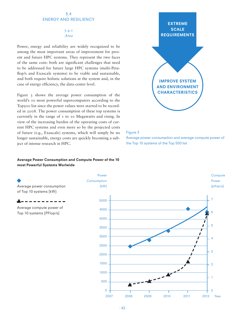# 5.4 Energy and Resiliency

#### 5.4.1 *Area*

Power, energy and reliability are widely recognized to be among the most important areas of improvement for present and future HPC systems. They represent the two faces of the same coin: both are significant challenges that need to be addressed for future large HPC systems (multi-Petaflop/s and Exascale systems) to be viable and sustainable, and both require holistic solutions at the system and, in the case of energy efficiency, the data-center level.

Figure 3 shows the average power consumption of the world's 10 most powerful supercomputers according to the Top500 list since the power values were started to be recorded in 2008. The power consumption of these top systems is currently in the range of 1 to 10 Megawatts and rising. In view of the increasing burden of the operating costs of current HPC systems and even more so by the projected costs of future (e.g., Exascale) systems, which will simply be no longer sustainable, energy costs are quickly becoming a subject of intense research in HPC.

# improve system and environment **CHARACTERISTICS EXTREME SCALE REQUIREMENTS**

### Figure 3

Average power consumption and average compute power of the Top 10 systems of the Top 500 list

### Average Power Consumption and Compute Power of the 10 most Powerful Systems Worlwide

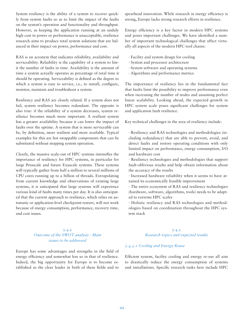System resiliency is the ability of a system to recover quickly from system faults so as to limit the impact of the faults on the system's operation and functionality and throughput. However, as keeping the application running at an unduly high cost in power or performance is unacceptable, resilience research aims to produce total system solutions that are balanced in their impact on power, performance and cost.

RAS is an acronym that indicates reliability, availability and serviceability. Reliability is the capability of a system to limit the number of faults in time. Availability is the amount of time a system actually operates as percentage of total time it should be operating. Serviceability is defined as the degree to which a system is easy to service, i.e., to install, configure, monitor, maintain and troubleshoot a system.

Resiliency and RAS are closely related. If a system does not fail, system resiliency becomes redundant. The opposite is also true: if the reliability of a system decreases, system resilience becomes much more important. A resilient system has a greater availability because it can lower the impact of faults over the uptime. A system that is more serviceable can be, by definition, more resilient and more available. Typical examples for this are hot swappable components that can be substituted without stopping system operation.

Clearly, the massive scale-out of HPC systems intensifies the importance of resiliency for HPC systems, in particular for large Petascale and future Exascale systems. These systems will typically gather from half a million to several millions of CPU cores running up to a billion of threads. Extrapolating from current knowledge and observations of existing large systems, it is anticipated that large systems will experience various kind of faults many times per day. It is also anticipated that the current approach to resilience, which relies on automatic or application-level checkpoint-restart, will not work because of energy consumption, performance, recovery time, and cost issues.

### 5.4.2 *Outcome of the SWOT analysis - Main issues to be addressed*

Europe has some advantages and strengths in the field of energy efficiency and somewhat less so in that of resilience. Indeed, the big opportunity for Europe is to become established as the clear leader in both of these fields and to

spearhead innovation. While research in energy efficiency is strong, Europe lacks strong research efforts in resilience.

Energy efficiency is a key factor in modern HPC systems and poses important challenges. We have identified a number of important technological challenges that affect virtually all aspects of the modern HPC tool chains:

- · Facility and system design for cooling
- · System and processor architecture
- · System software and operating systems
- · Algorithms and performance metrics

The importance of resiliency lies in the fundamental fact that faults limit the possibility to improve performance even when increasing the number of nodes and assuming perfect linear scalability. Looking ahead, the expected growth in HPC system scale poses significant challenges for system and application fault resilience.

Key technical challenges in the area of resiliency include:

· Resiliency and RAS technologies and methodologies (including redundancy) that are able to prevent, avoid, and detect faults and restore operating conditions with only limited impact on performance, energy consumption, I/O and hardware cost

· Resiliency technologies and methodologies that support fault-oblivious results and help obtain information about the accuracy of the results

· Increased hardware reliability when it seems to have attained its economically feasible improvement

· The entire ecosystem of RAS and resiliency technologies (hardware, software, algorithms, tools) needs to be adapted to extreme HPC scales

· Holistic resiliency and RAS technologies and methodologies based on coordination throughout the HPC system stack

### 5.4.3 *Research topics and expected results*

### *5.4.3.1 Cooling and Energy Reuse*

Efficient system, facility cooling and energy re-use all aim to drastically reduce the energy consumption of systems and installations. Specific research tasks here include HPC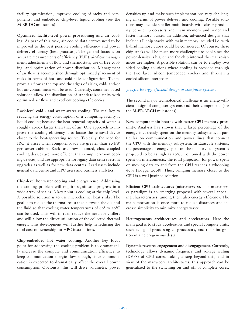facility optimization, improved cooling of racks and components, and embedded chip-level liquid cooling (see the **M-ER-DC** milestones).

**Optimized facility-level power provisioning and air cooling**. As part of this task, air-cooled data centres need to be improved to the best possible cooling efficiency and power delivery efficiency (best practises). The general focus is on accurate measurements of efficiency (PUE), air-flow management, adjustments of flow and thermostats, use of free cooling, and optimization of power distribution. Management of air flow is accomplished through optimized placement of racks in terms of hot- and cold-aisle configuration. To improve air flow at the top and the edges of aisles, cold- and/or hot-air containment will be used. Currently, container-based solutions allow the distribution of standardized units with optimized air flow and excellent cooling efficiencies.

**Rack-level cold - and warm-water cooling**. The real key to reducing the energy consumption of a computing facility is liquid cooling because the heat removal capacity of water is roughly 4000x larger than that of air. One approach to improve the cooling efficiency is to locate the removal device closer to the heat-generating source. Typically, the need for IRC (it arises when computer loads are greater than 10 kW per server cabinet. Rack- and row-mounted, close-coupled cooling devices are more efficient than computer-room cooling devices, and are appropriate for legacy data centre retrofit upgrades as well as for new data centres. Lead users include general data centre and HPC users and business analytics.

**Chip-level hot water cooling and energy reuse**. Addressing the cooling problem will require significant progress in a wide array of scales. A key point is cooling at the chip level. A possible solution is to use microchannel heat sinks. The goal is to reduce the thermal resistance between the die and the fluid so that cooling water temperatures of  $60^{\circ}$  to  $70^{\circ}$ C can be used. This will in turn reduce the need for chillers and will allow the direct utilisation of the collected thermal energy. This development will further help in reducing the total cost of ownership for HPC installations.

**Chip-embedded hot water cooling**. Another key focus point for addressing the cooling problem is to dramatically increase the compute and communication efficiency to keep communication energies low enough, since communication is expected to dramatically affect the overall power consumption. Obviously, this will drive volumetric power densities up and make such implementations very challenging in terms of power delivery and cooling. Possible solutions may include smaller main boards with closer proximity between processors and main memory and wider and faster memory busses. In addition, advanced designs that include 3D chip stacks with main memory included i.e. with hybrid memory cubes could be considered. Of course, these chip stacks will be much more challenging to cool since the power density is higher and the chip internal thermal resistances are higher. A possible solution can be to employ two sided cooling solutions where cooling is provided through the two layer silicon (embedded cooler) and through a cooled silicon interposer.

### *5.4.3.2 Energy-efficient design of computer systems*

The second major technological challenge is an energy-efficient design of computer systems and their components (see the **M-ER-ARCH** milestones).

**New compute main boards with better CPU memory proximity**. Analysis has shown that a large percentage of the energy is currently spent on the memory subsystem, in particular on communication and power lines that connect the CPU with the memory subsystem. In Exascale systems, the percentage of energy spent on the memory subsystem is projected to be as high as 30%. Combined with the power spent on interconnects, the total projection for power spent on moving data to and from the CPU reaches a whooping 60% [Kogge, 2008]. Thus, bringing memory closer to the CPU is a well justified solution.

**Efficient CPU architectures (microservers)**. The microserver paradigm is an emerging proposal with several appealing characteristics, among them also energy efficiency. The main motivation is once more to reduce distances and increase simplicity to minimize energy waste.

**Heterogeneous architectures and accelerators**. Here the main goal is to study accelerators and special compute units, such as signal-processing co-processors, and their integration in a heterogeneous design.

**Dynamic resource engagement and disengagement**. Currently, technology allows dynamic frequency and voltage scaling (DVFS) of CPU cores. Taking a step beyond this, and in view of the many-core architectures, this approach can be generalized to the switching on and off of complete cores.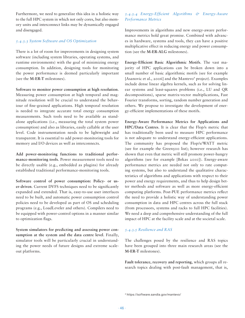Furthermore, we need to generalize this idea in a holistic way to the full HPC system in which not only cores, but also memory units and interconnect links may be dynamically engaged and disengaged.

### *5.4.3.3 System Software and OS Optimization*

There is a lot of room for improvements in designing system software (including system libraries, operating systems, and runtime environments) with the goal of minimizing energy consumption. In addition, designing tools for monitoring the power performance is deemed particularly important (see the **M-ER-T** milestones).

**Software to monitor power consumption at high resolution**. Measuring power consumption at high temporal and magnitude resolution will be crucial to understand the behaviour of fine-grained applications. High temporal resolution is needed to integrate accurate total energy consumption measurements. Such tools need to be available as standalone applications (i.e., measuring the total system power consumption) and also as libraries, easily callable at the user level. Code instrumentation needs to be lightweight and transparent. It is essential to add power-monitoring tools for memory and I/O devices as well as interconnects.

**Add power-monitoring functions to traditional performance-monitoring tools**. Power measurement tools need to be directly usable (e.g., embedded as plugins) for already established traditional performance-monitoring tools.

**Software control of power consumption: Policy- or user-driven**. Current DVFS techniques need to be significantly expanded and extended. That is, easy-to-use user interfaces need to be built, and automatic power consumption control policies need to be developed as part of OS and scheduling programs (e.g., LoadLeveler and others). Compilers need to be equipped with power-control options in a manner similar to optimization flags.

**System simulators for predicting and assessing power consumption at the system and the data centre level**. Finally, simulator tools will be particularly crucial in understanding the power needs of future designs and extreme scaleout platforms.

# *5.4.3.4 Energy-Efficient Algorithms & Energy-Aware Performance Metrics*

Improvements in algorithms and new energy-aware performance metrics hold great promise. Combined with advances in hardware, systems and tools, they can have a positive multiplicative effect in reducing energy and power consumption (see the **M-ER-ALG** milestones).

**Energy-Efficient Basic Algorithmic Motifs**. The vast majority of HPC applications can be broken down into a small number of basic algorithmic motifs (see for example [Asanovic et al., 2006] and the Mantevo<sup>4</sup> project). Examples include dense linear algebra kernels, such as for solving linear systems and least-squares problems (i.e., LU and QR decompositions), sparse matrix-vector multiplications, Fast Fourier transforms, sorting, random number generation and others. We propose to investigate the development of energy-efficient implementations of these motifs.

**Energy-Aware Performance Metrics for Applications and HPC/Data Centres**. It is clear that the Flop/s metric that has traditionally been used to measure HPC performance is not adequate to understand energy-efficient applications. The community has proposed the Flop/s/WATT metric (see for example the Green500 list); however research has shown that even that metric will still promote power-hungry algorithms (see for example [Bekas 2010]). Energy-aware performance metrics are needed not only to rate computing systems, but also to understand the qualitative characteristics of algorithms and applications with respect to their power and energy requirements, and thus to help design better methods and software as well as more energy-efficient computing platforms. Post-PUE performance metrics reflect the need to provide a holistic way of understanding power consumption in data and HPC centres across the full stack (from processors, systems and racks to full HPC facilities). We need a deep and comprehensive understanding of the full impact of HPC at the facility scale and at the societal scale.

### *5.4.3.5 Resilience and RAS*

The challenges posed by the resilience and RAS topics have been grouped into three main research areas (see the **M-ER-T** milestones).

**Fault tolerance, recovery and reporting**, which groups all research topics dealing with post-fault management, that is,

```
4
https://software.sandia.gov/mantevo/
```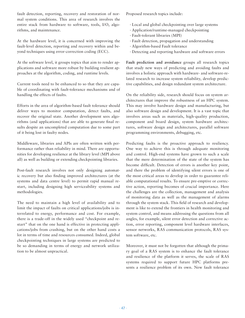fault detection, reporting, recovery and restoration of normal system conditions. This area of research involves the entire stack from hardware to software, tools, I/O, algorithms, and maintenance.

At the hardware level, it is concerned with improving the fault-level detection, reporting and recovery within and beyond techniques using error-correction coding (ECC).

At the software level, it groups topics that aim to render applications and software more robust by building resilient approaches at the algorithm, coding, and runtime levels.

Current tools need to be enhanced to so that they are capable of coordinating with fault-tolerance mechanisms and of handling the effects of faults.

Efforts in the area of algorithm-based fault tolerance should deliver ways to monitor computation, detect faults, and recover the original state. Another development sees algorithms (and applications) that are able to generate final results despite an uncompleted computation due to some part of it being lost in faulty nodes.

Middleware, libraries and APIs are often written with performance rather than reliability in mind. There are opportunities for developing resilience at the library level (MPI above all) as well as building or extending checkpointing libraries.

Post-fault research involves not only designing automatic recovery but also finding improved architectures (at the systems and data centre level) to permit rapid manual restart, including designing high serviceability systems and methodologies.

The need to maintain a high level of availability and to limit the impact of faults on critical applications/jobs is interrelated to energy, performance and cost. For example, there is a trade-off in the widely used "checkpoint and restart" that on the one hand is effective in protecting applications/jobs from crashing, but on the other hand costs a lot in terms of time and resources consumed. Indeed, global checkpointing techniques in large systems are predicted to be so demanding in terms of energy and network utilization to be almost unpractical.

Proposed research topics include:

- · Local and global checkpointing over large systems
- · Application/runtime-managed checkpointing
- · Fault-tolerant libraries (MPI)
- · Fault detection, propagation and understanding
- · Algorithm-based Fault tolerance
- · Detecting and reporting hardware and software errors

**Fault prediction and avoidance** groups all research topics that study new ways of predicting and avoiding faults and involves a holistic approach with hardware- and software-related research to increase system reliability, develop predictive capabilities, and design redundant system architecture.

On the reliability side, research should focus on system architectures that improve the robustness of an HPC system. This may involve hardware design and manufacturing, but also software design and development. It is a vast topic that involves areas such as materials, high-quality production, component and board design, system hardware architectures, software design and architectures, parallel software programming environments, debugging, etc.

Predicting faults is the proactive approach to resiliency. One way to achieve this is through adequate monitoring and control. High-end systems have grown to such a scale that the mere determination of the state of the system has become difficult. Detection of errors is another key point, and there the problem of identifying silent errors is one of the most critical areas to develop in order to guarantee reliable computational results. To ensure pre-emptive or corrective action, reporting becomes of crucial importance. Here the challenges are the collection, management and analysis of monitoring data as well as the management of alarms through the system stack. This field of research and development is like to extend the frontiers in health monitoring and system control, and means addressing the questions from all angles, for example, silent error detection and corrective action, error reporting, component level hardware interfaces, sensor networks, RAS communication protocols, RAS system software, etc.

Moreover, it must not be forgotten that although the primary goal of a RAS system is to enhance the fault tolerance and resilience of the platform it serves, the scale of RAS systems required to support future HPC platforms presents a resilience problem of its own. New fault tolerance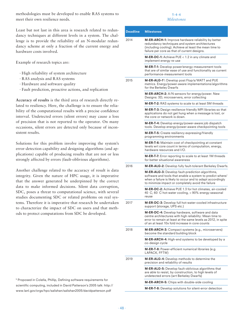methodologies must be developed to enable RAS systems to meet their own resilience needs.

Least but not last in this area is research related to redundancy techniques at different levels in a system. The challenge is to provide the reliability of an N-modular redundancy scheme at only a fraction of the current energy and hardware costs involved.

Example of research topics are:

- · High reliability of system architecture
- · RAS analysis and RAS systems
- · Hardware and software quality
- · Fault prediction, proactive actions, and replication

**Accuracy of results** is the third area of research directly related to resiliency. Here, the challenge is to ensure the reliability of the computational results with a precise confidence interval. Undetected errors (silent errors) may cause a loss of precision that is not reported to the operator. On many occasions, silent errors are detected only because of inconsistent results.

Solutions for this problem involve improving the system's error-detection capability and designing algorithms (and applications) capable of producing results that are not or less strongly affected by errors (fault-oblivious algorithms).

Another challenge related to the accuracy of result is data integrity. Given the nature of HPC usage, it is imperative that the answer generated be underpinned by the correct data to make informed decisions. Silent data corruption, SDC, poses a threat to computational science, with several studies documenting SDC or related problems on real systems. Therefore it is imperative that research be undertaken to characterize the impact of SDC on users and that methods to protect computations from SDC be developed.

<sup>5</sup> Proposed in Colella, Phillip, Defining software requirements for scientific computing, included in David Patterson's 2005 talk: http:// www.lanl.gov/orgs/hpc/salishan/salishan2005/davidpatterson.pdf

### 5.4.4 *Milestones*

| <b>Deadline</b> | <b>Milestones</b>                                                                                                                                                                                                                     |
|-----------------|---------------------------------------------------------------------------------------------------------------------------------------------------------------------------------------------------------------------------------------|
| 2014            | M-ER-ARCH-1: Improve hardware reliability by better<br>redundancy techniques and system architectures<br>(including cooling). Achieve at least the mean time to<br>failure per core as that of current designs.                       |
|                 | M-ER-DC-1: Achieve PUE < 1.2 in any climate and<br>implement energy re-use                                                                                                                                                            |
|                 | <b>M-ER-T-1:</b> Develop power/energy-measurement tools<br>that are of similar ease of use and functionality as current<br>performance-measurement tools                                                                              |
| 2015            | <b>M-ER-ALG-15:</b> Develop post Flop/s/WATT and PUE<br>metrics. Energy/power-aware implementations/algorithms<br>for the Berkeley Dwarfs                                                                                             |
|                 | M-ER-ARCH-2: A/N sensors for energy/power. New<br>Designs: 3D, microservers, error collecting                                                                                                                                         |
|                 | <b>M-ER-T-2:</b> RAS systems to scale to at least 5M threads                                                                                                                                                                          |
|                 | <b>M-ER-T-3:</b> Design resilience-friendly MPI libraries so that<br>applications do not get hung when a message is lost, or<br>the core or network is down.                                                                          |
|                 | <b>M-ER-T-4:</b> Develop energy/power-aware job dispatch<br>tools. Develop energy/power-aware checkpointing tools                                                                                                                     |
|                 | M-ER-T-5: Create resiliency expressing/friendly<br>programming environments                                                                                                                                                           |
|                 | <b>M-ER-T-6:</b> Maintain cost of checkpointing at constant<br>levels wrt core count in terms of computation, energy,<br>hardware resources and I/O.                                                                                  |
|                 | <b>M-ER-T-7:</b> Error reporting to scale to at least 1M threads<br>for better situational awareness                                                                                                                                  |
| 2016            | <b>M-ER-ALG-2:</b> Develop fully fault-tolerant Berkeley Dwarfs.                                                                                                                                                                      |
|                 | M-ER-ALG-3: Develop fault-prediction algorithms,<br>software and tools that enable a system to predict where/<br>when a failure is likely to occur and to adapt accordingly<br>to minimize impact or completely avoid the failure     |
|                 | M-ER-DC-2: Achieve PUE 1.3 for hot climates, air-cooled<br>40 C, 60 C hot-water cooling, > 90% energy seasonal<br>reuse                                                                                                               |
| 2017            | <b>M-ER-DC-3:</b> Develop full hot-water-cooled infrastructure<br>support (storage, UPS etc.)                                                                                                                                         |
|                 | <b>M-ER-DC-4:</b> Develop hardware, software and data<br>centre architectures with high reliability: Mean time to<br>error to remain at least at the same levels as 2012, in spite<br>of an at least 10x fold increase in core counts |
| 2018            | <b>M-ER-ARCH-3:</b> Compact systems (e.g., microservers)<br>become the standard building block                                                                                                                                        |
|                 | <b>M-ER-ARCH-4:</b> High-end systems to be developed by a<br>co-design cycle                                                                                                                                                          |
|                 | <b>M-ER-T-8:</b> Power-efficient numerical libraries (e.g.<br>LAPACK, FFTW)                                                                                                                                                           |
| 2019            | <b>M-ER-ALG-4:</b> Develop methods to determine the<br>precision and reliability of results                                                                                                                                           |
|                 | <b>M-ER-ALG-5:</b> Develop fault-oblivious algorithms that<br>are able to resist, by construction, to high levels of<br>undetected errors (wrt Berkeley Dwarfs)                                                                       |
|                 | <b>M-ER-ARCH-5:</b> Chips with double-side cooling                                                                                                                                                                                    |
|                 | <b>M-ER-T-8:</b> Develop solutions for silent-error detection                                                                                                                                                                         |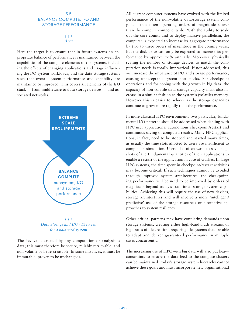# 5.5 Balance Compute, I/O and Storage Performance

### 5.5.1 *Area*

Here the target is to ensure that in future systems an appropriate balance of performance is maintained between the capabilities of the compute elements of the systems, including the effects of changing applications and usage influencing the I/O system workloads, and the data storage systems such that overall system performance and capability are maintained or improved. This covers **all elements of the I/O stack — from middleware to data storage devices** — and associated networks.



*Data Storage and I/O: The need for a balanced system*

The key value created by any computation or analysis is data; this must therefore be secure, reliably retrievable, and non-volatile or be re-creatable. In some instances, it must be immutable (proven to be unchanged).

All current computer systems have evolved with the limited performance of the non-volatile data-storage system component that often operating orders of magnitude slower than the compute components do. With the ability to scale out the core counts and to deploy massive parallelism, the computer is expected to increase its aggregate performance by two to three orders of magnitude in the coming years, but the disk drive can only be expected to increase its performance by approx. 10% annually. Moreover, physically scaling the number of storage devices to match the computation needs is totally impractical. If not addressed, this will increase the imbalance of I/O and storage performance, causing unacceptable system bottlenecks. For checkpoint operations and for coping with the growth in big data, the capacity of non-volatile data storage capacity must also increase in a similar fashion as the system's (volatile) memory. However this is easier to achieve as the storage capacities continue to grow more rapidly than the performance.

In more classical HPC environments two particular, fundamental I/O patterns should be addressed when dealing with HPC user applications: autonomous checkpoint/restart and continuous saving of computed results. Many HPC applications, in fact, need to be stopped and started many times, as usually the time slots allotted to users are insufficient to complete a simulation. Users also often want to save snapshots of the fundamental quantities of their applications to enable a restart of the application in case of crashes. In large HPC systems, the time spent in checkpoint/restart activities may become critical. If such techniques cannot be avoided through improved system architectures, the checkpointing performance will be need to be improved by orders of magnitude beyond today's traditional storage system capabilities. Achieving this will require the use of new devices, storage architectures and will involve a more 'intelligent/ predictive' use of the storage resources or alternative approaches to system resiliency.

Other critical patterns may have conflicting demands upon storage systems, creating either high-bandwidth streams or high rates of file creation, requiring file systems that are able to adapt and deliver guaranteed performance in multiple cases concurrently.

The increasing use of HPC with big data will also put heavy constraints to ensure the data feed to the compute clusters can be maintained: today's storage system hierarchy cannot achieve these goals and must incorporate new organisational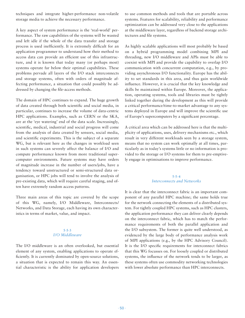techniques and integrate higher-performance non-volatile storage media to achieve the necessary performance.

A key aspect of system performance is the 'real-world' performance. The raw capabilities of the systems will be wasted and left idle if the whole of the data transfer and storage process is used inefficiently. It is extremely difficult for an application programmer to understand how their method to access data can provide an efficient use of this infrastructure, and it is known that today many (or perhaps most) systems operate far below their optimal capabilities. These problems pervade all layers of the I/O stack interconnects and storage systems, often with orders of magnitude affecting performance, a situation that could possibly be addressed by changing the file-access methods.

The domain of HPC continues to expand. The huge growth of data created through both scientific and social media, in particular, continues to increase the volume of data-centric HPC applications. Examples, such as CERN or the SKA, are at the 'eye watering' end of the data scale. Increasingly, scientific, medical, industrial and social progress will come from the analysis of data created by sensors, social media, and scientific experiments. This is the subject of a separate WG, but is relevant here as the changes in workload seen in such systems can severely affect the balance of I/O and compute performance known from more traditional supercomputer environments. Future systems may have orders of magnitude increase in the number of users/jobs, have a tendency toward unstructured or semi-structured data organisation, or HPC jobs will tend to involve the analysis of pre-existing data, which will require careful staging, and often have extremely random access patterns.

Three main areas of this topic are covered by the scope of this WG, namely, I/O Middleware, Interconnects/ Networks, and Data Storage, each having its own characteristics in terms of market, value, and impact.

### 5.5.3 *I/O Middleware*

The I/O middleware is an often overlooked, but essential element of any system, enabling applications to operate efficiently. It is currently dominated by open-source solutions, a situation that is expected to remain this way. An essential characteristic is the ability for application developers to use common methods and tools that are portable across systems. Features for scalability, reliability and performance optimization can be addressed very close to the applications at the middleware layer, regardless of backend storage architectures and file systems.

As highly scalable applications will most probably be based on a hybrid programming model combining MPI and threading, new I/O middleware and APIs must be able to coexist with MPI and provide the capability to overlap I/O communication with concurrent computation, e.g., by providing asynchronous I/O functionality. Europe has the ability to set standards in this area, and thus gain worldwide influence. However, it is crucial that the key knowledge and skills be maintained within Europe. Moreover, the application, operating systems, tools and libraries must be tightly linked together during the development as this will provide a critical performance/time-to-market advantage to any systems deployed in Europe and will improve the scientific use of Europe's supercomputers by a significant percentage.

A critical area which can be addressed here is that the multiplicity of applications, uses, delivery mechanisms etc., which result in very different workloads seen by a storage system, means that no system can work optimally at all times, particularly as in today's systems little or no information is provided to the storage or I/O systems for them to pre-emptively engage in optimisations to improve performance.

### 5.5.4 *Interconnects and Networks*

It is clear that the interconnect fabric is an important component of any parallel HPC machine; the same holds true for the network connecting the elements of a distributed system. For tightly coupled HPC systems, such as HPC clusters, the application performance they can deliver clearly depends on the interconnect fabric, which has to match the performance requirements of both the parallel application and the I/O subsystem. The former is quite well understood, as evidenced by the large body of performance analysis work of MPI applications (e.g., by the HPC Advisory Council). It is the I/O specific requirements for interconnect fabrics that this WG focusses on. For loosely coupled or distributed systems, the influence of the network tends to be larger, as these systems often use commodity networking technologies with lower absolute performance than HPC interconnects.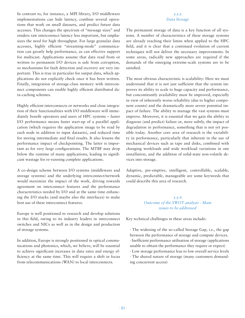In contrast to, for instance, a MPI library, I/O middleware implementations can hide latency, combine several operations that work on small datasets, and predict future data accesses. This changes the spectrum of "message sizes" and renders raw interconnect latency less important, but emphasizes the need for high throughput. For large granular data accesses, highly efficient "streaming-mode" communication can greatly help performance, as can effective support for multicast. Applications assume that data read from or written to permanent I/O devices is safe from corruption, so mechanisms for fault detection and recovery are very important. This is true in particular for output data, which applications do not explicitly check once it has been written. Finally, integration of storage-class memory with interconnect components can enable highly efficient distributed data-caching schemes.

Highly efficient interconnects or networks and close integration of their functionalities with I/O middleware will immediately benefit operators and users of HPC systems – faster I/O performance means faster start-up of a parallel application (which requires the application image to be read by each node in addition to input datasets), and reduced time for storing intermediate and final results. It also lessens the performance impact of checkpointing. The latter is important as for very large configurations. The MTBF may drop below the runtime of many applications, leading to significant wastage for re-running complete applications.

A co-design scheme between I/O systems (middleware and storage systems) and the underlying interconnect/network would maximize the impact of the work, driving towards agreement on interconnect features and the performance characteristics needed by I/O and at the same time enhancing the I/O stacks (and maybe also the interfaces) to make best use of these interconnect features.

Europe is well positioned to research and develop solutions in this field, owing to its industry leaders in interconnect switches and NICs as well as in the design and production of storage systems.

In addition, Europe is strongly positioned in optical communications and photonics, which, we believe, will be essential to achieve significant increases in data rates and energy efficiency at the same time. This will require a shift in focus from telecommunications (WAN) to local interconnects.

### 5.5.5 *Data Storage*

The permanent storage of data is a key function of all systems. A number of characteristics of these storage systems are already reaching their limits when applied to the HPC field, and it is clear that a continued evolution of current techniques will not deliver the necessary improvements. In some areas, radically new approaches are required if the demands of the emerging extreme-scale systems are to be satisfied.

The most obvious characteristic is scalability: Here we must understand that it is not just sufficient that the system improves its ability to scale to huge capacity and performance, but concomitantly availability must be improved, especially in view of inherently worse reliability (due to higher component counts) and the dramatically more severe potential impact of failure. The ability to manage the vast systems must improve. Moreover, it is essential that we gain the ability to diagnose (and predict) failure or, more subtly, the impact of degradation in performance, something that is not yet possible today. Another core area of research is the variability in performance, particularly that inherent in the use of mechanical devices such as tape and disks, combined with changing workloads and wide workload variations in one installation, and the addition of solid-state non-volatile devices into storage.

Adaptive, pre-emptive, intelligent, controllable, scalable, dynamic, predictable, manageable are some keywords that could describe this area of research.

# 5.5.6 *Outcome of the SWOT analysis - Main issues to be addressed*

Key technical challenges in these areas include:

· The widening of the so-called Storage Gap, i.e., the gap between the performance of storage and compute devices. · Inefficient performance utilisation of storage (applications unable to obtain the performance they require or expect) · Low storage performance leas to low overall service levels · The shared nature of storage (many customers demanding concurrent access)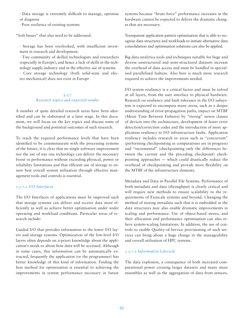· Data storage is extremely difficult to manage, optimise or diagnose

· Poor resilience of existing systems

"Soft Issues" that also need to be addressed:

· Storage has been overlooked, with insufficient investment in research and development.

· Tiny community of skilled technologists and researchers (especially in Europe), and hence a lack of skills in the technology supply industry and in the effective use of systems.

· Core storage technology (both solid-state and electro-mechanical) does not exist in Europe

### 5.5.7 *Research topics and expected results*

A number of quite detailed research areas have been identified and can be elaborated at a later stage. In this document, we will focus on the key topics and discuss some of the background and potential outcomes of such research.

To reach the required performance levels that have been identified to be commensurate with the processing systems of the future, it is clear that no single software improvement nor the use of any one technology can deliver the necessary boost in performance without exceeding physical, power or reliability limitations and that efficient use of storage to ensure best overall system utilisation through effective management tools and controls is essential.

# *5.5.7.1 I/O Interfaces*

The I/O Interfaces of applications must be improved such that storage systems can deliver and receive data more efficiently as well as achieve better optimisation under wider operating and workload conditions. Particular areas of research include:

Guided I/O that provides information to the lower I/O layers and storage systems. Optimization of the low-level I/O layers often depends on a-priori knowledge about the application's needs or about how data will be accessed. Although in some cases, this information can be automatically extracted, frequently the application (or the programmer) has better knowledge of this kind of information. Finding the best method for optimisation is essential to achieving the improvements in system performance necessary in future systems because "brute force" performance increases in the hardware cannot be expected to deliver the dramatic changes that are necessary.

Transparent application pattern optimisation that is able to recognise data structures and workloads to initiate alternative data consolidation and optimisation solutions can also be applied.

Big data analytics tools and techniques suitable for huge and diverse unstructured and semi-structured datasets increase the overhead of data access and must be handled in specialised parallelised fashion. Also here is much more research required to achieve the improvements needed.

I/O system resiliency is a critical factor and must be solved at all layers, from the user interface to physical hardware. Research on resiliency and fault tolerance in the I/O subsystem is expected to encompass many areas, such as a deeper understanding of error-propagation paths, impact on MTBF (Mean Time Between Failures) by "tiering" newer classes of devices into the architecture, development of faster error detection/correction codes and the introduction of more application resiliency to I/O infrastructure faults. Application resiliency includes research in areas such as "concurrent" (performing checkpointing as computations are in progress) and "incremental" (checkpointing only the differences between the current and the preceding checkpoint) checkpointing approaches — which could drastically reduce the overhead of checkpointing and provide more flexibility on the MTBF of the infrastructure elements.

Metadata and Data in Parallel File Systems. Performance of both metadata and data (throughput) is clearly critical and will require new methods to ensure scalability to the requirements of Exascale systems and beyond. Changing the method of storing metadata such that it is embedded in the data structures may also enable dramatic improvements in scaling and performance. Use of object-based stores, and their allocation and performance optimisation can also relieve system-scaling limitations. In addition, the use of controls to enable Quality-of-Service provisioning of such services can bring about a huge change in the manageability and overall utilisation of HPC systems.

### *5.5.7.2 Information Lifecycle*

The data explosion, a consequence of both increased computational power creating larger datasets and many more ensembles as well as the aggregation of data from sensors,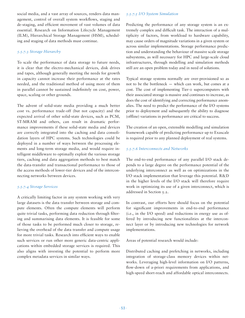social media, and a vast array of sources, renders data management, control of overall system workflows, staging and de-staging, and efficient movement of vast volumes of data essential. Research on Information Lifecycle Management (ILM), Hierarchical Storage Management (HSM), scheduling and staging of data methods must continue.

### *5.5.7.3 Storage Hierarchy*

To scale the performance of data storage to future needs, it is clear that the electro-mechanical devices, disk drives and tapes, although generally meeting the needs for growth in capacity cannot increase their performance at the rates needed, and the traditional method of using more of them in parallel cannot be sustained indefinitely on cost, power, space, scaling or other grounds.

The advent of solid-state media providing a much better cost vs. performance trade-off (but not capacity) and the expected arrival of other solid-state devices, such as PCM, ST-MRAM and others, can result in dramatic performance improvements if these solid-state media and devices are correctly integrated into the caching and data consolidation layers of HPC systems. Such technologies could be deployed in a number of ways between the processing elements and long-term storage media, and would require intelligent middleware to optimally exploit the various storage tiers, caching and data aggregation methods to best match the data-transfer and transactional performance to those of the access methods of lower-tier devices and of the interconnecting networks between devices.

# *5.5.7.4 Storage Services*

A critically limiting factor in any system working with very large datasets is the data transfer between storage and compute elements. Often the compute elements will perform quite trivial tasks, performing data reduction through filtering and summarising data elements. It is feasible for some of those tasks to be performed much closer to storage, relieving the overhead of the data transfer and compute usage for more trivial tasks. Research into efficient ways to enable such services or run other more generic data-centric applications within embedded storage services is required. This also aligns with investing the potential to perform more complex metadata services in similar ways.

# *5.5.7.5 I/O System Simulation*

Predicting the performance of any storage system is an extremely complex and difficult task. The interaction of a multiplicity of factors, from workload to hardware capability, may cause orders of magnitude variations in a given system or across similar implementations. Storage performance prediction and understanding the behaviour of massive scale storage subsystems, as will necessary for HPC and large-scale cloud infrastructures, through modelling and simulation methods still are an open problem today and in need of solutions.

Typical storage systems normally are over-provisioned so as not to be the bottleneck — which can work, but comes at a cost. The cost of implementing Tier-0 supercomputers with their associated storage is massive and continues to increase, as does the cost of identifying and correcting performance anomalies. The need to predict the performance of the I/O systems prior to deployment and subsequently the ability to diagnose (offline) variations in performance are critical to success.

The creation of an open, extensible modelling and simulation framework capable of predicting performance up to Exascale is required prior to any planned deployment of real systems.

# *5.5.7.6 Interconnects and Networks*

The end-to-end performance of any parallel I/O stack depends to a large degree on the performance potential of the underlying interconnect as well as on optimizations in the I/O stack implementation that leverage this potential. R&D in the higher levels of the I/O stack will therefore require work in optimizing its use of a given interconnect, which is addressed in Section 5.2.

In contrast, our efforts here should focus on the potential for significant improvements in end-to-end performance (i.e., in the I/O speed) and reductions in energy use as offered by introducing new functionalities at the interconnect layer or by introducing new technologies for network implementations.

Areas of potential research would include:

Distributed caching and prefetching in networks, including integration of storage-class memory devices within networks. Leveraging high-level information on I/O patterns, flow-down of a-priori requirements from applications, and high-speed short-reach and affordable optical interconnects.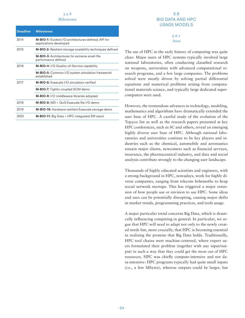# 5.5.8

*Milestones*

| <b>Deadline</b> | <b>Milestones</b>                                                            |
|-----------------|------------------------------------------------------------------------------|
| 2014            | M-BIO-1: Guided I/O architectures defined; API for<br>applications developed |
| 2015            | <b>M-BIO-2:</b> Resilient storage scalability techniques defined             |
|                 | <b>M-BIO-3:</b> Architectures for extreme small-file<br>performance defined  |
| 2016            | M-BIO-4: I/O Quality-of-Service capability                                   |
|                 | M-BIO-5: Common I/O system simulation framework<br>established               |
| 2017            | M-BIO-6: Exascale I/O simulation verified                                    |
|                 | <b>M-BIO-7:</b> Tightly coupled SCM demo                                     |
|                 | <b>M-BIO-9:</b> I/O middleware libraries adopted                             |
| 2018            | $M-BIO-8$ : MD + QoS Exascale file I/O demo                                  |
| 2019            | M-BIO-10: Hardware resilient Exascale storage demo                           |
| 2020            | <b>M-BIO-11:</b> Big Data + HPC integrated SW stack                          |

# 5.6 Big Data and HPC Usage Models

### 5.6.1 *Area*

The use of HPC in the early history of computing was quite clear: Major users of HPC systems typically involved large national laboratories, often conducting classified research on weapons, universities with advanced computational research programs, and a few large companies. The problems solved were mostly driven by solving partial differential equations and numerical problems arising from computational materials science, and typically large dedicated supercomputers were used.

However, the tremendous advances in technology, modeling, mathematics and algorithms have dramatically extended the user base of HPC. A careful study of the evolution of the Top500 list as well as the research papers presented at key HPC conferences, such as SC and others, reveal an emerging highly diverse user base of HPC. Although national laboratories and universities continue to be key players and industries such as the chemical, automobile and aeronautics remain major clients, newcomers such as financial services, insurance, the pharmaceutical industry, and data and social analysis contribute strongly to the changing user landscape.

Thousands of highly educated scientists and engineers, with a strong background in HPC, nowadays, work for highly diverse companies, ranging from telecom behemoths to heap social network startups. This has triggered a major extension of how people use or envision to use HPC. Some ideas and uses can be potentially disrupting, causing major shifts in market trends, programming practices, and tools usage.

A major particular trend concerns Big Data, which is drastically influencing computing in general. In particular, we argue that HPC will need to adapt not only to the newly created needs but, more crucially, that HPC is becoming essential in realising the promise that Big Data holds. Traditionally, HPC tool chains were machine-centered, where expert users formulated their problem (together with any input/output) in such a way that they could get the most out of HPC resources. HPC was chiefly compute-intensive and not data-intensive: HPC programs typically had quite small inputs (i.e., a few Mbytes), whereas outputs could be larger, but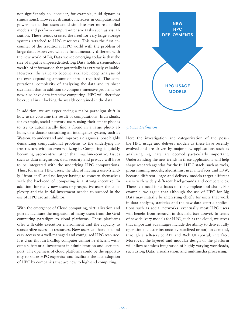not significantly so (consider, for example, fluid dynamics simulations). However, dramatic increases in computational power meant that users could simulate ever more detailed models and perform compute-intensive tasks such as visualization. These trends created the need for very large storage systems attached to HPC resources. This was the first encounter of the traditional HPC world with the problem of large data. However, what is fundamentally different with the new world of Big Data we see emerging today is that the size of input is unprecedented. Big Data holds a tremendous wealth of information that potentially is extremely valuable. However, the value to become available, deep analysis of the ever expanding amount of data is required. The computational complexity of analyzing the data and its sheer size mean that in addition to compute-intensive problems we now also have data-intensive computing. HPC will therefore be crucial in unlocking the wealth contained in the data.

In addition, we are experiencing a major paradigm shift in how users consume the result of computations. Individuals, for example, social-network users using their smart phones to try to automatically find a friend in a large photo album, or a doctor consulting an intelligence system, such as Watson, to understand and improve a diagnosis, pose highly demanding computational problems to the underlying infrastructure without even realizing it. Computing is quickly becoming user-centric rather than machine-centric. Issues such as data integration, data security and privacy will have to be integrated with the underlying HPC computations. Thus, for many HPC users, the idea of having a user-friendly "front end" and no longer having to concern themselves with the back-end of computing is a strong incentive. In addition, for many new users or prospective users the complexity and the initial investment needed to succeed in the use of HPC are an inhibitor.

With the emergence of Cloud computing, virtualization and portals facilitate the migration of many users from the Grid computing paradigm to cloud platforms. These platforms offer a flexible execution environment and the capacity to standardize access to resources. New users can have fast and easy access to a well-managed and configured HPC resource. It is clear that an Exaflop computer cannot be efficient without a substantial investment in administration and user support. The openness of cloud platforms could be the opportunity to share HPC expertise and facilitate the fast adoption of HPC by companies that are new to high-end computing.



### *5.6.1.1 Definition*

Here the investigation and categorization of the possible HPC usage and delivery models as these have recently evolved and are driven by major new applications such as analyzing Big Data are deemed particularly important. Understanding the new trends in these applications will help shape research agendas for the full HPC stack, such as tools, programming models, algorithms, user interfaces and H/W, because different usage and delivery models target different users with widely different backgrounds and competencies. There is a need for a focus on the complete tool chain. For example, we argue that although the use of HPC for Big Data may initially be interesting chiefly for users that work in data analysis, statistics and the new data-centric applications such as social networks, eventually most HPC users will benefit from research in this field (see above). In terms of new delivery models for HPC, such as the cloud, we stress that important advantages include the ability to deliver fully operational cluster instances (virtualized or not) on-demand, through a self-service API and Web UI (portal) interface. Moreover, the layered and modular design of the platform will allow seamless integration of highly varying workloads, such as Big Data, visualization, and multimedia processing.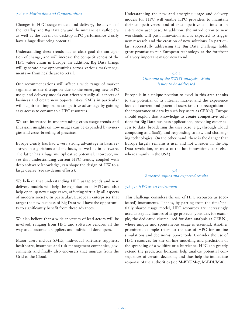# *5.6.1.2 Motivation and Opportunities*

Changes in HPC usage models and delivery, the advent of the Petaflop and Big Data era and the immanent Exaflop era as well as the advent of desktop HPC performance clearly have a huge disrupting potential.

Understanding these trends has as clear goal the anticipation of change, and will increase the competitiveness of the HPC value chain in Europe. In addition, Big Data brings will generate new opportunities across various market segments — from healthcare to retail.

Our recommendations will affect a wide range of market segments as the disruption due to the emerging new HPC usage and delivery models can affect virtually all aspects of business and create new opportunities. SMEs in particular will acquire an important competitive advantage by gaining easy access to consumable HPC resources.

We are interested in understanding cross-usage trends and thus gain insights on how usages can be expanded by synergies and cross-breeding of practices.

Europe clearly has had a very strong advantage in basic research in algorithms and methods, as well as in software. The latter has a huge multiplicative potential. However, we see that understanding current HPC trends, coupled with deep software knowledge, can shape the design of HW to a large degree (see co-design efforts).

We believe that understanding HPC usage trends and new delivery models will help the exploitation of HPC and also help open up new usage cases, affecting virtually all aspects of modern society. In particular, European enterprises that target the new business of Big Data will have the opportunity to significantly benefit from these advances.

We also believe that a wide spectrum of lead actors will be involved, ranging from HPC and software vendors all the way to data/content suppliers and individual developers.

Major users include SMEs, individual software suppliers, healthcare, insurance and risk management companies, governments and finally also end-users that migrate from the Grid to the Cloud.

Understanding the new and emerging usage and delivery models for HPC will enable HPC providers to maintain their competitiveness and offer competitive solutions to an entire new user base. In addition, the introduction to new workloads will push innovation and is expected to trigger new research and the creation of new solutions. In particular, successfully addressing the Big Data challenge holds great promise to put European technology at the forefront of a very important major new trend.

# 5.6.2 *Outcome of the SWOT analysis - Main issues to be addressed*

Europe is in a unique position to excel in this area thanks to the potential of its internal market and the experience levels of current and potential users (and the recognition of the importance of data by such key users as CERN). Europe should exploit that knowledge to **create competitive solutions for Big Data** business applications, providing easier access to data, broadening the user base (e.g., through Cloud computing and SaaS), and responding to new and challenging technologies. On the other hand, there is the danger that Europe largely remains a user and not a leader in the Big Data revolution, as most of the hot innovations start elsewhere (mainly in the USA).

### 5.6.3 *Research topics and expected results*

### *5.6.3.1 HPC as an Instrument*

This challenge considers the use of HPC resources as (dedicated) instruments. That is, by parting from the time/spatially shared usage model, HPC resources are increasingly used as key facilitators of large projects (consider, for example, the dedicated cluster used for data analysis at CERN), where unique and spontaneous usage is essential. Another prominent example refers to the use of HPC for on-line simulations and decision-support tools. Consider the use of HPC resources for the on-line modeling and prediction of the spreading of a wildfire or a hurricane. HPC can greatly extend the prediction horizon, help analyze potential consequences of certain decisions, and thus help the immediate response of the authorities (see **M-BDUM-7, M-BDUM-8**).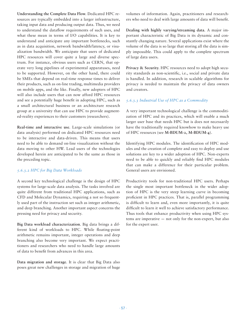**Understanding the Complete Data Flow**. Dedicated HPC resources are typically embedded into a larger infrastructure, taking input data and producing output data. Thus, we need to understand the dataflow requirements of such uses, and what these mean in terms of I/O capabilities. It is key to understand and anticipate any important bottlenecks, such as in data acquisition, network bandwidth/latency, or visualization bandwidth. We anticipate that users of dedicated HPC resources will cover quite a large and diverse spectrum. For instance, obvious users such as CERN, that operate very long pipelines of experimental apparatuses, need to be supported. However, on the other hand, there could be SMEs that depend on real-time response times to deliver their products, such as on-line trading, multimedia providers on mobile apps, and the like. Finally, new adopters of HPC will also include users that can now afford HPC resources and see a potentially huge benefit in adopting HPC, such as a small architectural business or an architecture research group at a university that can use HPC to provide augmented-reality experiences to their customers (researchers).

**Real-time and interactive use**. Large-scale simulations (or data analysis) performed on dedicated HPC resources need to be interactive and data-driven. This means that users need to be able to demand on-line visualization without the data moving to other HW. Lead users of the technologies developed herein are anticipated to be the same as those in the preceding topic.

### *5.6.3.2 HPC for Big Data Workloads*

A second key technological challenge is the design of HPC systems for large-scale data analysis. The tasks involved are quite different from traditional HPC applications, such as CFD and Molecular Dynamics, requiring a not so frequently used part of the instruction set such as integer arithmetic, and deep branching. Another important aspect concerns the pressing need for privacy and security.

**Big Data workload characterization**. Big data brings a different kind of workloads to HPC. While floating-point arithmetic remains important, integer operations and deep branching also become very important. We expect practitioners and researchers who need to handle large amounts of data to benefit from advances in this area.

**Data migration and storage**. It is clear that Big Data also poses great new challenges in storage and migration of huge volumes of information. Again, practitioners and researchers who need to deal with large amounts of data will benefit.

**Dealing with highly varying/streaming data**. A major important characteristic of Big Data is its dynamic and constantly changing nature. Several applications exist where the volume of the data is so large that storing all the data is simply impossible. This could apply to the complete spectrum of large data users.

**Privacy & Security**. HPC resources need to adopt high security standards as non-scientific, i.e., social and private data is handled. In addition, research in scalable algorithms for privacy is needed to maintain the privacy of data owners and creators.

### *5.6.3.3 Industrial Use of HPC as a Commodity*

A very important technological challenge is the commoditization of HPC and its practices, which will enable a much larger user base that needs HPC but is does not necessarily have the traditionally required knowhow to make heavy use of HPC resources (see **M-BDUM-2, M-BDUM-4**).

Identifying HPC modules. The identification of HPC modules and the creation of complete and easy to deploy and use solutions are key to a wider adoption of HPC. Non-experts need to be able to quickly and reliably find HPC modules that can make a difference for their particular problem. General users are envisioned.

Productivity tools for non-traditional HPC users. Perhaps the single most important bottleneck in the wider adoption of HPC is the very steep learning curve in becoming proficient in HPC practices. That is, parallel programming is difficult to learn and, even more importantly, it is quite difficult to learn it well to achieve satisfactory performance. Thus tools that enhance productivity when using HPC systems are imperative — not only for the non-expert, but also for the expert user.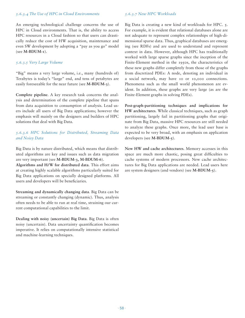# *5.6.3.4 The Use of HPC in Cloud Environments*

# An emerging technological challenge concerns the use of HPC in Cloud environments. That is, the ability to access HPC resources in a Cloud fashion so that users can drastically reduce the cost of HW acquisition, maintenance and even SW development by adopting a "pay as you go" model (see **M-BDUM-1**).

### *5.6.3.5 Very Large Volume*

"Big" means a very large volume, i.e., many (hundreds of) Terabytes is today's "large" end, and tens of petabytes are easily foreseeable for the near future (see **M-BDUM-3**).

**Complete pipeline**. A key research task concerns the analysis and determination of the complete pipeline that spans from data acquisition to consumption of analysis. Lead users include all users of Big Data applications; however the emphasis will mainly on the designers and builders of HPC solutions that deal with Big Data.

# *5.6.3.6 HPC Solutions for Distributed, Streaming Data and Noisy Data*

Big Data is by nature distributed, which means that distributed algorithms are key and issues such as data migration are very important (see **M-BDUM-3, M-BDUM-6**).

**Algorithms and H/W for distributed data**. This effort aims at creating highly scalable algorithms particularly suited for Big Data applications on specially designed platforms. All users and developers will be beneficiaries.

**Streaming and dynamically changing data**. Big Data can be streaming or constantly changing (dynamic). Thus, analysis often needs to be able to run at real time, straining our current computational capabilities to the limit.

**Dealing with noisy (uncertain) Big Data**. Big Data is often noisy (uncertain). Data uncertainty quantification becomes imperative. It relies on computationally intensive statistical and machine-learning techniques.

### *5.6.3.7 New HPC Workloads*

Big Data is creating a new kind of workloads for HPC. 5. For example, it is evident that relational databases alone are not adequate to represent complex relationships of high-dimensional sparse data. Thus, graphical databases are emerging (see RDFs) and are used to understand and represent context in data. However, although HPC has traditionally worked with large sparse graphs since the inception of the Finite-Element method in the 1950s, the characteristics of these new graphs differ completely from those of the graphs from discretized PDEs: A node, denoting an individual in a social network, may have 10 or 10,000 connections. Phenomena such as the small world phenomenon are evident. In addition, these graphs are very large (as are the Finite-Element graphs in solving PDEs).

**Post-graph-partitioning techniques and implications for HW architectures**. While classical techniques, such as graph partitioning, largely fail in partitioning graphs that originate from Big Data, massive HPC resources are still needed to analyze these graphs. Once more, the lead user base is expected to be very broad, with an emphasis on application developers (see **M-BDUM-5**).

**New HW and cache architectures**. Memory accesses in this space are much more chaotic, posing great difficulties to cache systems of modern processors. New cache architectures for Big Data applications are needed. Lead users here are system designers (and vendors) (see **M-BDUM-5**).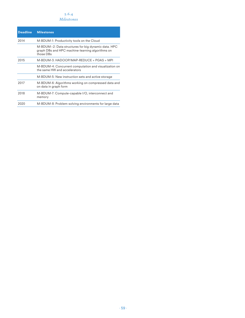### 5.6.4 *Milestones*

# Deadline Milestones 2014 M-BDUM-1: Productivity tools on the Cloud M-BDUM--2: Data structures for big dynamic data. H graph DBs and HPC machine-learning algorithms on those DBs 2015 M-BDUM-3: HADOOP/MAP-REDUCE + PGAS + MPI M-BDUM-4: Concurrent computation and visualization on the same HW and accelerators M-BDUM-5: New instruction sets and active storage 2017 M-BDUM-6: Algorithms working on compressed data and on data in graph form 2018 M-BDUM-7: Compute-capable I/O, interconnect and memory 2020 M-BDUM-8: Problem-solving environments for large data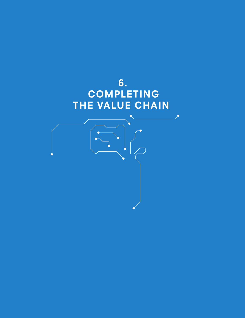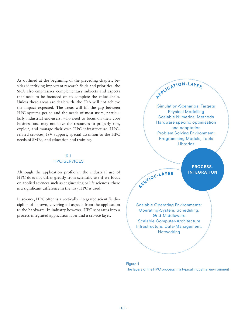As outlined at the beginning of the preceding chapter, besides identifying important research fields and priorities, the SRA also emphasizes complementary subjects and aspects that need to be focussed on to complete the value chain. Unless these areas are dealt with, the SRA will not achieve the impact expected. The areas will fill the gap between HPC systems per se and the needs of most users, particularly industrial end-users, who need to focus on their core business and may not have the resources to properly run, exploit, and manage their own HPC infrastructure: HPCrelated services, ISV support, special attention to the HPC needs of SMEs, and education and training.

# 6.1 HPC Services

Although the application profile in the industrial use of HPC does not differ greatly from scientific use if we focus on applied sciences such as engineering or life sciences, there is a significant difference in the way HPC is used.

In science, HPC often is a vertically integrated scientific discipline of its own, covering all aspects from the application to the hardware. In industry however, HPC separates into a process-integrated application layer and a service layer.



Figure 4 The layers of the HPC process in a typical industrial environment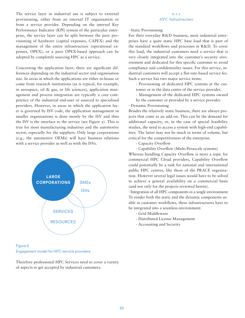The service layer in industrial use is subject to external provisioning, either from an internal IT organisation or from a service provider. Depending on the internal Key Performance Indicator (KPI) system of the particular enterprise, the service layer can be split between the pure provisioning of hardware (capital expenses, CAPEX) and the management of the entire infrastructure (operational expenses, OPEX), or a pure OPEX-based approach can be adopted by completely sourcing HPC as a service.

Concerning the application layer, there are significant differences depending on the industrial sector and organisation size. In areas in which the applications are either in-house or come from research institutions (as is typical, for example, in aerospace, oil & gas, or life sciences), application management and process integration are typically a core competence of the industrial end-user or sourced to specialised providers. However, in areas in which the application layer is governed by ISV code, the application management in smaller organisations is done mostly by the ISV and thus the ISV is the interface to the service (see Figure  $\zeta$ ). This is true for most manufacturing industries and the automotive sector, especially for the suppliers. Only large corporations (e.g., the automotive OEMs) will have business relations with a service provider as well as with the ISVs.



# Figure 5 Engagement model for HPC service providers

Therefore professional HPC Services need to cover a variety of aspects to get accepted by industrial customers.

# 6.1.1 *HPC Infrastructure*

### · Static Provisioning

For their everyday R&D business, most industrial enterprises have a quite static HPC base load that is part of the standard workflows and processes in R&D. To cover this load, the industrial customers need a service that is very closely integrated into the customer's security environment and dedicated for this specific customer to avoid compliance and confidentiality issues. For this service, industrial customers will accept a flat-rate-based service fee. Such a service has two major service items:

- Provisioning of dedicated HPC systems at the customer or in the data centre of the service provider.
- Management of the dedicated HPC systems owned
- by the customer or provided by a service provider.

· Dynamic Provisioning

Besides the relatively static business, there are always projects that come as an add-on. This can be the demand for additional capacity, or, in the case of special feasibility studies, the need to access a system with high-end capabilities. The latter may not be much in terms of volume, but critical for the competitiveness of the enterprise.

- Capacity Overflow

- Capability Overflow (Multi-Petascale systems)

Whereas handling Capacity Overflow is more a topic for commercial HPC Cloud providers, Capability Overflow could potentially be a task for national and international public HPC centres, like those of the PRACE organisation. However several legal issues would have to be solved to achieve a general availability on a commercial basis (and not only for the projects reviewed herein).

· Integration of all HPC components in a single environment To render both the static and the dynamic components usable in customer workflows, these infrastructures have to be integrated into a seamless environment:

- Grid Middleware
- Distributed License Management
- Accounting and Security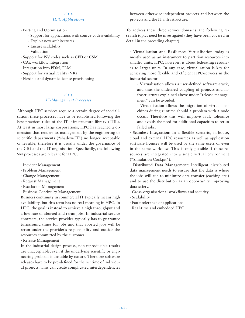# 6.1.2 *HPC Applications*

- · Porting and Optimisation
	- Support for applications with source-code availability
	- Exploit new architectures
	- Ensure scalability
	- Validation
- · Support for ISV codes such as CFD or CSM
- · CAx workflow integration
- · Integration into PDM, PLM
- · Support for virtual reality (VR)
- · Flexible and dynamic license provisioning

### 6.1.3 *IT-Management Processes*

Although HPC services require a certain degree of specialisation, these processes have to be established following the best-practices rules of the IT infrastructure library (ITIL). At least in most large corporations, HPC has reached a dimension that renders its management by the engineering or scientific departments ("shadow-IT") no longer acceptable or feasible; therefore it is usually under the governance of the CIO and the IT organisation. Specifically, the following SM processes are relevant for HPC:

- · Incident Management
- · Problem Management
- · Change Management
- · Request Management
- · Escalation Management
- · Business Continuity Management

Business continuity in commercial IT typically means high availability, but this term has no real meaning in HPC. In HPC, the goal is instead to achieve a high throughput and a low rate of aborted and rerun jobs. In industrial service contracts, the service provider typically has to guarantee turnaround times for jobs and that aborted jobs will be rerun under the provider's responsibility and outside the resources committed by the customer.

· Release Management

In the industrial design process, non-reproducible results are unacceptable, even if the underlying scientific or engineering problem is unstable by nature. Therefore software releases have to be pre-defined for the runtime of individual projects. This can create complicated interdependencies between otherwise independent projects and between the projects and the IT infrastructure.

To address these three service domains, the following research topics need be investigated (they have been covered in detail in the preceding chapter):

· **Virtualisation and Resilience**: Virtualisation today is mostly used as an instrument to partition resources into smaller units. HPC, however, is about federating resources to larger units. In any case, virtualisation is key for achieving more flexible and efficient HPC-services in the industrial sector:

- Virtualisation allows a user-defined software-stack, and thus the undesired coupling of projects and infrastructures explained above under "release management" can be avoided.

- Virtualisation allows the migration of virtual machines during runtime should a problem with a node occur. Therefore this will improve fault tolerance and avoids the need for additional capacities to rerun failed jobs.

· **Seamless Integration**: In a flexible scenario, in-house, cloud and external HPC resources as well as application software licenses will be used by the same users or even in the same workflow. This is only possible if these resources are integrated into a single virtual environment ("Simulation Cockpit").

· **Distributed Data Management**: Intelligent distributed data management needs to ensure that the data is where the jobs will run to minimize data transfer (caching etc.) and to use the distribution as an opportunity improving data safety.

- · Cross-organisational workflows and security
- · Scalability
- · Fault tolerance of applications
- · Real-time and embedded HPC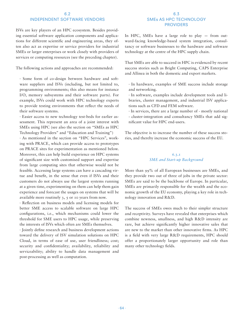### 6.2 Independent Software Vendors

ISVs are key players of an HPC ecosystem. Besides providing essential software application components and applications for different scientific and engineering areas, they often also act as expertise or service providers for industrial SMEs or larger enterprises or work closely with providers of services or computing resources (see the preceding chapter).

The following actions and approaches are recommended:

· Some form of co-design between hardware and software suppliers and ISVs (including, but not limited to, programming environments; this also means for instance I/O, memory subsystems and their software parts). For example, ISVs could work with HPC technology experts to provide testing environments that reflect the needs of their software systems.

· Easier access to new technology test-beds for earlier assessment. This represent an area of a joint interest with SMEs using HPC (see also the section on "SMEs as HPC Technology Providers" and "Education and Training")

· As mentioned in the section on "HPC Services", working with PRACE, which can provide access to prototypes on PRACE sites for experimentation as mentioned below. Moreover, this can help build experience on HPC systems of significant size with customised support and expertise from large computing sites that otherwise would not be feasible. Accessing large systems can have a cascading virtue and benefit, in the sense that even if ISVs and their customers do not always use the largest systems running at a given time, experimenting on them can help them gain experience and forecast the usages on systems that will be available more routinely 3, 5 or 10 years from now.

· Reflection on business models and licensing models for better SME access to scalable software on large HPC configurations, i.e., which mechanisms could lower the threshold for SME users to HPC usage, while preserving the interests of ISVs which often are SMEs themselves.

· Jointly define research and business development actions toward the delivery of ISV simulation solutions on HPC Cloud, in terms of ease of use, user friendliness; cost; security and confidentiality; availability, reliability and serviceability; ability to handle data management and post-processing as well as computation.

# 6.3 SMEs AS HPC TECHNOLOGY **PROVIDERS**

In HPC, SMEs have a large role to play — from outward-facing knowledge-based system integration, consultancy or software businesses to the hardware and software technology at the centre of the HPC supply chain.

That SMEs are able to succeed in HPC is evidenced by recent success stories such as Bright Computing, CAPS Enterprise and Allinea in both the domestic and export markets.

· In hardware, examples of SME success include storage and networking.

· In software, examples include development tools and libraries, cluster management, and industrial ISV applications such as CFD and FEM software.

· In services, there are a large number of - mostly national - cluster-integration and consultancy SMEs that add significant value for HPC end-users.

The objective is to increase the number of these success stories, and thereby increase the economic success of the EU.

# 6.3.1 *SME and Start-up Background*

More than 99% of all European businesses are SMEs, and they provide two out of three of jobs in the private sector: SMEs are said to be the backbone of Europe. In particular, SMEs are primarily responsible for the wealth and the economic growth of the EU economy, playing a key role in technology innovation and R&D.

The success of SMEs owes much to their simpler structure and receptivity. Surveys have revealed that enterprises which combine newness, smallness, and high R&D intensity are rare, but achieve significantly higher innovative sales that are new to the market than other innovative firms. As HPC is a field with very large R&D requirements, HPC should offer a proportionately larger opportunity and role than many other technology fields.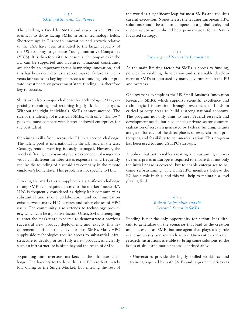# 6.3.2 *SME and Start-up Challenges*

The challenges faced by SMEs and start-ups in HPC are identical to those facing SMEs in other technology fields. Shortcomings in European innovation and growth relative to the USA have been attributed to the larger capacity of the US economy to generate Young Innovative Companies (YICS). It is therefore vital to ensure such companies in the EU can be supported and nurtured. Financial constraints are clearly an important factor hampering innovation, and this has been described as a severe market failure as it prevents fair access to key inputs. Access to funding - either private investments or government/state funding - is therefore key to success.

Skills are also a major challenge for technology SMEs, especially recruiting and retaining highly skilled employees. Without the right individuals, SMEs cannot succeed. The size of the talent pool is critical: SMEs, with only "shallow" pockets, must compete with better endowed enterprises for the best talent.

Obtaining skills from across the EU is a second challenge. The talent pool is international in the EU, and in the 21st Century, remote working is easily managed. However, the widely differing employment practices render employing individuals in different member states expensive - and frequently require the founding of a subsidiary company in the remote employee's home state. This problem is not specific to HPC.

Entering the market as a supplier is a significant challenge to any SME as it requires access to the market "network". HPC is frequently considered as tightly knit community as substantial and strong collaboration and communication exist between many HPC centres and other classes of HPC users. The community also extends to technology providers, which can be a positive factor. Often, SMEs attempting to enter the market are expected to demonstrate a previous successful new product deployment, and exactly this requirement is difficult to achieve for most SMEs. Many HPC supply-side technologies require access to substantial infrastructure to develop or test fully a new product, and clearly such an infrastructure is often beyond the reach of SMEs.

Expanding into overseas markets is the ultimate challenge. The barriers to trade within the EU are fortunately low owing to the Single Market, but entering the rest of the world is a significant leap for most SMEs and requires careful execution. Nonetheless, the leading European HPC solutions should be able to compete on a global scale, and export opportunity should be a primary goal for an SMEfocussed strategy.

# 6.3.3 *Fostering and Nurturing Innovation*

As the main limiting factor for SMEs is access to funding, policies for enabling the creation and sustainable development of SMEs are pursued by many governments in the EU and overseas.

One overseas example is the US Small Business Innovation Research (SBIR), which supports scientific excellence and technological innovation through investment of funds in critical priority areas to build a strong national economy. The program not only aims to meet Federal research and development needs, but also enables private-sector commercialization of research generated by Federal funding. Grants are given for each of the three phases of research: from prototyping and feasibility to commercialization. This program has been used to fund US HPC start-ups.

A policy that both enables creating and sustaining innovative enterprises in Europe is required to ensure that not only the initial phase is covered, but to enable enterprises to become self-sustaining. The ETP4HPC members believe the EC has a role in this, and this will help to maintain a level playing field.

### 6.3.4 *Role of Universities and the Research Sector in SMEs*

Funding is not the only opportunity for action: It is difficult to generalize on the scenarios that lead to the creation and success of an SME, but one agent that plays a key role is the university and research sector. Universities and other research institutions are able to bring some solutions to the issues of skills and market access identified above:

· Universities provide the highly skilled workforce and training required by both SMEs and larger enterprises (as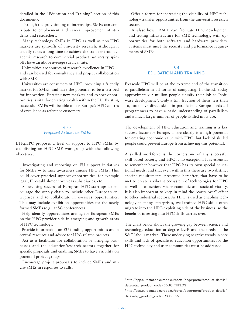detailed in the "Education and Training" section of this document).

· Through the provisioning of internships, SMEs can contribute to employment and career improvement of students and researchers.

· Many technology SMEs in HPC as well as non-HPC markets are spin-offs of university research. Although it usually takes a long time to achieve the transfer from academic research to commercial product, university spinoffs have an above average survival rate.

· Universities are sources of research excellence in HPC and can be used for consultancy and project collaboration with SMEs.

· Universities are consumers of HPC, providing a friendly market for SMEs, and have the potential to be a test-bed for innovation. Entering new markets and export opportunities is vital for creating wealth within the EU. Existing successful SMEs will be able to use Europe's HPC centres of excellence as reference customers.

### 6.3.5 *Proposed Actions on SMEs*

ETP4HPC proposes a level of support to HPC SMEs by establishing an HPC SME workgroup with the following objectives:

· Investigating and reporting on EU support initiatives for SMEs — to raise awareness among HPC SMEs. This could cover practical support opportunities, for example legal, IP, establishment overseas subsidiaries, etc.

· Showcasing successful European HPC start-ups to encourage the supply chain to include other European enterprises and to collaborate in overseas opportunities. This may include exhibition opportunities for the newly formed SMEs (e.g., at SC conferences).

· Help identify opportunities arising for European SMEs on the HPC provider side in emerging and growth areas of HPC technology.

· Provide information on EU funding opportunities and a central resource and advice for HPC-related projects

· Act as a facilitator for collaboration by bringing businesses and the education/research sectors together for specific proposals and enabling SMEs to have visibility on potential project groups.

· Encourage project proposals to include SMEs and micro-SMEs in responses to calls.

· Offer a forum for increasing the visibility of HPC technology-transfer opportunities from the university/research sector.

· Analyse how PRACE can facilitate HPC development and testing infrastructure for SME technology, with opportunities for both software and hardware providers. Systems must meet the security and performance requirements of SMEs.

# 6.4 Education and Training

Exascale HPC will be at the extreme end of the transition to parallelism in all forms of computing. In the EU today approximately 2 million people classify their job as "software development". Only a tiny fraction of them (less than 10,000) have direct skills in parallelism. Europe needs all programmers to have a basic understanding of parallelism and a much larger number of people skilled in its use.

The development of HPC education and training is a key success factor for Europe. There clearly is a high potential for creating economic value with HPC, but lack of skilled people could prevent Europe from achieving this potential.

A skilled workforce is the cornerstone of any successful skill-based society, and HPC is no exception. It is essential to remember however that HPC has its own special educational needs, and that even within this there are two distinct specific requirements, presented hereafter, that have to be met to create a vibrant ecosystem of technologies for HPC as well as to achieve wider economic and societal vitality. It is also important to keep in mind the "carry-over" effect to other industrial sectors. As HPC is used as enabling technology in many enterprises, well-trained HPC skills often migrate into the HPC-exploiting side of the business, so the benefit of investing into HPC skills carries over.

The chart below shows the growing gap between science and technology education at degree level<sup>6</sup> and the needs of the S&T labour market7 . These underlying negative trends in core skills and lack of specialised education opportunities for the HPC technology and user communities must be addressed.

<sup>6</sup> http://epp.eurostat.ec.europa.eu/portal/page/portal/product\_details/ dataset?p\_product\_code=EDUC\_THFLDS

<sup>7</sup> http://epp.eurostat.ec.europa.eu/portal/page/portal/product\_details/ dataset?p\_product\_code=TSC00025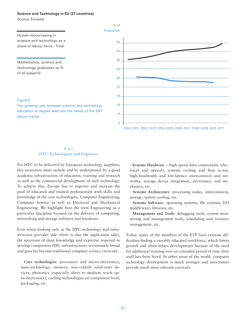### Science and Technology in EU (27 countries)

Source: Eurostat

# Human resourcesing in science and technology as a share of labour force - Total

Mathematics, science and technology graduates as % of all subjects

#### Figure 6

The growing gap between science and technology education at degree level and the needs of the S&T labour market.





# 6.4.1 *HPC Technologists and Engineers*

For HPC to be delivered by European technology suppliers, this ecosystem must include and be underpinned by a good academic infrastructure of education, training and research as well as the commercial development of such technology. To achieve this, Europe has to improve and increase the pool of educated and trained professionals with skills and knowledge of the core technologies, Computer Engineering, Computer Science as well as Electrical and Mechanical Engineering. We highlight here the term Engineering as a particular discipline focused on the delivery of computing, networking and storage software and hardware.

Even when looking only at the HPC technology and infrastructure provider side (there is also the application side), the spectrum of deep knowledge and expertise required to develop competitive HPC infrastructures is extremely broad and goes far beyond traditional computer science curricula:

· **Core technologies**: processors and micro-electronics, nano-technology, memory, non-volatile solid-state devices, photonics (especially short to medium reach opto-electronics), cooling technologies on component level, packaging, etc.

· **Systems Hardware** – high-speed data connections (electrical and optical), systems cooling and heat re-use, high-bandwidth and low-latency interconnects and networks, storage device integration, electronics, and mechanics, etc.

· **Systems Architecture**: processing nodes, interconnects, storage, system cooling, etc.

· **Systems Software**: operating systems, file systems, I/O middleware, libraries, etc.

· **Management and Tools**: debugging tools, system monitoring and management tools, scheduling and resource management, etc.

Today, many of the members of the ETP have extreme difficulties finding a suitably educated workforce, which limits growth and often delays developments because of the need for additional training over an extended period of time after staff has been hired. In other areas of the world, computer technology development is much stronger and universities provide much more relevant curricula.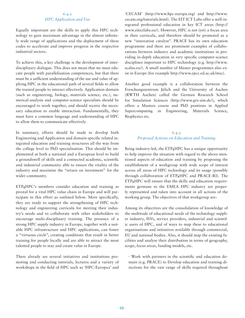# 6.4.2 *HPC Application and Use*

Equally important are the skills to apply this HPC technology to gain maximum advantage in the almost infinitely wide range of applications and the deployment of these codes to accelerate and improve progress in the respective industrial sectors.

To achieve this, a key challenge is the development of interdisciplinary dialogue. This does not mean that we must educate people with parallelisation competences, but that there must be a sufficient understanding of the use and value of applying HPC in the educational path of several fields to allow the trained people to interact effectively. Application-domain (such as engineering, biology, materials science, etc.), numerical-analysis and computer-science specialists should be encouraged to work together, and should receive the necessary education to enable interaction. Fundamentally, they must have a common language and understanding of HPC to allow them to communicate effectively.

In summary, efforts should be made to develop both Engineering and Application and domain-specific related integrated education and training structures all the way from the college level to PhD specialisation. This should be implemented at both a national and a European level to build a groundswell of skills and a connected academic, scientific and industrial community able to ensure the vitality of the industry and maximise the "return on investment" for the wider community.

ETP4HPC's members consider education and training as pivotal for a vital HPC value chain in Europe and will participate in this effort as outlined below. More specifically, they are ready to support the strengthening of HPC technology and engineering curricula for meeting their industry's needs and to collaborate with other stakeholders to encourage multi-disciplinary training. The presence of a strong HPC supply industry in Europe, together with a suitable HPC infrastructure and HPC applications, can foster a "virtuous circle", creating conditions that result in better training for people locally and are able to attract the most talented people to stay and create value in Europe.

There already are several initiatives and institutions promoting and conducting tutorials, lectures and a variety of workshops in the field of HPC such as 'HPC-Europa2' and 'CECAM' (http://www.hpc-europa.org/ and http://www. cecam.org/tutorials.html). The EIT ICT Labs offer a well-integrated professional education in key ICT areas (http:// www.eitictlabs.eu/). However, HPC is not (yet) a focus area in their curricula, and therefore should be promoted as a new "innovation catalyst". PRACE has its own education programme and there are prominent examples of collaborations between industry and academic institutions in providing in-depth education in very specific computer-science disciplines important to HPC technology (e.g. http://www. scalus.eu/). A small number of Master programmes also exist in Europe (for example http://www.epcc.ed.ac.uk/msc).

Another good example is a collaboration between the Forschungszentrum Jülich and the University of Aachen (RWTH Aachen) called the German Research School for Simulation Sciences (http://www.grs-sim.de/), which offers a Masters course and PhD positions in Applied Supercomputing in Engineering, Materials Science, Biophysics etc.

# 6.4.3 *Proposed Actions on Education and Training*

Being industry-led, the ETP4HPC has a unique opportunity to help improve the situation with regard to the above-mentioned aspects of education and training by proposing the establishment of a workgroup with wide scope of interest across all areas of HPC technology and its usage (possibly through collaboration of ETP4HPC and PRACE-RI). The ETP4HPC will ensure that the skills and education requirements germane to the EMEA HPC industry are properly represented and taken into account in all actions of the working group. The objectives of that workgroup are:

Among its objectives are the consolidation of knowledge of the multitude of educational needs of the technology supplier industry, ISVs, service providers, industrial and scientific users of HPC, and of ways to map these to educational organisations and initiatives available through commercial, EU and national bodies. Also, it should map the existing facilities and analyse their distribution in terms of geography, scope, focus areas, funding models, etc.

· Work with partners in the scientific and education domain (e.g. PRACE) to Develop education and training directions for the vast range of skills required throughout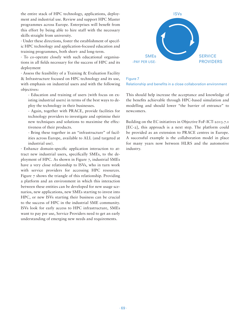the entire stack of HPC technology, applications, deployment and industrial use. Review and support HPC Master programmes across Europe. Enterprises will benefit from this effort by being able to hire staff with the necessary skills straight from university.

· Under these directions, foster the establishment of specific HPC technology and application-focused education and training programmes, both short- and long-term.

· To co-operate closely with such educational organisations in all fields necessary for the success of HPC and its deployment

· Assess the feasibility of a Training & Evaluation Facility & Infrastructure focused on HPC technology and its use, with emphasis on industrial users and with the following objectives:

- Education and training of users (with focus on existing industrial users) in terms of the best ways to deploy the technology in their businesses.

- Again, together with PRACE, provide facilities for technology providers to investigate and optimise their new techniques and solutions to maximise the effectiveness of their products.

- Bring these together in an "infrastructure" of facilities across Europe, available to ALL (and targeted at industrial use).

· Enhance domain-specific application interaction to attract new industrial users, specifically SMEs, to the deployment of HPC. As shown in Figure 7, industrial SMEs have a very close relationship to ISVs, who in turn work with service providers for accessing HPC resources. Figure 7 shows the triangle of this relationship. Providing a platform and an environment in which this interaction between these entities can be developed for new usage scenarios, new applications, new SMEs starting to invest into HPC, or new ISVs starting their business can be crucial to the success of HPC in the industrial SME community. ISVs look for early access to HPC infrastructure, SMEs want to pay per use, Service Providers need to get an early understanding of emerging new needs and requirements.



Figure 7 Relationship and benefits in a close collaboration environment

This should help increase the acceptance and knowledge of the benefits achievable through HPC-based simulation and modelling and should lower "the barrier of entrance" to newcomers.

Building on the EC initiatives in Objective FoF-ICT-2013.7.1 [EC-2], this approach is a next step. The platform could be provided as an extension to PRACE centres in Europe. A successful example is the collaboration model in place for many years now between HLRS and the automotive industry.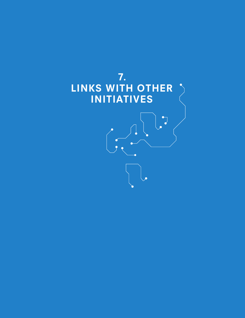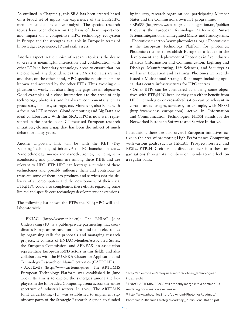As outlined in Chapter 3, this SRA has been created based on a broad set of inputs, the experience of the ETP4HPC members, and an extensive analysis. The specific research topics have been chosen on the basis of their importance and impact on a competitive HPC technology ecosystem in Europe and the strengths available in Europe in terms of knowledge, experience, IP and skill assets.

Another aspect in the choice of research topics is the desire to create a meaningful interaction and collaboration with other ETPs in boundary technology areas to ensure that, on the one hand, any dependencies this SRA articulates are met and that, on the other hand, HPC-specific requirements are known and accepted by the other ETPs. Thus avoiding duplication of work, but also filling any gaps are an objective. Good examples of a close interaction are the areas of chip technology, photonics and hardware components, such as processors, memory, storage, etc. Moreover, also ETPs with a focus on ICT services, Cloud computing and Big Data are ideal collaborators. With this SRA, HPC is now well represented in the portfolio of ICT-focussed European research initiatives, closing a gap that has been the subject of much debate for many years.

Another important link will be with the KET (Key Enabling Technologies) initiative<sup>8</sup> the EC launched in 2012. Nanotechnology, micro- and nanoelectronics, including semiconductors, and photonics are among these KETs and are relevant to HPC. ETP4HPC can leverage a number of these technologies and possibly influence them and contribute to translate some of them into products and services (via the delivery of supercomputers and the development of their use). ETP4HPC could also complement these efforts regarding some limited and specific core technology development or extensions.

The following list shows the ETPs the ETP4HPC will collaborate with:

· ENIAC (http://www.eniac.eu): The ENIAC Joint Undertaking (JU) is a public-private partnership that coordinates European research on micro- and nano-electronics by organising calls for proposals and managing research projects. It consists of ENIAC Member/Associated States, the European Commission, and AENEAS (an association representing European R&D actors in this field), and also collaborates with the EUREKA Cluster for Application and Technology Research on NanoElectronics (CATRENE).

· ARTEMIS (http://www.artemis-ju.eu) The ARTEMIS European Technology Platform was established in June 2004. Its aim is to exploit the synergies among the key players in the Embedded Computing arena across the entire spectrum of industrial sectors. In 2008, The ARTEMIS Joint Undertaking (JU) was established to implement significant parts of the Strategic Research Agenda co-funded

by industry, research organisations, participating Member States and the Commission's own ICT programme.

· EPoSS9 (http://www.smart-systems-integration.org/public): EPoSS is the European Technology Platform on Smart Systems Integration and integrated Micro- and Nanosystems. · Photonics21 (http://www.photonics21.org): Photonics21 is the European Technology Platform for photonics. Photonics21 aims to establish Europe as a leader in the development and deployment of Photonics in five industrial areas (Information and Communication, Lighting and Displays, Manufacturing, Life Sciences, and Security) as well as in Education and Training. Photonics 21 recently issued a Multiannual Strategic Roadmap<sup>10</sup> including optical data centre infrastructures for HPC centres.

· Other ETPs can be considered as sharing some objectives with ETP4HPC because they can either benefit from HPC technologies or cross-fertilisation can be relevant in certain areas (usages, services), for example, with NESSI (http://www.nessi-europe.com) active in Information and Communication Technologies. NESSI stands for the Networked European Software and Service Initiative.

In addition, there are also several European initiatives active in the area of promoting High-Performance Computing with various goals, such as HiPEAC, Prospect, Teratec, and EESI2. ETP4HPC either has direct contacts into these organisations through its members or intends to interlock on a regular basis.

8 http://ec.europa.eu/enterprise/sectors/ict/key\_technologies/ index\_en.htm

9 ENIAC, ARTEMIS, EPoSS will probably merge into a common JU, rendering coordination even easier.

10 http://www.photonics21.org/download/PhotonicsRoadmap/ PhotonicsMultiannualStrategicRoadmap\_PublicConsultation.pdf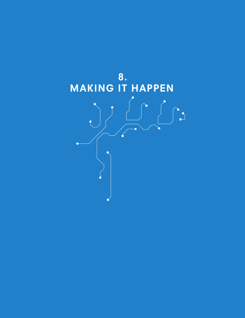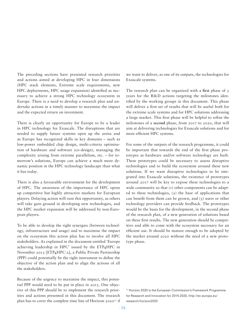The preceding sections have presented research priorities and actions aimed at developing HPC in four dimensions (HPC stack elements, Extreme scale requirements, new HPC deployments, HPC usage expansion) identified as necessary to achieve a strong HPC technology ecosystem in Europe. There is a need to develop a research plan and undertake actions in a timely manner to maximise the impact and the expected return on investment.

There is clearly an opportunity for Europe to be a leader in HPC technology for Exascale. The disruptions that are needed to supply future systems open up the arena and as Europe has recognized skills in key domains – such as low-power embedded chip design, multi-criteria optimisation of hardware and software (co-design), managing the complexity arising from extreme parallelism, etc. – for tomorrow's solutions, Europe can achieve a much more dynamic position in the HPC technology landscape than what it has today.

There is also a favourable environment for the development of HPC. The awareness of the importance of HPC opens up competitive but highly attractive markets for European players. Delaying action will ruin this opportunity, as others will take gain ground in developing new technologies, and the HPC market expansion will be addressed by non-European players.

To be able to develop the right synergies (between technology, infrastructure and usage) and to maximise the impact on the ecosystem this action plan has to involve all HPC stakeholders. As explained in the document entitled 'Europe achieving leadership in HPC' issued by the ETP4HPC in November 2012 [ETP4HPC-2], a Public Private Partnership (PPP) could potentially be the right instrument to define the objective of the action plan and to align the actions of all the stakeholders.

Because of the urgency to maximise the impact, this potential PPP would need to be put in place in 2013. One objective of this PPP should be to implement the research priorities and actions presented in this document. The research plan has to cover the complete time line of Horizon 2020 $^{\text{II}}$  if we want to deliver, as one of its outputs, the technologies for Exascale systems.

The research plan can be organized with a **first** phase of 3 years for the R&D actions targeting the milestones identified by the working groups in this document. This phase will deliver a first set of results that will be useful both for the extreme scale systems and for HPC solutions addressing a large market. This first phase will be helpful to refine the milestones of a **second** phase, from 2017 to 2020, that will aim at delivering technologies for Exascale solutions and for more efficient HPC systems.

For some of the outputs of the research programme, it could be important that towards the end of the first phase prototypes as hardware and/or software technology are built. These prototypes could be necessary to assess disruptive technologies and to build the ecosystem around these new solutions. If we want disruptive technologies to be integrated into Exascale solutions, the existence of prototypes around 2017 will be key to expose these technologies to a wide community so that  $(i)$  other components can be adapted to these technologies, (2) the base of applications that can benefit from them can be grown, and (3) users or other technology providers can provide feedback. The prototypes would be the basis for the development, in the second phase of the research plan, of a new generation of solutions based on these first results. The new generation should be competitive and able to come with the ecosystem necessary for an efficient use. It should be mature enough to be adopted by the market around 2020 without the need of a new prototype phase.

<sup>&</sup>lt;sup>11</sup> Horizon 2020 is the European Commission's Framework Programme for Research and Innovation for 2014-2020, http://ec.europa.eu/ research/horizon2020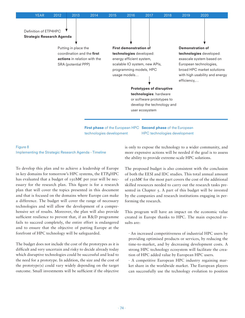

**First phase** of the European HPC Second phase of the European technologies development HPC technologies development

#### Figure 8 Implementing the Strategic Research Agenda - Timeline

To develop this plan and to achieve a leadership of Europe in key domains for tomorrow's HPC systems, the ETP4HPC has evaluated that a budget of  $150M\epsilon$  per year will be necessary for the research plan. This figure is for a research plan that will cover the topics presented in this document and that is focused on the domains where Europe can make a difference. The budget will cover the range of necessary technologies and will allow the development of a comprehensive set of results. Moreover, the plan will also provide sufficient resilience to prevent that, if an R&D programme fails to succeed completely, the entire effort is endangered and to ensure that the objective of putting Europe at the forefront of HPC technology will be safeguarded.

The budget does not include the cost of the prototypes as it is difficult and very uncertain and risky to decide already today which disruptive technologies could be successful and lead to the need for a prototype. In addition, the size and the cost of the prototype(s) could vary widely depending on the target outcome. Small investments will be sufficient if the objective is only to expose the technology to a wider community, and more expensive actions will be needed if the goal is to assess the ability to provide extreme-scale HPC solutions.

The proposed budget is also consistent with the conclusion of both the EESI and IDC studies. This total annual amount of 150M€ for the most part covers the cost of the additional skilled resources needed to carry out the research tasks presented in Chapter 5. A part of this budget will be invested by the companies and research institutions engaging in performing the research.

This program will have an impact on the economic value created in Europe thanks to HPC. The main expected results are:

· An increased competitiveness of industrial HPC users by providing optimised products or services, by reducing the time-to-market, and by decreasing development costs. A strong HPC technology ecosystem will facilitate the creation of HPC added value by European HPC users.

· A competitive European HPC industry regaining market share in the worldwide market. The European players can successfully use the technology evolution to position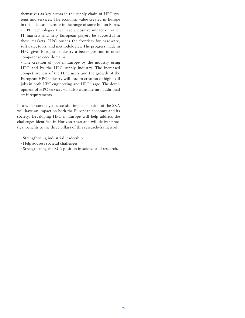themselves as key actors in the supply chain of HPC systems and services. The economic value created in Europe in this field can increase in the range of some billion Euros. · HPC technologies that have a positive impact on other IT markets and help European players be successful in these markets. HPC pushes the frontiers for hardware, software, tools, and methodologies. The progress made in HPC gives European industry a better position in other computer science domains.

· The creation of jobs in Europe by the industry using HPC and by the HPC supply industry. The increased competitiveness of the HPC users and the growth of the European HPC industry will lead to creation of high-skill jobs in both HPC engineering and HPC usage. The development of HPC services will also translate into additional staff requirements.

In a wider context, a successful implementation of the SRA will have an impact on both the European economy and its society. Developing HPC in Europe will help address the challenges identified in Horizon 2020 and will deliver practical benefits to the three pillars of this research-framework:

- · Strengthening industrial leadership
- · Help address societal challenges
- · Strengthening the EU's position in science and research.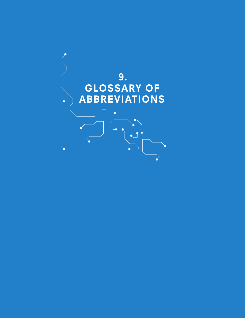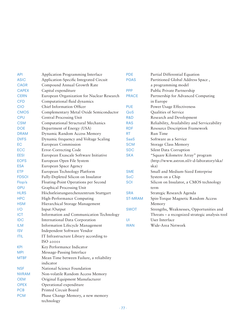| <b>API</b>   | Application Programming Interface          | <b>PDE</b>     | Partial Differential Equation                  |
|--------------|--------------------------------------------|----------------|------------------------------------------------|
| <b>ASIC</b>  | Application-Specific Integrated Circuit    | <b>PGAS</b>    | Partitioned Global Address Space,              |
| <b>CAGR</b>  | Compound Annual Growth Rate                |                | a programming model                            |
| <b>CAPEX</b> | Capital expenditure                        | <b>PPP</b>     | Public Private Partnership                     |
| <b>CERN</b>  | European Organization for Nuclear Research | <b>PRACE</b>   | Partnership for Advanced Computing             |
| <b>CFD</b>   | Computational fluid dynamics               |                | in Europe                                      |
| <b>CIO</b>   | Chief Information Officer                  | <b>PUE</b>     | Power Usage Effectiveness                      |
| <b>CMOS</b>  | Complementary Metal Oxide Semiconductor    | QoS            | Qualities of Service                           |
| <b>CPU</b>   | Central Processing Unit                    | R&D            | Research and Development                       |
| <b>CSM</b>   | Computational Structural Mechanics         | <b>RAS</b>     | Reliability, Availability and Serviceability   |
| <b>DOE</b>   | Department of Energy (USA)                 | <b>RDF</b>     | Resource Description Framework                 |
| <b>DRAM</b>  | Dynamic Random Access Memory               | RT             | Run Time                                       |
| <b>DVFS</b>  | Dynamic frequency and Voltage Scaling      | <b>SaaS</b>    | Software as a Service                          |
| EС           | European Commission                        | <b>SCM</b>     | Storage Class Memory                           |
| <b>ECC</b>   | Error-Correcting Code                      | <b>SDC</b>     | Silent Data Corruption                         |
| <b>EESI</b>  | European Exascale Software Initiative      | <b>SKA</b>     | "Square Kilometre Array" program               |
| <b>EOFS</b>  | European Open File System                  |                | (http://www.astron.nl/r-d-laboratory/ska/      |
| <b>ESA</b>   | European Space Agency                      |                | ska)                                           |
| ETP          | European Technology Platform               | <b>SME</b>     | Small and Medium-Sized Enterprise              |
| <b>FDSOI</b> | Fully-Depleted Silicon on Insulator        | SoC            | System on a Chip                               |
| Flop/s       | Floating-Point Operations per Second       | SOI            | Silicon on Insulator, a CMOS technology        |
| <b>GPU</b>   | Graphical Processing Unit                  |                | term                                           |
| <b>HLRS</b>  | Höchstleistungsrechenzentrum Stuttgart     | <b>SRA</b>     | Strategic Research Agenda                      |
| <b>HPC</b>   | High-Performance Computing                 | <b>ST-MRAM</b> | Spin-Torque Magnetic Random Access             |
| <b>HSM</b>   | Hierarchical Storage Management            |                | Memory                                         |
| I/O          | Input /Output                              | <b>SWOT</b>    | Strengths, Weaknesses, Opportunities and       |
| ICT          | Information and Communication Technology   |                | Threats - a recognized strategic analysis tool |
| IDC          | International Data Corporation             | UI             | User Interface                                 |
| <b>ILM</b>   | Information Lifecycle Management           | <b>WAN</b>     | Wide-Area Network                              |
| <b>ISV</b>   | Independent Software Vendor                |                |                                                |
| ITIL         | IT Infrastructure Library according to     |                |                                                |
|              | ISO <sub>2000I</sub>                       |                |                                                |
| KPI          | Key Performance Indicator                  |                |                                                |
| <b>MPI</b>   | Message-Passing Interface                  |                |                                                |
| MTBF         | Mean Time between Failure, a reliability   |                |                                                |
|              | indicator                                  |                |                                                |
| <b>NSF</b>   | National Science Foundation                |                |                                                |
| <b>NVRAM</b> | Non-volatile Random Access Memory          |                |                                                |
| OEM          | Original Equipment Manufacturer            |                |                                                |

- OPEX Operational expenditure PCB Printed Circuit Board
- PCM Phase Change Memory, a new memory technology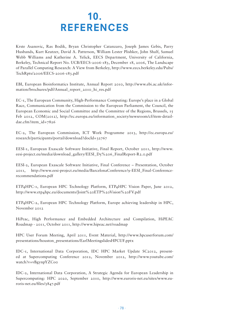# 10. REFERENCES

Krste Asanovic, Ras Bodik, Bryan Christopher Catanzaro, Joseph James Gebis, Parry Husbands, Kurt Keutzer, David A. Patterson, William Lester Plishker, John Shalf, Samuel Webb Williams and Katherine A. Yelick, EECS Department, University of California, Berkeley, Technical Report No. UCB/EECS-2006-183, December 18, 2006, The Landscape of Parallel Computing Research: A View from Berkeley, http://www.eecs.berkeley.edu/Pubs/ TechRpts/2006/EECS-2006-183.pdf

EBI, European Bioinformatics Institute, Annual Report 2010, http://www.ebi.ac.uk/information/brochures/pdf/Annual\_report\_2010\_hi\_res.pdf

EC-1, The European Community, High-Performance Computing: Europe's place in a Global Race, Communication from the Commission to the European Parliament, the Council, the European Economic and Social Committee and the Committee of the Regions, Brussels, 15 Feb 2012, COM(2012), http://ec.europa.eu/information\_society/newsroom/cf/item-detaildae.cfm?item\_id=7826

EC-2, The European Commission, ICT Work Programme 2013, http://ec.europa.eu/ research/participants/portal/download?docId=32767

EESI-1, European Exascale Software Initiative, Final Report, October 2011, http://www. eesi-project.eu/media/download\_gallery/EESI\_D5%206\_FinalReport-R2.0.pdf

EESI-2, European Exascale Software Initiative, Final Conference – Presentation, October 2011, http://www.eesi-project.eu/media/BarcelonaConference/9-EESI\_Final-Conferencerecommendations.pdf

ETP4HPC-1, European HPC Technology Platform, ETP4HPC Vision Paper, June 2012, http://www.etp4hpc.eu/documents/Joint%20ETP%20Vision%20FV.pdf

ETP4HPC-2, European HPC Technology Platform, Europe achieving leadership in HPC, November 2012

HiPeac, High Performance and Embedded Architecture and Compilation, HiPEAC Roadmap - 2011, October 2011, http://www.hipeac.net/roadmap

HPC User Forum Meeting, April 2011, Event Material, http://www.hpcuserforum.com/ presentations/houston\_presentations/EarlMeetingslidesHPCUF.pptx

IDC-1, International Data Corporation, IDC HPC Market Update SC2012, presented at Supercomputing Conference 2012, November 2012, http://www.youtube.com/ watch?v=vBgynpYZCo0

IDC-2, International Data Corporation, A Strategic Agenda for European Leadership in Supercomputing: HPC 2020, September 2010, http://www.euroris-net.eu/sites/www.euroris-net.eu/files/5847.pdf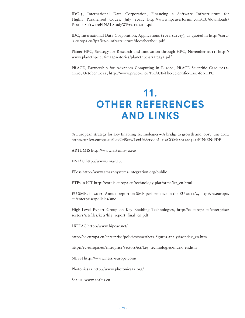IDC-3, International Data Corporation, Financing a Software Infrastructure for Highly Parallelised Codes, July 2011, http://www.hpcuserforum.com/EU/downloads/ ParallelSoftwareFINALStudyWP27.17.2011.pdf

IDC, International Data Corporation, Applications (2011 survey), as quoted in http://cordis.europa.eu/fp7/ict/e-infrastructure/docs/berthou.pdf

Planet HPC, Strategy for Research and Innovation through HPC, November 2011, http:// www.planethpc.eu/images/stories/planethpc-strategy2.pdf

PRACE, Partnership for Advances Computing in Europe, PRACE Scientific Case 2012- 2020, October 2012, http://www.prace-ri.eu/PRACE-The-Scientific-Case-for-HPC

# 11. OTHER REFERENCES AND LINKS

'A European strategy for Key Enabling Technologies – A bridge to growth and jobs', June 2012 http://eur-lex.europa.eu/LexUriServ/LexUriServ.do?uri=COM:2012:0341:FIN:EN:PDF

ARTEMIS http://www.artemis-ju.eu/

ENIAC http://www.eniac.eu:

EPoss http://www.smart-systems-integration.org/public

ETPs in ICT http://cordis.europa.eu/technology-platforms/ict\_en.html

EU SMEs in 2012: Annual report on SME performance in the EU 2011/2, http://ec.europa. eu/enterprise/policies/sme

High-Level Expert Group on Key Enabling Technologies, http://ec.europa.eu/enterprise/ sectors/ict/files/kets/hlg\_report\_final\_en.pdf

HiPEAC http://www.hipeac.net/

http://ec.europa.eu/enterprise/policies/sme/facts-figures-analysis/index\_en.htm

http://ec.europa.eu/enterprise/sectors/ict/key\_technologies/index\_en.htm

NESSI http://www.nessi-europe.com/

Photonics21 http://www.photonics21.org/

Scalus, www.scalus.eu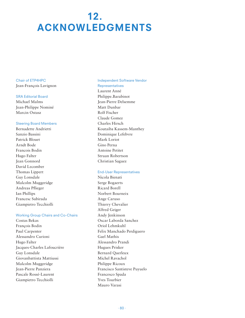# 12. ACKNOWLEDGMENTS

#### Chair of ETP4HPC

Jean-François Lavignon

#### SRA Editorial Board

Michael Malms Jean-Philippe Nominé Marcin Ostasz

#### Steering Board Members

Bernadette Andrietti Sanzio Bassini Patrick Blouet Arndt Bode Francois Bodin Hugo Falter Jean Gonnord David Lecomber Thomas Lippert Guy Lonsdale Malcolm Muggeridge Andreas Pflieger Ian Phillips Francesc Subirada Giampietro Tecchiolli

#### Working Group Chairs and Co-Chairs

Costas Bekas François Bodin Paul Carpenter Alessandro Curioni Hugo Falter Jacques-Charles Lafoucrière Guy Lonsdale Giovanbattista Mattiussi Malcolm Muggeridge Jean-Pierre Panziera Pascale Rossé-Laurent Giampietro Tecchiolli

#### Independent Software Vendor **Representatives** Laurent Anné Philippe.Barabinot Jean-Pierre Delsemme Matt Dunbar Rolf Fischer Claude Gomez Charles Hirsch Koutaiba Kassem-Manthey Dominique Lefebvre Mark Loriot Gino Perna Antoine Petitet Struan Robertson Christian Saguez

#### End-User Representatives

Nicola Bienati Serge Bogaerts Ricard Borell Norbert Bourneix Ange Caruso Thierry Chevalier Alfred Geiger Andy Jenkinson Oscar Laborda Sanchez Oriol Lehmkuhl Felix Manchado Perdiguero Gael Mathis Alessandro Prandi Hugues Prisker Bernard Querleux Michel Ravachol Philippe Ricoux Francisco Santisteve Puyuelo Francesco Spada Yves Tourbier Mauro Varasi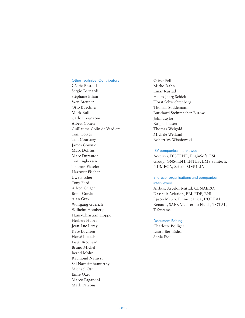#### Other Technical Contributors

Cédric Bastoul Sergio Bernardi Stéphane Bihan Sven Breuner Otto Buechner Mark Bull Carlo Cavazzoni Albert Cohen Guillaume Colin de Verdière Toni Cortes Tim Courtney James Cownie Marc Dollfus Marc Duranton Ton Engbersen Thomas Fieseler Hartmut Fischer Uwe Fischer Tony Ford Alfred Geiger Brent Gorda Alan Gray Wolfgang Guerich Wilhelm Homberg Hans-Christian Hoppe Herbert Huber Jean-Luc Leray Kare Lochsen Hervé Lozach Luigi Brochard Bruno Michel Bernd Mohr Raymond Namyst Sai Narasimhamurthy Michael Ott Emre Ozer Marco Paganoni Mark Parsons

Oliver Pell Mirko Rahn Einar Rustad Heiko Joerg Schick Horst Schwichtenberg Thomas Soddemann Burkhard Steinmacher-Burow John Taylor Ralph Thesen Thomas Weigold Michele Weiland Robert W. Wisniewski

#### ISV companies interviewed

Accelrys, DISTENE, EnginSoft, ESI Group, GNS-mbH, INTES, LMS Samtech, NUMECA, Scilab, SIMULIA

#### End-user organisations and companies interviewed

Airbus, Arcelor Mittal, CENAERO, Dassault Aviation, EBI, EDF, ENI, Epson Meteo, Finmeccanica, L'OREAL, Renault, SAFRAN, Termo Fluids, TOTAL, T-Systems

#### Document Editing

Charlotte Bolliger Laura Bermúdez Sonia Piou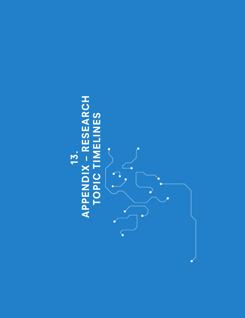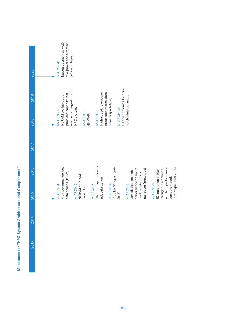# Milestones for "HPC System Architecture and Components" Milestones for "HPC System Architecture and Components"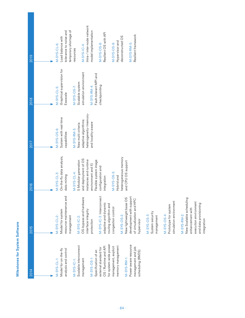# **Milestones for System Software** Milestones for System Software

| 2019<br>2018 | tolerance to noise and<br>Load balance with<br>M-SYS-CL-6:<br>Graphical supervision for<br>$M-SYS-CL-5$ :<br>Exascale<br>System with real-time | temporary shortage of<br>resources<br>Scalable system<br>M-SYS-OS-7:<br>New multi-criteria | Intra-/ inter-node network<br>M-SYS-IC-4:<br>simulation environment<br>heterogeneity-/memory-<br>adaptive algorithms: | model implementation<br>Fault-tolerant MPI and<br>M-SYS-RM-4:<br>and locality-aware | Resilient OS with API<br>M-SYS-OS-8:<br>checkpointing | M-SYS-OS-9:                                   | deconstructed OS<br>Hypervisor and                       | Resilient framework<br>M-SYS-RM-5:                                  |
|--------------|------------------------------------------------------------------------------------------------------------------------------------------------|--------------------------------------------------------------------------------------------|-----------------------------------------------------------------------------------------------------------------------|-------------------------------------------------------------------------------------|-------------------------------------------------------|-----------------------------------------------|----------------------------------------------------------|---------------------------------------------------------------------|
| 2017         | M-SYS-OS-6:<br>capabilities<br>On-the-fly data analysis,<br>$M-SYS-CL-3$<br>data mining                                                        | <b>M-SYS-RM-3:</b><br>I) Modular generation<br>$M-SYS-CL-4$ :                              | and deployment of OS<br>instances and runtime                                                                         | Flexible system image<br>environment and II)                                        | configuration and<br>integration                      | M-SYS-OS-5:                                   | heterogeneous memory<br>and CPU OS support<br>Hybrid and |                                                                     |
| 2016<br>2015 | esource maintenance and<br>Model for system<br>$M-SYS-CL-2$ :                                                                                  | management<br>M-SYS-IC-2:                                                                  | OS-bypass and hardware<br>interface integrity                                                                         | protection                                                                          | M-SYS-IC-3: Interconnect<br>adaptive and dynamic      | routing algorithm and<br>congestion control   | New lightweight base OS<br>M-SYS-OS-2:                   | development with support<br>of virtualization and HPC<br>hypervisor |
| 2014         | Model for on-the-fly<br>analysis and control<br>M-SYS-CL-1:                                                                                    | Scalable interconnect<br>$M-SYS-IC-1$                                                      | management                                                                                                            | Specification of an<br>M-SYS-OS-1:                                                  | external standard for<br>OS / Runtime and API         | for system-wide power<br>management, explicit | memory management<br>$M-SYS-RM-1$ :                      | Power-aware resource<br>management and job<br>scheduling (RMJS)     |

M-SYS-OS-3: System security management M-SYS-OS-4: Prototype for system simulation environment

System security

management

M-SYS-RM-2:

Prototype for system<br>simulation environment

M-SYS-OS-4:

New Scalable scheduling enhancement with execution environment and data provisioning

enhancement with

M-SYS-RM-2:<br>New Scalable scheduling

integration

execution environment<br>and data provisioning<br>integration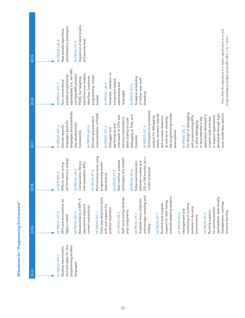Milestones for "Programming Environment" Milestones for "Programming Environment" M-PROG-LIB-4: New parallel algorithms parallelisation paradigms

M-PROG-LIB-4:

2019

parallelisation paradigms New parallel algorithms

M-PROG-PT-5:

M-PROG-PT-5:

Inspection of data locality at Exascale level

at Exascale level

Inspection of data locality

| 2014                  | 2015                        | 2016                     | 2017                      | 2018                       | <b>2019</b>        |
|-----------------------|-----------------------------|--------------------------|---------------------------|----------------------------|--------------------|
|                       |                             |                          |                           |                            |                    |
|                       |                             |                          |                           |                            |                    |
| M-PROG-API-1:         | M-PROG-API-2:               | M-PEP-API-4:             | M-PROG-API-5:             | M-PROG-API-7:              | $N-PF$             |
| Develop benchmarks    | APIs and annotations for    | APIs for auto-tuning     | Domain-specific           | Non-conventional           | New                |
| and mini-apps for new | legacy codes <sup>1</sup>   | performance or energy    | languages (specific       | parallel programming       | paral              |
| programming models/   |                             |                          | anguages and potentially  | approaches (i.e., not MPI, |                    |
| languages             | M-PROG-API-3:               | M-PROG-LIB-2:            | also development          | not OpenMP/pthread/        | $\overline{N}$ -Pi |
|                       | Advancements of MPI+X       | Components /library      | frameworks)               | PGAS, but targeting        | Inspe              |
|                       | approaches (beyond          | interoperability APIs    |                           | asynchronous models,       | at Ex              |
|                       | current realisations)       |                          | M-PROG-API-6:             | data flow, functional      |                    |
|                       |                             | M-PROG-PT-2:             | Efficient and standard    | programming, model-        |                    |
|                       | M-PROG-DC-1:                | Performance tools using  | implementation of PGAS    | based)                     |                    |
|                       | Data race detection tools   | programming model        |                           |                            |                    |
|                       | with user support for       | abstractions             | M-PROG-DC-1:              | M-PROG-LIB-3:              |                    |
|                       | problem resolution          |                          | Debugger tool             | Template-, skeleton-or     |                    |
|                       |                             | M-PROG-PT-3:             | performance and           | component-based            |                    |
|                       | M-PROG-LIB-1:               | New metrics, analysis    | overheads (in CPU and     | approaches and             |                    |
|                       | Self-/auto-tuning libraries | techniques and models    | memory) optimised to      | languages                  |                    |
|                       | and components              |                          | allow scaling of code     |                            |                    |
|                       |                             | M-PROG-RT-4:             | debugging at Peta- and    | M-PROG-RT-5:               |                    |
|                       | M-PROG-PT-1:                | Enhanced interaction     | Exascale                  | Scalable scheduling        |                    |
|                       | Scalable trace collection   | between runtime and      |                           | of million-way multi-      |                    |
|                       | and storage: sampling and   | OS or VM monitor (w.r.t. | M-PROG-DC-2:              | threading                  |                    |
|                       | folding                     | current practice)        | echniques for automated   |                            |                    |
|                       |                             |                          | support for debugging     |                            |                    |
|                       | M-PROG-RT-1:                |                          | (static, dynamic, hybrid) |                            |                    |
|                       | Runtime and compiler        |                          | and anomaly detection     |                            |                    |
|                       | support for auto-tuning     |                          | as well as or checking    |                            |                    |
|                       | and self-adapting systems   |                          | the programming model     |                            |                    |
|                       |                             |                          | assumptions               |                            |                    |
|                       | M-PROG-RT-2:                |                          |                           |                            |                    |
|                       | Management and              |                          | M-PROG-DC-3:              |                            |                    |
|                       | monitoring of runtime       |                          | Co-design of debugging    |                            |                    |
|                       | systems in dynamic          |                          | and programming APIs      |                            |                    |
|                       | environments                |                          | to allow debugging        |                            |                    |
|                       |                             |                          | to be presented in the    |                            |                    |
|                       | M-PROG-RT-3:                |                          | application developer's   |                            |                    |
|                       | Runtime support             |                          | original code and also    |                            |                    |

<sup>1</sup> Note that the migration of a major application to a new *1 Note that the migration of a major application to a new*  programming paradigm generally takes 5 to 7 years. *programming paradigm generally takes 5 to 7 years.*

for communication optimization: data-locality management, caching, and pre-fetching

for communication

optimization: data-locality

management, caching,

and pre-fetching

to support applications developed through highlevel model descriptions

developed through high-<br>level model descriptions to support applications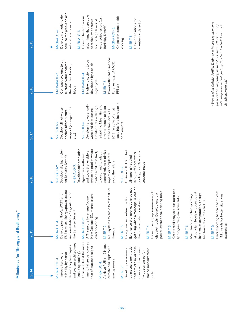# Milestones for "Energy and Resiliency" Milestones for "Energy and Resiliency"

| 2019           |  | M-ER         |
|----------------|--|--------------|
| 2018           |  | M-ER-ARCH-3: |
| 2017           |  | M-ER-DC-3:   |
| 2016           |  | M-ER-ALG-2:  |
| $\frac{6}{10}$ |  | -ER-ALG-1:   |
| 2014           |  | /-ER-ARCH-1: |

# Develop post Flop/s/WATT and

Develop post Flop/s/WATT and PUE metrics. Energy/power-aware implementations / algorithms for

PUE metrics. Energy/power-aware

implementations / algorithms for

Achieve at least the mean Achieve at least the mean time to failure per core as time to failure per core as and system architectures and system architectures edundancy techniques redundancy techniques that of current designs that of current designs (including cooling). reliability by better reliability by better (including cooling). Improve hardware Improve hardware

the Berkeley Dwarfs2

the Berkeley Dwarf<sup>s2</sup>

M-ER-ARCH-2:

M-ER-ARCH-2:

A/N sensors for energy/power. New Designs: 3D, microservers,

A/N sensors for energy/power.

New Designs: 3D, microservers,

error collecting

error collecting

M-ER-T-2:

 $M-ER-T-2$ :

RAS systems to scale to at least 5M

RAS systems to scale to at least 5M

threads

## M-ER-DC-1: M-ER-DC-1:

Achieve PUE < 1.2 in any Achieve PUE < 1.2 in any climate and implement climate and implement energy re-use energy re-use

# $M-ER-T-1$ : M-ER-T-1:

M-ER-T-3:

 $M-ER-T-3$ :

Design resilience-friendly MPI libraries so that applications do not get hung when a message is lost, or the core or network is down

Design resilience-friendly MPI

libraries so that applications do not

gy-measurement tools that are of similar ease that are of similar ease gy-measurement tools of use and functional-Develop power/enerof use and functionalmance-measurement mance-measurement Develop power/enerity as current perfority as current perfortools

M-ER-T-4:

 $M - ER - T - 4$ :

Develop energy/power-aware job Develop energy/power-aware job power-aware checkpointing tools power-aware checkpointing tools dispatch tools. Develop energy/ dispatch tools. Develop energy/

### $M-ER-T-5$ : M-ER-T-5:

Create resiliency expressing/friend-Create resiliency expressing/friendly programming environments ly programming environments

## $M-ER-T-6$ M-ER-T-6:

at constant levels wrt core count at constant levels wrt core count in terms of computation, energy, in terms of computation, energy, Maintain cost of checkpointing Maintain cost of checkpointing hardware resources and I/O hardware resources and I/O

### M-ER-T-7:  $M-ER-T-7$ :

Error reporting to scale to at least Error reporting to scale to at least 1M threads for better situational 1M threads for better situational awareness awareness

# M-ER-ALG-2:

Develop fully fault-toler-Develop fully fault-tolerant Berkeley Dwarfs ant Berkeley Dwarfs

# $M-ER-ALG-3$ :

etc.)

M-ER-DC-4:

M-ER-DC-4:

Develop hardware, software and data centre architectures with high reliability: Mean time to error to remain at least at the same levels as 2012, in spite of an at least 10x fold increase in

ware and data centre

reliability: Mean time to architectures with high error to remain at least

Develop hardware, soft-

Develop fault-prediction Develop fault-prediction system to predict where system to predict where accordingly to minimize accordingly to minimize and tools that enable a and tools that enable a when a failure is likely / when a failure is likely to occur and to adapt to occur and to adapt impact or completely algorithms, software impact or completely algorithms, software avoid the failure avoid the failure M-ER-ALG-3:

## M-ER-DC-2: M-ER-DC-2:

core counts

core counts

east 10x fold increase in

2012, in spite of an at at the same levels as

> Achieve PUE 1.3 for hot Achieve PUE 1.3 for hot cooling, > 90% energy cooling, > 90% energy 40°C, 60°C hot-water 40ºC, 60ºC hot-water climates, air-cooled climates, air-cooled seasonal reuse seasonal reuse

> > get hung when a message is lost, or

the core or network is down

#### termine the precision and termine the precision and Develop methods to de-Develop methods to de-M-ER-ALG-4: M-ER-ALG-4: 2019 Compact systems (e.g., Compact systems (e.g., microservers) become microservers) become the standard building the standard building M-ER-ARCH-3: M-ER-ARCH-3: block 2018 Develop full hot-watersupport (storage, UPS support (storage, UPS Develop full hot-watercooled infrastructure cooled infrastructure ι.<br>δ

# M-ER-ARCH-4: M-ER-ARCH-4:

High-end systems to be High-end systems to be developed by a co-dedeveloped by a co-design cycle

# $M-ER-T-8$ M-ER-T-8:

Power-efficient numerical Power-efficient numerical libraries (e.g. LAPACK, ibraries (e.g. LAPACK, FFTW)

# reliability of results reliability of results

# M-ER-ALG-5: M-ER-ALG-5:

algorithms that are able algorithms that are able Develop fault-oblivious Develop fault-oblivious undetected errors (wrt undetected errors (wrt to resist, by constructo resist, by construction, to high levels of tion, to high levels of Berkeley Dwarfs) Berkeley Dwarfs)

## Chips with double-side Chips with double-side M-ER-ARCH-5: M-ER-ARCH-5:

cooling

### $M - ER - T - 8$ M-ER-T-8:

Develop solutions for Develop solutions for silent-error detection silent-error detection

<sup>2</sup> Proposed in Colella, Phillip, Defining software requirements *2 Proposed in Colella, Phillip, Defining software requirements*  for scientific computing, included in David Patterson's 2005 *for scientific computing, included in David Patterson's 2005*  talk: http://www.lanl.gov/orgs/hpc/salishan/salishan2005/ *talk: http://www.lanl.gov/orgs/hpc/salishan/salishan2005/* davidpatterson.pdf *davidpatterson.pdf*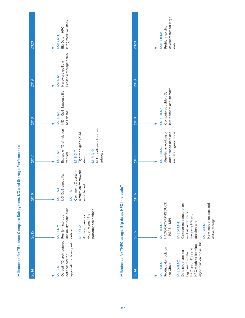Milestones for "Balance Compute Subsystem, I/O and Storage Performance" Milestones for "Balance Compute Subsystem, I/O and Storage Performance"

| 2014                                       | 2015                   | 2016                 | 2017                     | 2018                   | 2019                  | 2020                |
|--------------------------------------------|------------------------|----------------------|--------------------------|------------------------|-----------------------|---------------------|
|                                            |                        |                      |                          |                        |                       |                     |
| $M-BIO-1$ :                                | $M-BIO-2:$             | $M-BIO-4:$           | $M-BIO-6:$               | $M-BIO-8:$             | <b>M-BIO-10:</b>      | $M-BIO-11$ :        |
| Guided I/O architectures Resilient storage |                        | VO QoS capability    | Exascale I/O simulation  | MD + QoS Exascale file | Hardware resilient    | Big Data + HPC      |
| defined; API for                           | scalability techniques |                      | verified                 | I/O demo               | Exascale storage demo | integrated SW stack |
| applications developed defined             |                        | $M-BIO-5:$           |                          |                        |                       |                     |
|                                            |                        | Common I/O system    | $M-BIO-7$ :              |                        |                       |                     |
|                                            | $V - BIO - 3:$         | simulation framework | Tightly coupled SCM      |                        |                       |                     |
|                                            | Architectures for      | established          | demo                     |                        |                       |                     |
|                                            | extreme small file     |                      |                          |                        |                       |                     |
|                                            | performance defined    |                      | $M-BIO-9:$               |                        |                       |                     |
|                                            |                        |                      | I/O middleware libraries |                        |                       |                     |
|                                            |                        |                      | adopted                  |                        |                       |                     |

# Milestones for "HPC usage, Big data, HPC in clouds" Milestones for "HPC usage, Big data, HPC in clouds"

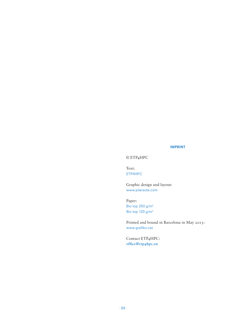#### imprint

#### © ETP4HPC

#### Text: ETP4HPC

Graphic design and layout: www.pilarsola.com

Paper: Bio top 250 g/m2 Bio top 120 g/m2

Printed and bound in Barcelona in May 2013: www.grafiko.cat

Contact ETP4HPC: **office@etp4hpc.eu**